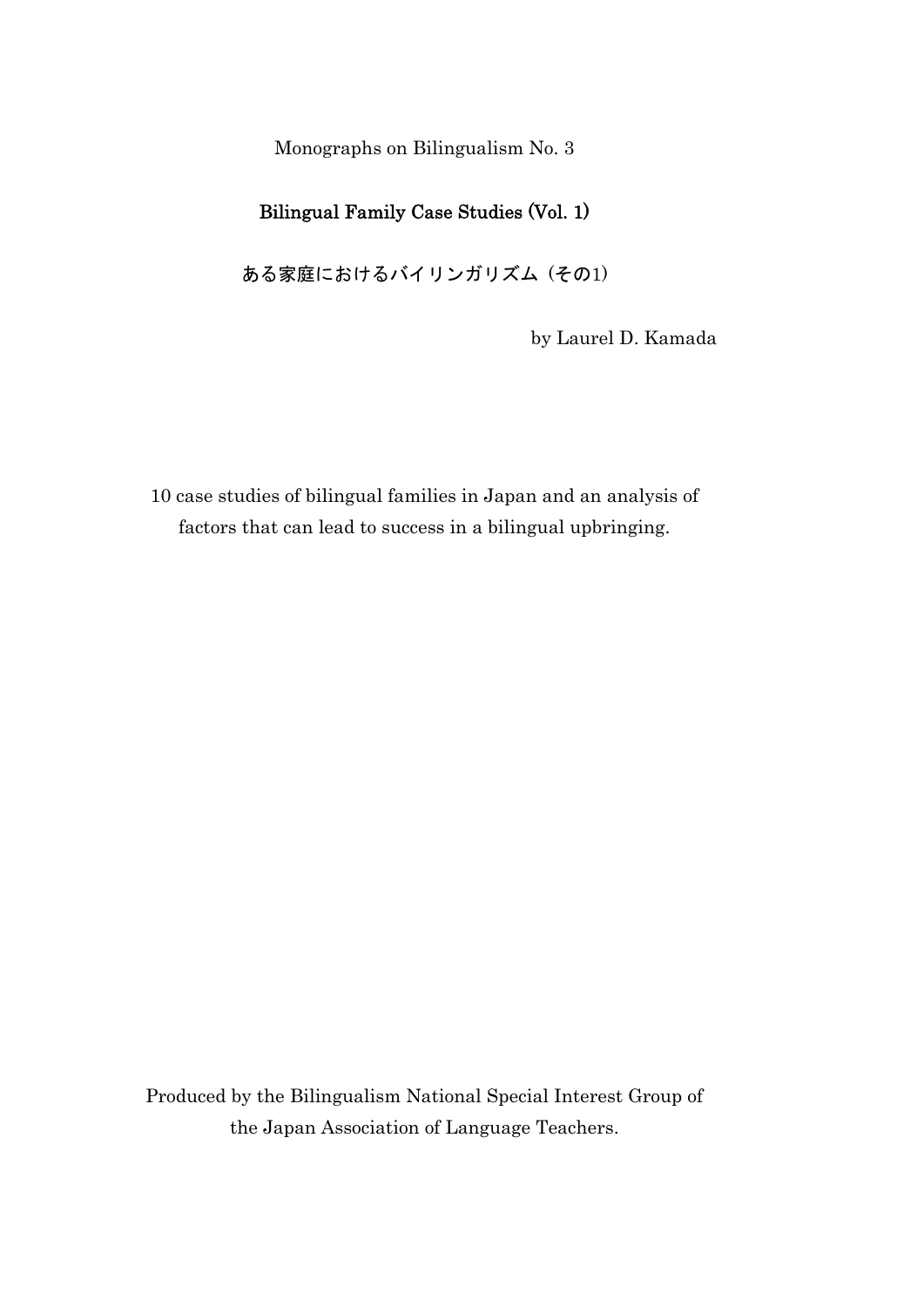Monographs on Bilingualism No. 3

### Bilingual Family Case Studies (Vol. 1)

ある家庭におけるバイリンガリズム (その1)

by Laurel D. Kamada

10 case studies of bilingual families in Japan and an analysis of factors that can lead to success in a bilingual upbringing.

Produced by the Bilingualism National Special Interest Group of the Japan Association of Language Teachers.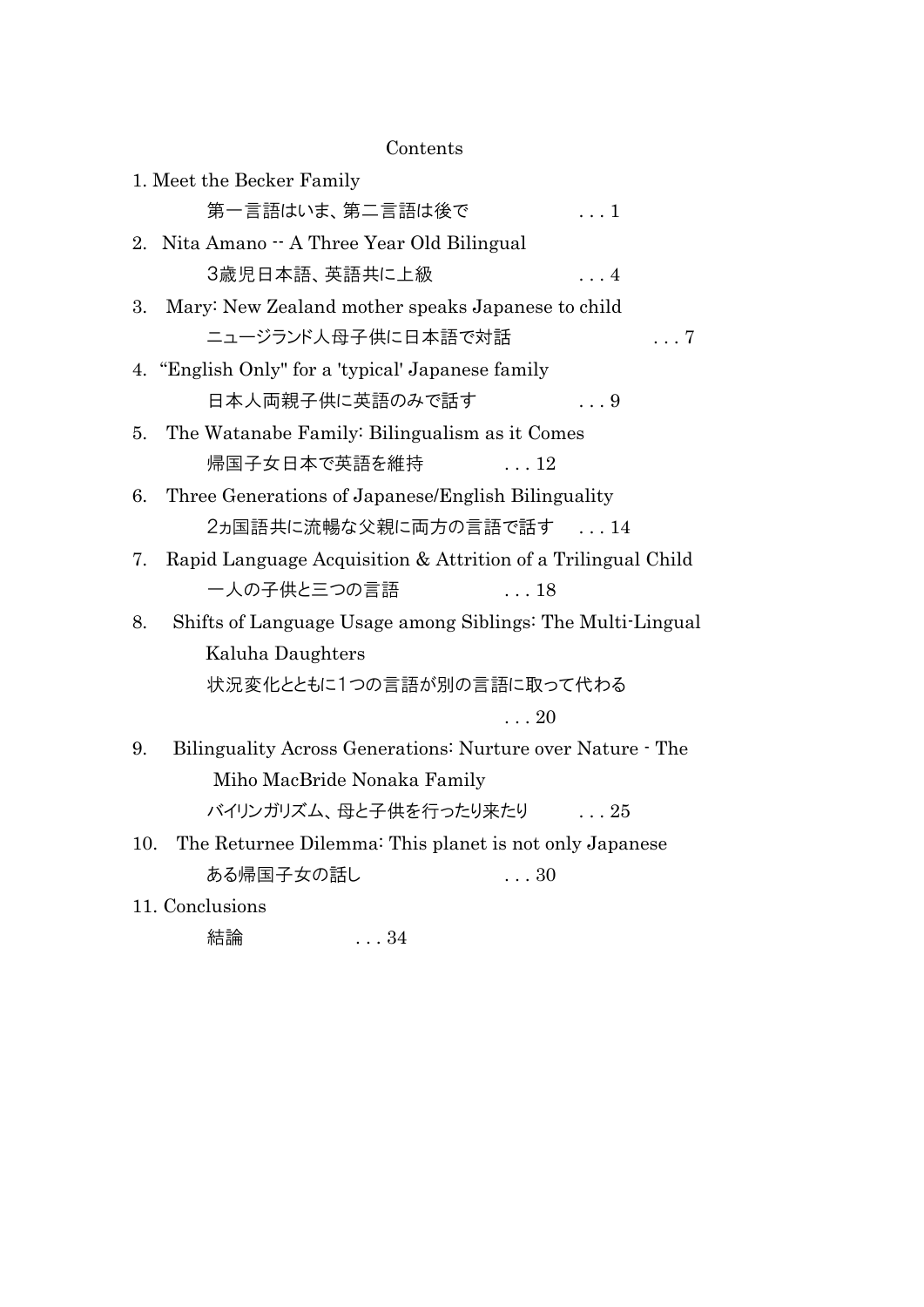Contents

| 1. Meet the Becker Family                                          |
|--------------------------------------------------------------------|
| 第一言語はいま、第二言語は後で<br>. 1                                             |
| 2. Nita Amano - A Three Year Old Bilingual                         |
| 3歳児日本語、英語共に上級<br>$\ldots 4$                                        |
| Mary: New Zealand mother speaks Japanese to child<br>3.            |
| ニュージランド人母子供に日本語で対話<br>$\ldots 7$                                   |
| 4. "English Only" for a 'typical' Japanese family                  |
| 日本人両親子供に英語のみで話す<br>$\ldots 9$                                      |
| The Watanabe Family: Bilingualism as it Comes<br>5.                |
| 帰国子女日本で英語を維持<br>$\ldots$ 12                                        |
| Three Generations of Japanese/English Bilinguality<br>6.           |
| 2ヵ国語共に流暢な父親に両方の言語で話す 14                                            |
| Rapid Language Acquisition & Attrition of a Trilingual Child<br>7. |
| 一人の子供と三つの言語<br>$\ldots$ 18                                         |
| Shifts of Language Usage among Siblings: The Multi-Lingual<br>8.   |
| Kaluha Daughters                                                   |
| 状況変化とともに1つの言語が別の言語に取って代わる                                          |
| $\ldots\,20$                                                       |
| Bilinguality Across Generations: Nurture over Nature - The<br>9.   |
| Miho MacBride Nonaka Family                                        |
| バイリンガリズム、母と子供を行ったり来たり  25                                          |
| The Returnee Dilemma: This planet is not only Japanese<br>10.      |
| ある帰国子女の話し<br>$\ldots$ 30                                           |
| 11. Conclusions                                                    |

結論 . . . 34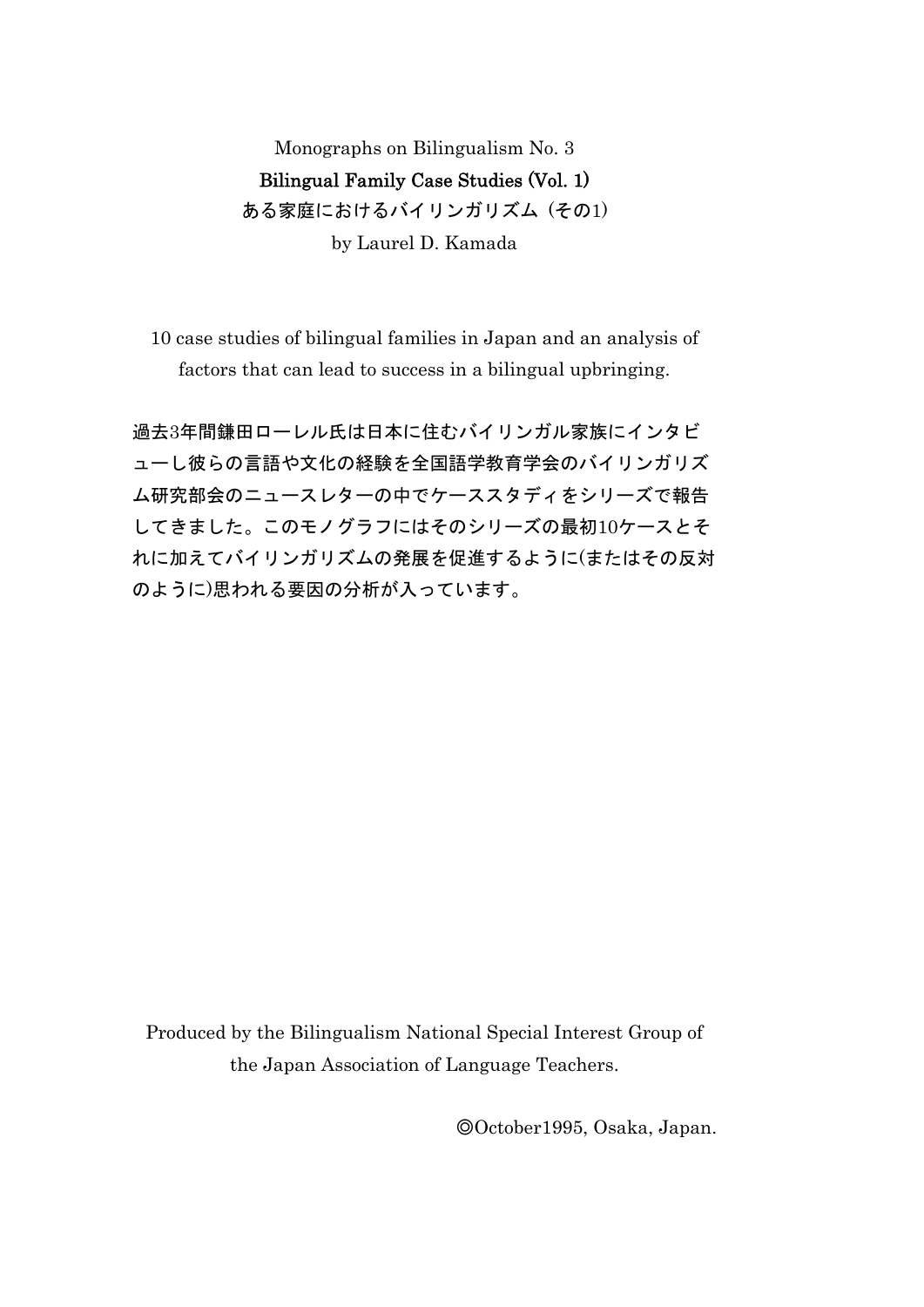# Monographs on Bilingualism No. 3 Bilingual Family Case Studies (Vol. 1) ある家庭におけるバイリンガリズム (その1) by Laurel D. Kamada

10 case studies of bilingual families in Japan and an analysis of factors that can lead to success in a bilingual upbringing.

過去3年間鎌田ローレル氏は日本に住むバイリンガル家族にインタビ ューし彼らの言語や文化の経験を全国語学教育学会のバイリンガリズ ム研究部会のニュースレターの中でケーススタディをシリーズで報告 してきました。このモノグラフにはそのシリーズの最初10ケースとそ れに加えてバイリンガリズムの発展を促進するように(またはその反対 のように)思われる要因の分析が入っています。

Produced by the Bilingualism National Special Interest Group of the Japan Association of Language Teachers.

◎October1995, Osaka, Japan.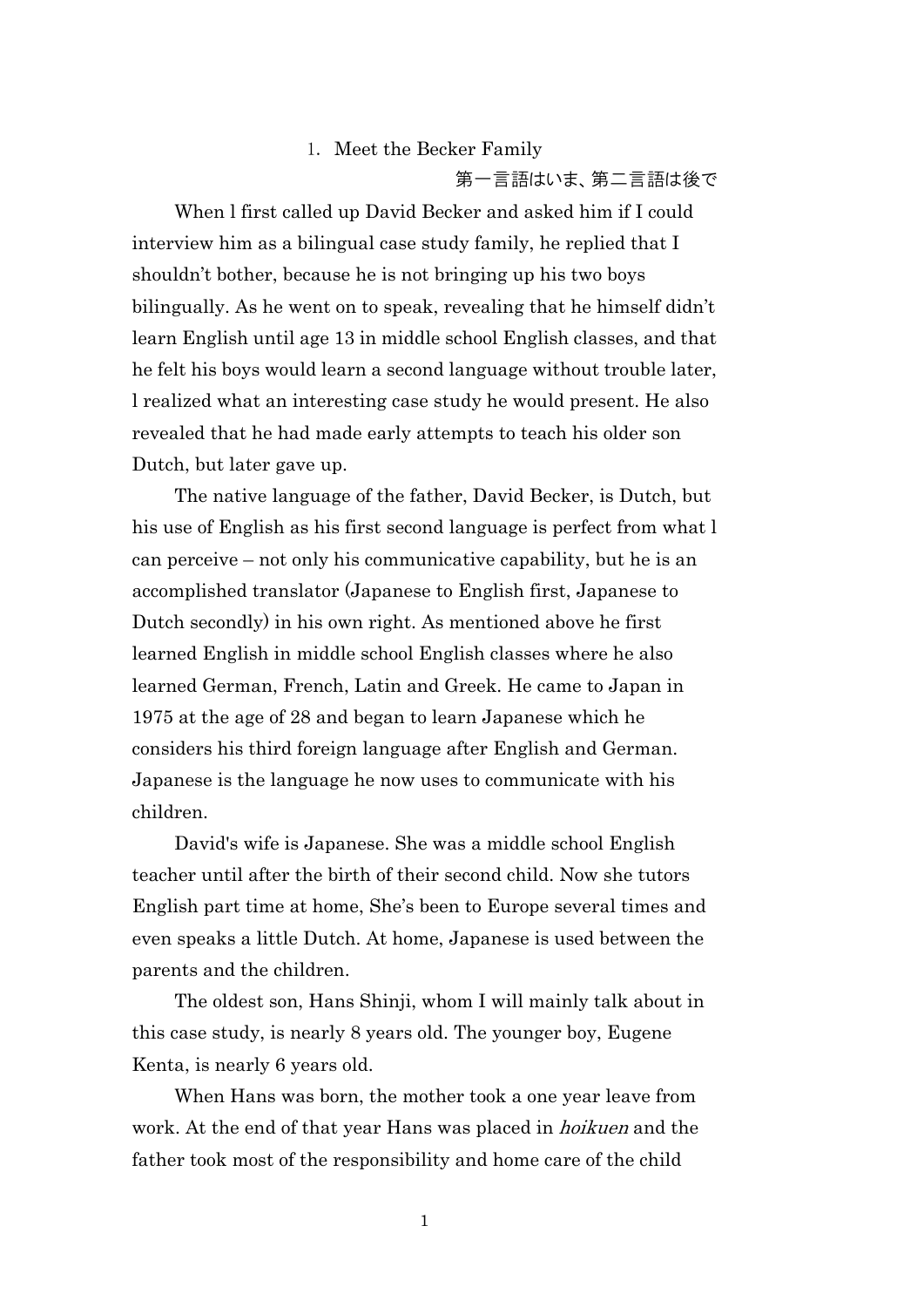#### 1. Meet the Becker Family

第一言語はいま、第二言語は後で

When l first called up David Becker and asked him if I could interview him as a bilingual case study family, he replied that I shouldn't bother, because he is not bringing up his two boys bilingually. As he went on to speak, revealing that he himself didn't learn English until age 13 in middle school English classes, and that he felt his boys would learn a second language without trouble later, l realized what an interesting case study he would present. He also revealed that he had made early attempts to teach his older son Dutch, but later gave up.

The native language of the father, David Becker, is Dutch, but his use of English as his first second language is perfect from what l can perceive – not only his communicative capability, but he is an accomplished translator (Japanese to English first, Japanese to Dutch secondly) in his own right. As mentioned above he first learned English in middle school English classes where he also learned German, French, Latin and Greek. He came to Japan in 1975 at the age of 28 and began to learn Japanese which he considers his third foreign language after English and German. Japanese is the language he now uses to communicate with his children.

David's wife is Japanese. She was a middle school English teacher until after the birth of their second child. Now she tutors English part time at home, She's been to Europe several times and even speaks a little Dutch. At home, Japanese is used between the parents and the children.

The oldest son, Hans Shinji, whom I will mainly talk about in this case study, is nearly 8 years old. The younger boy, Eugene Kenta, is nearly 6 years old.

When Hans was born, the mother took a one year leave from work. At the end of that year Hans was placed in *hoikuen* and the father took most of the responsibility and home care of the child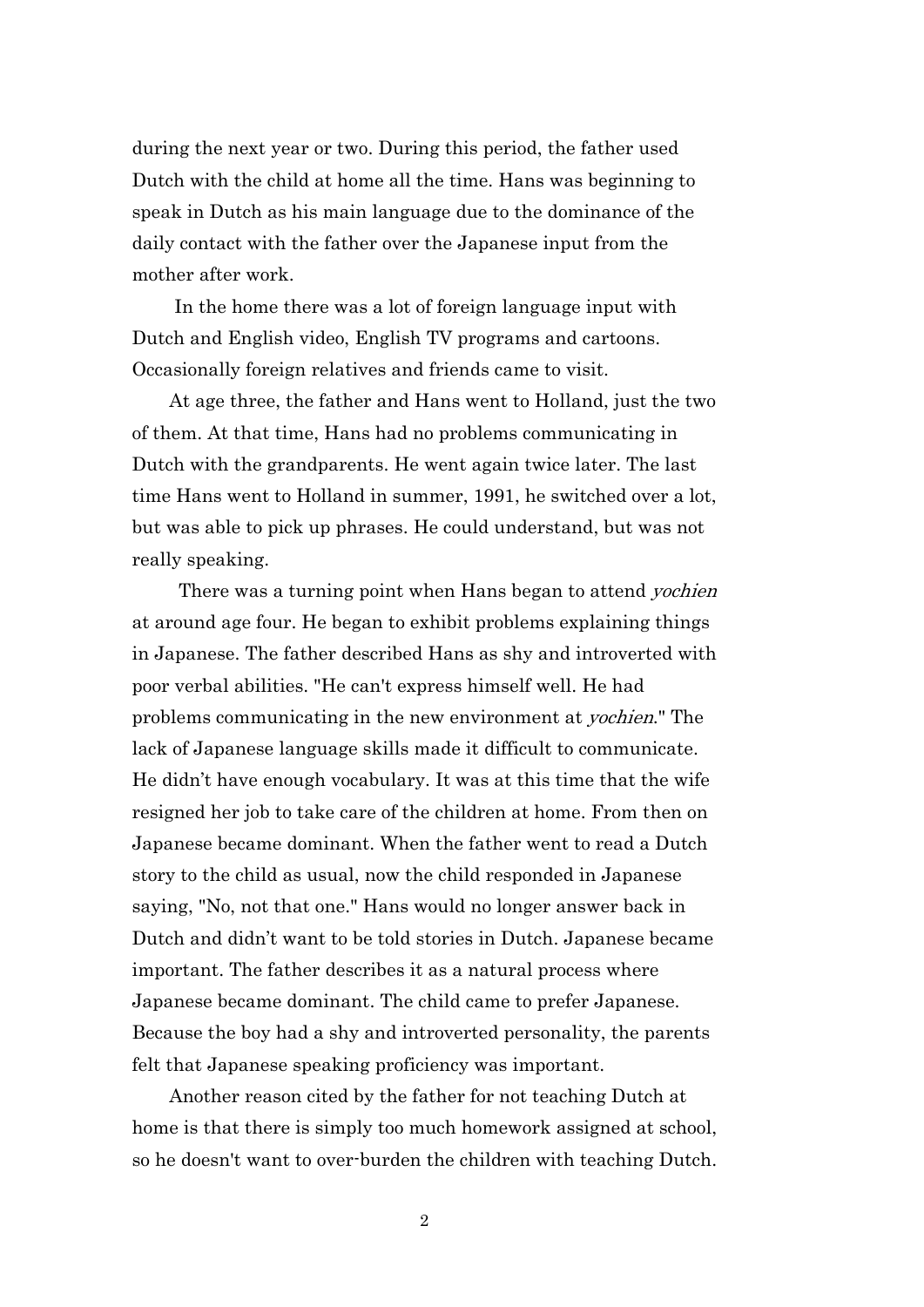during the next year or two. During this period, the father used Dutch with the child at home all the time. Hans was beginning to speak in Dutch as his main language due to the dominance of the daily contact with the father over the Japanese input from the mother after work.

In the home there was a lot of foreign language input with Dutch and English video, English TV programs and cartoons. Occasionally foreign relatives and friends came to visit.

 At age three, the father and Hans went to Holland, just the two of them. At that time, Hans had no problems communicating in Dutch with the grandparents. He went again twice later. The last time Hans went to Holland in summer, 1991, he switched over a lot, but was able to pick up phrases. He could understand, but was not really speaking.

There was a turning point when Hans began to attend *yochien* at around age four. He began to exhibit problems explaining things in Japanese. The father described Hans as shy and introverted with poor verbal abilities. "He can't express himself well. He had problems communicating in the new environment at yochien." The lack of Japanese language skills made it difficult to communicate. He didn't have enough vocabulary. It was at this time that the wife resigned her job to take care of the children at home. From then on Japanese became dominant. When the father went to read a Dutch story to the child as usual, now the child responded in Japanese saying, "No, not that one." Hans would no longer answer back in Dutch and didn't want to be told stories in Dutch. Japanese became important. The father describes it as a natural process where Japanese became dominant. The child came to prefer Japanese. Because the boy had a shy and introverted personality, the parents felt that Japanese speaking proficiency was important.

 Another reason cited by the father for not teaching Dutch at home is that there is simply too much homework assigned at school, so he doesn't want to over-burden the children with teaching Dutch.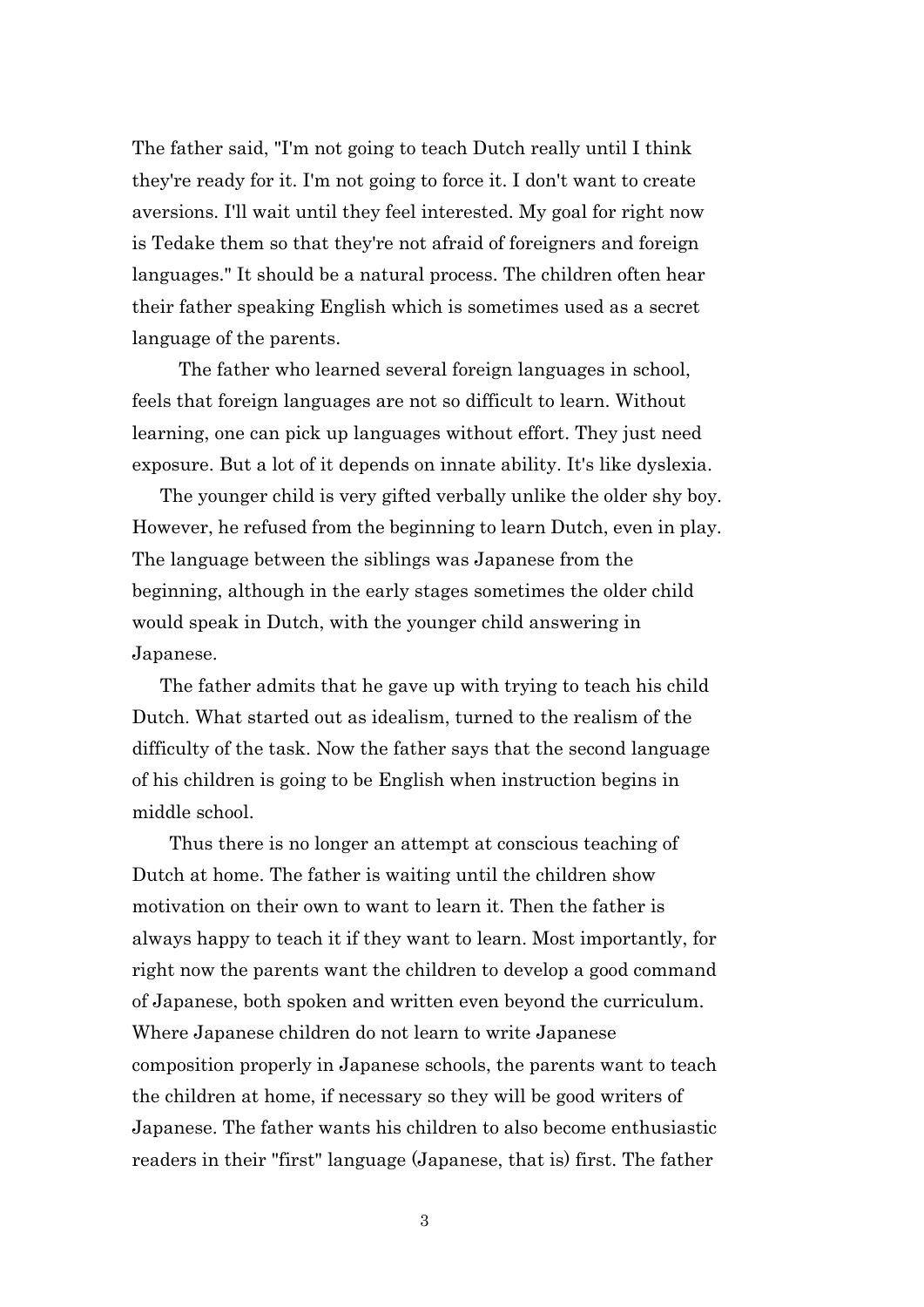The father said, "I'm not going to teach Dutch really until I think they're ready for it. I'm not going to force it. I don't want to create aversions. I'll wait until they feel interested. My goal for right now is Tedake them so that they're not afraid of foreigners and foreign languages." It should be a natural process. The children often hear their father speaking English which is sometimes used as a secret language of the parents.

 The father who learned several foreign languages in school, feels that foreign languages are not so difficult to learn. Without learning, one can pick up languages without effort. They just need exposure. But a lot of it depends on innate ability. It's like dyslexia.

 The younger child is very gifted verbally unlike the older shy boy. However, he refused from the beginning to learn Dutch, even in play. The language between the siblings was Japanese from the beginning, although in the early stages sometimes the older child would speak in Dutch, with the younger child answering in Japanese.

 The father admits that he gave up with trying to teach his child Dutch. What started out as idealism, turned to the realism of the difficulty of the task. Now the father says that the second language of his children is going to be English when instruction begins in middle school.

 Thus there is no longer an attempt at conscious teaching of Dutch at home. The father is waiting until the children show motivation on their own to want to learn it. Then the father is always happy to teach it if they want to learn. Most importantly, for right now the parents want the children to develop a good command of Japanese, both spoken and written even beyond the curriculum. Where Japanese children do not learn to write Japanese composition properly in Japanese schools, the parents want to teach the children at home, if necessary so they will be good writers of Japanese. The father wants his children to also become enthusiastic readers in their "first" language (Japanese, that is) first. The father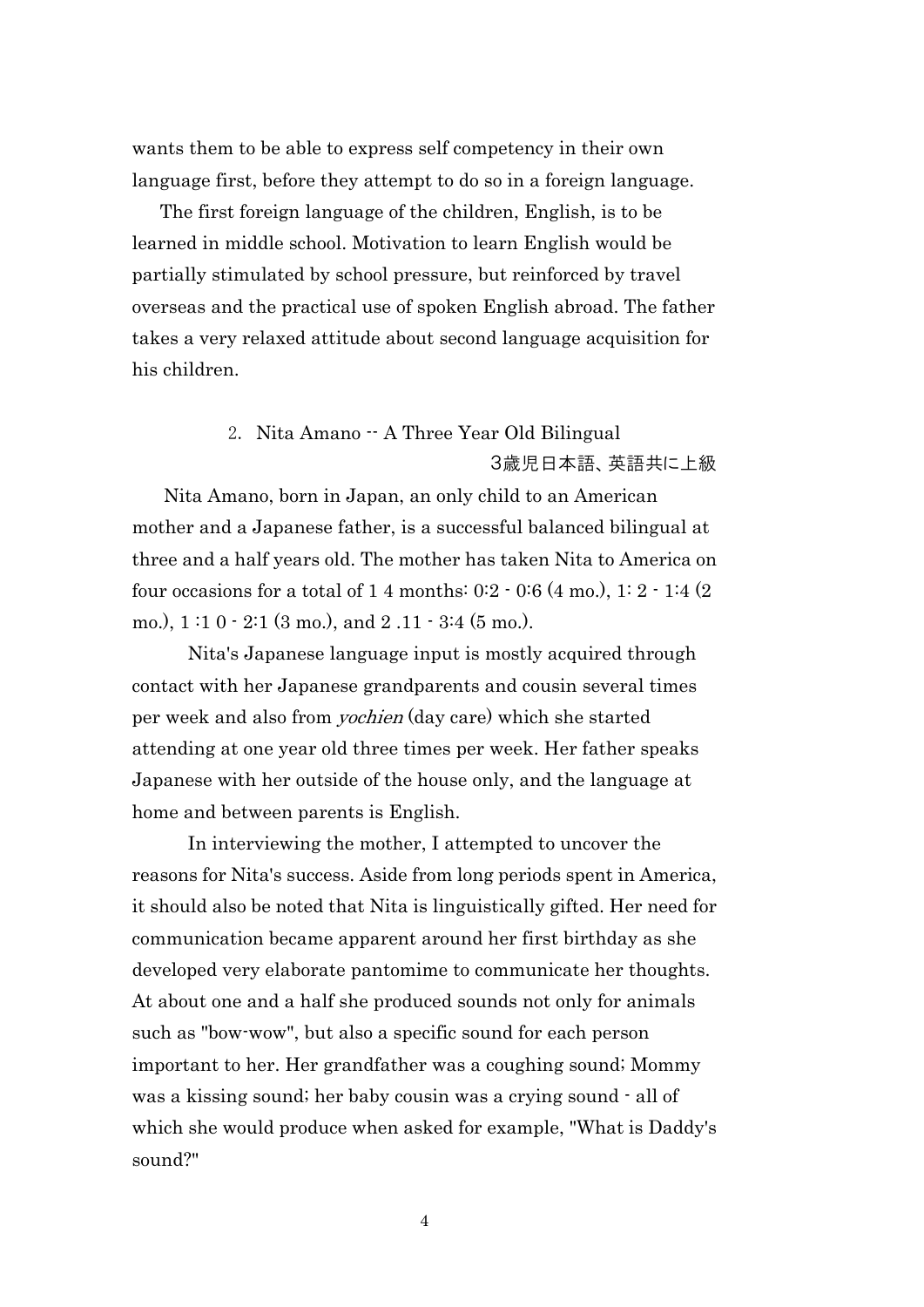wants them to be able to express self competency in their own language first, before they attempt to do so in a foreign language.

 The first foreign language of the children, English, is to be learned in middle school. Motivation to learn English would be partially stimulated by school pressure, but reinforced by travel overseas and the practical use of spoken English abroad. The father takes a very relaxed attitude about second language acquisition for his children.

### 2. Nita Amano -- A Three Year Old Bilingual 3歳児日本語、英語共に上級

Nita Amano, born in Japan, an only child to an American mother and a Japanese father, is a successful balanced bilingual at three and a half years old. The mother has taken Nita to America on four occasions for a total of 1 4 months: 0:2 - 0:6 (4 mo.), 1: 2 - 1:4 (2 mo.), 1 :1 0 - 2:1 (3 mo.), and 2 .11 - 3:4 (5 mo.).

 Nita's Japanese language input is mostly acquired through contact with her Japanese grandparents and cousin several times per week and also from yochien (day care) which she started attending at one year old three times per week. Her father speaks Japanese with her outside of the house only, and the language at home and between parents is English.

 In interviewing the mother, I attempted to uncover the reasons for Nita's success. Aside from long periods spent in America, it should also be noted that Nita is linguistically gifted. Her need for communication became apparent around her first birthday as she developed very elaborate pantomime to communicate her thoughts. At about one and a half she produced sounds not only for animals such as "bow-wow", but also a specific sound for each person important to her. Her grandfather was a coughing sound; Mommy was a kissing sound; her baby cousin was a crying sound - all of which she would produce when asked for example, "What is Daddy's sound?"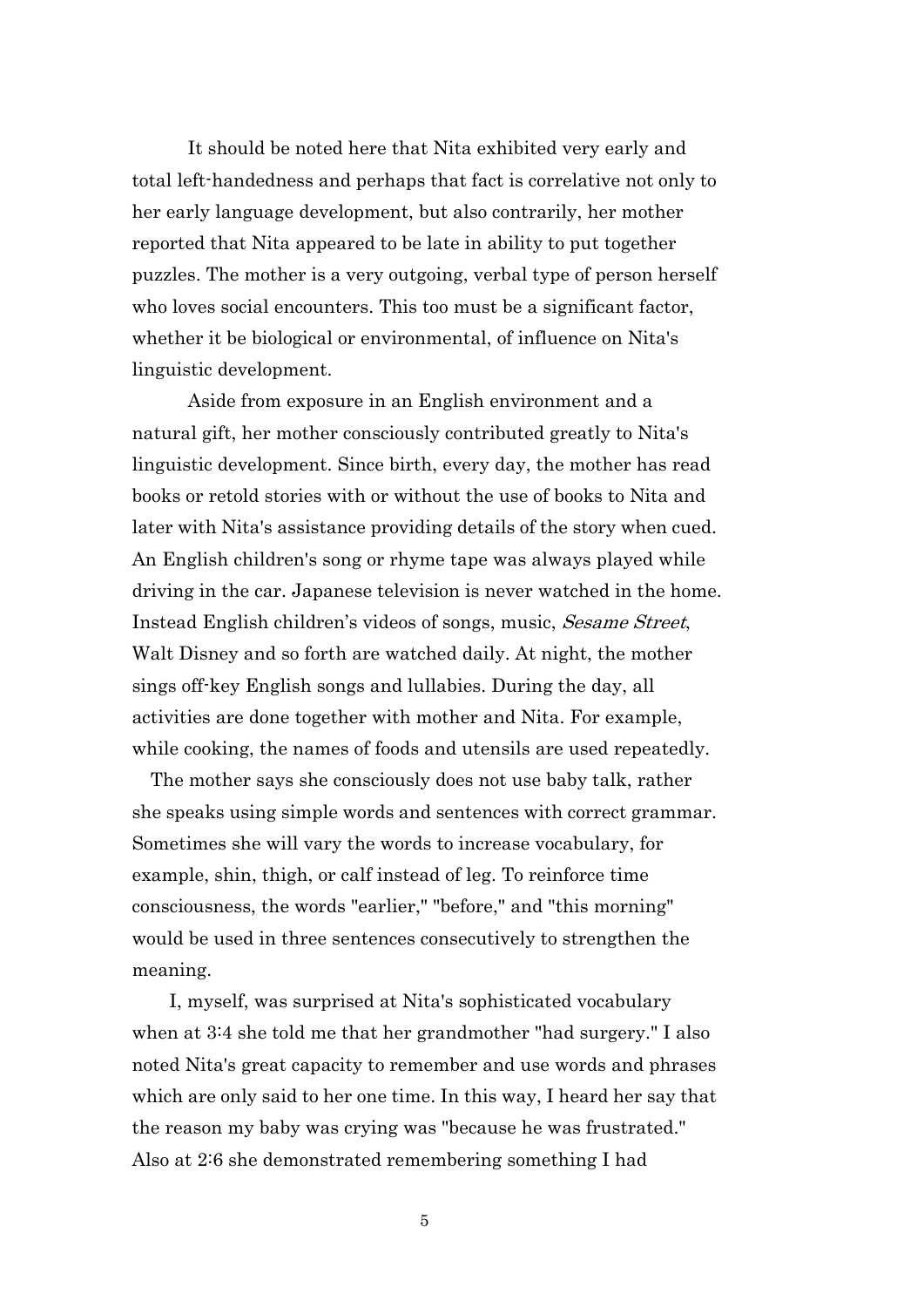It should be noted here that Nita exhibited very early and total left-handedness and perhaps that fact is correlative not only to her early language development, but also contrarily, her mother reported that Nita appeared to be late in ability to put together puzzles. The mother is a very outgoing, verbal type of person herself who loves social encounters. This too must be a significant factor, whether it be biological or environmental, of influence on Nita's linguistic development.

 Aside from exposure in an English environment and a natural gift, her mother consciously contributed greatly to Nita's linguistic development. Since birth, every day, the mother has read books or retold stories with or without the use of books to Nita and later with Nita's assistance providing details of the story when cued. An English children's song or rhyme tape was always played while driving in the car. Japanese television is never watched in the home. Instead English children's videos of songs, music, *Sesame Street*, Walt Disney and so forth are watched daily. At night, the mother sings off-key English songs and lullabies. During the day, all activities are done together with mother and Nita. For example, while cooking, the names of foods and utensils are used repeatedly.

 The mother says she consciously does not use baby talk, rather she speaks using simple words and sentences with correct grammar. Sometimes she will vary the words to increase vocabulary, for example, shin, thigh, or calf instead of leg. To reinforce time consciousness, the words "earlier," "before," and "this morning" would be used in three sentences consecutively to strengthen the meaning.

 I, myself, was surprised at Nita's sophisticated vocabulary when at 3:4 she told me that her grandmother "had surgery." I also noted Nita's great capacity to remember and use words and phrases which are only said to her one time. In this way, I heard her say that the reason my baby was crying was "because he was frustrated." Also at 2:6 she demonstrated remembering something I had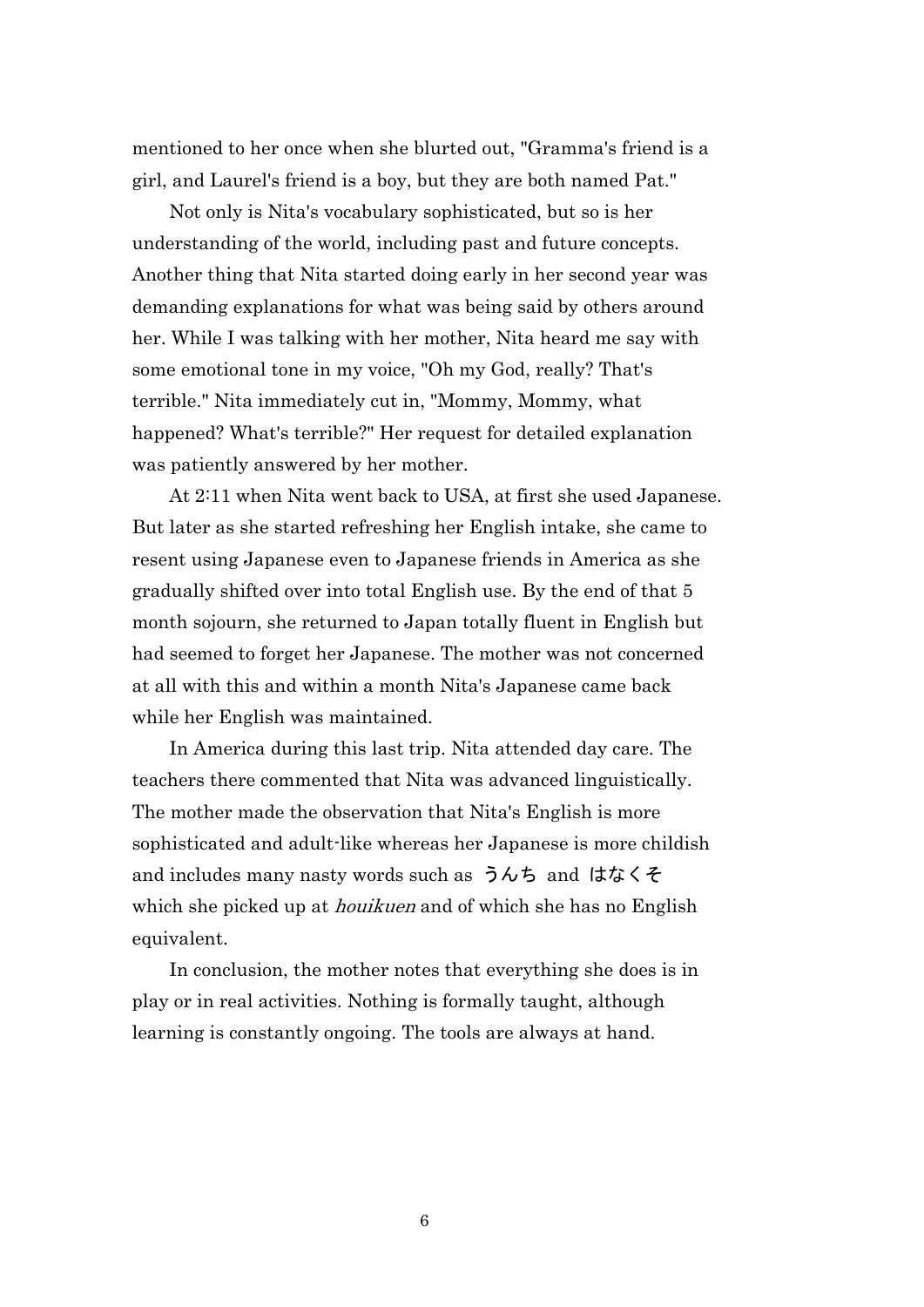mentioned to her once when she blurted out, "Gramma's friend is a girl, and Laurel's friend is a boy, but they are both named Pat."

 Not only is Nita's vocabulary sophisticated, but so is her understanding of the world, including past and future concepts. Another thing that Nita started doing early in her second year was demanding explanations for what was being said by others around her. While I was talking with her mother, Nita heard me say with some emotional tone in my voice, "Oh my God, really? That's terrible." Nita immediately cut in, "Mommy, Mommy, what happened? What's terrible?" Her request for detailed explanation was patiently answered by her mother.

 At 2:11 when Nita went back to USA, at first she used Japanese. But later as she started refreshing her English intake, she came to resent using Japanese even to Japanese friends in America as she gradually shifted over into total English use. By the end of that 5 month sojourn, she returned to Japan totally fluent in English but had seemed to forget her Japanese. The mother was not concerned at all with this and within a month Nita's Japanese came back while her English was maintained.

 In America during this last trip. Nita attended day care. The teachers there commented that Nita was advanced linguistically. The mother made the observation that Nita's English is more sophisticated and adult-like whereas her Japanese is more childish and includes many nasty words such as うんち and はなくそ which she picked up at *houikuen* and of which she has no English equivalent.

 In conclusion, the mother notes that everything she does is in play or in real activities. Nothing is formally taught, although learning is constantly ongoing. The tools are always at hand.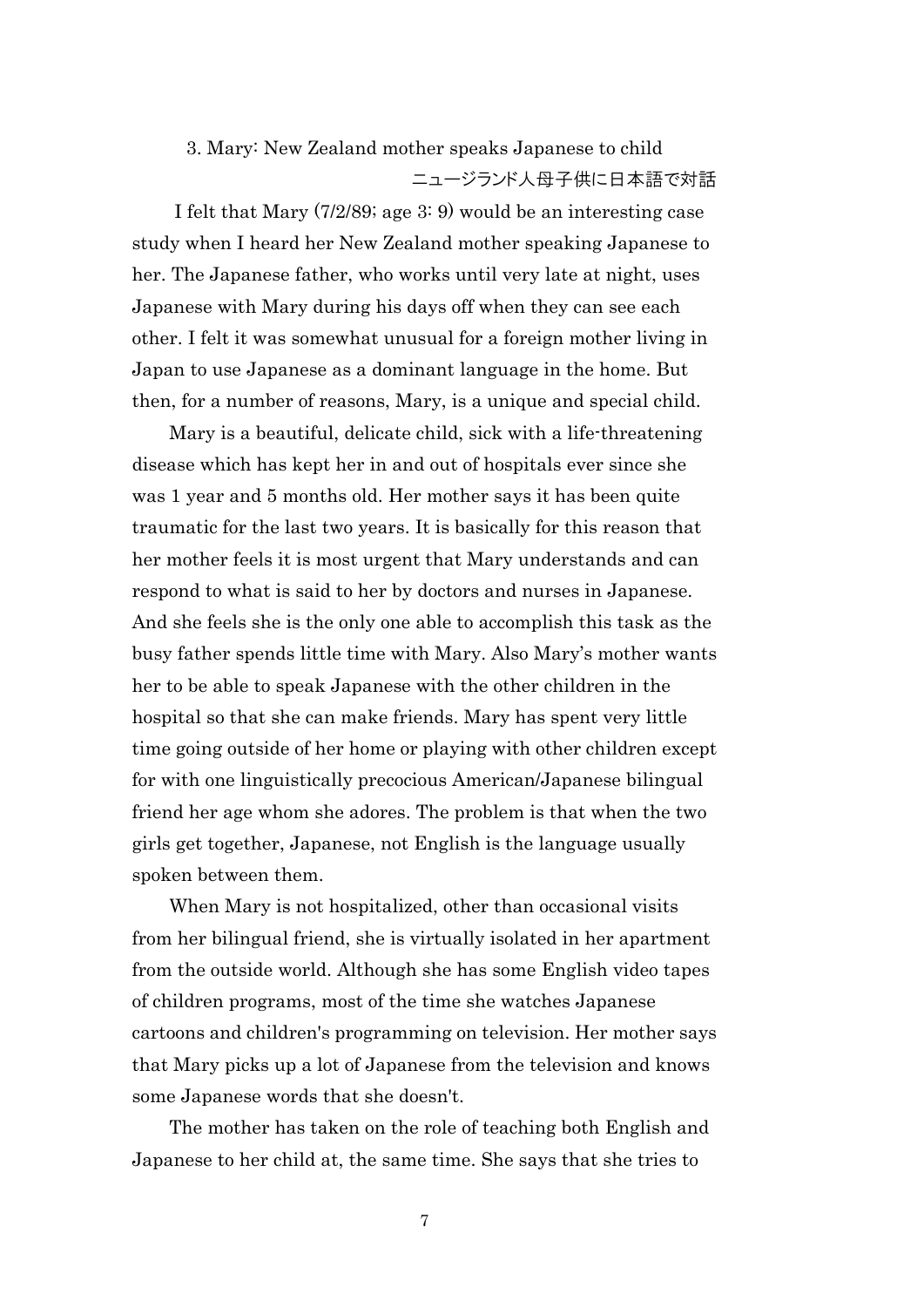# 3. Mary: New Zealand mother speaks Japanese to child ニュージランド人母子供に日本語で対話

I felt that Mary (7/2/89; age 3: 9) would be an interesting case study when I heard her New Zealand mother speaking Japanese to her. The Japanese father, who works until very late at night, uses Japanese with Mary during his days off when they can see each other. I felt it was somewhat unusual for a foreign mother living in Japan to use Japanese as a dominant language in the home. But then, for a number of reasons, Mary, is a unique and special child.

 Mary is a beautiful, delicate child, sick with a life-threatening disease which has kept her in and out of hospitals ever since she was 1 year and 5 months old. Her mother says it has been quite traumatic for the last two years. It is basically for this reason that her mother feels it is most urgent that Mary understands and can respond to what is said to her by doctors and nurses in Japanese. And she feels she is the only one able to accomplish this task as the busy father spends little time with Mary. Also Mary's mother wants her to be able to speak Japanese with the other children in the hospital so that she can make friends. Mary has spent very little time going outside of her home or playing with other children except for with one linguistically precocious American/Japanese bilingual friend her age whom she adores. The problem is that when the two girls get together, Japanese, not English is the language usually spoken between them.

When Mary is not hospitalized, other than occasional visits from her bilingual friend, she is virtually isolated in her apartment from the outside world. Although she has some English video tapes of children programs, most of the time she watches Japanese cartoons and children's programming on television. Her mother says that Mary picks up a lot of Japanese from the television and knows some Japanese words that she doesn't.

 The mother has taken on the role of teaching both English and Japanese to her child at, the same time. She says that she tries to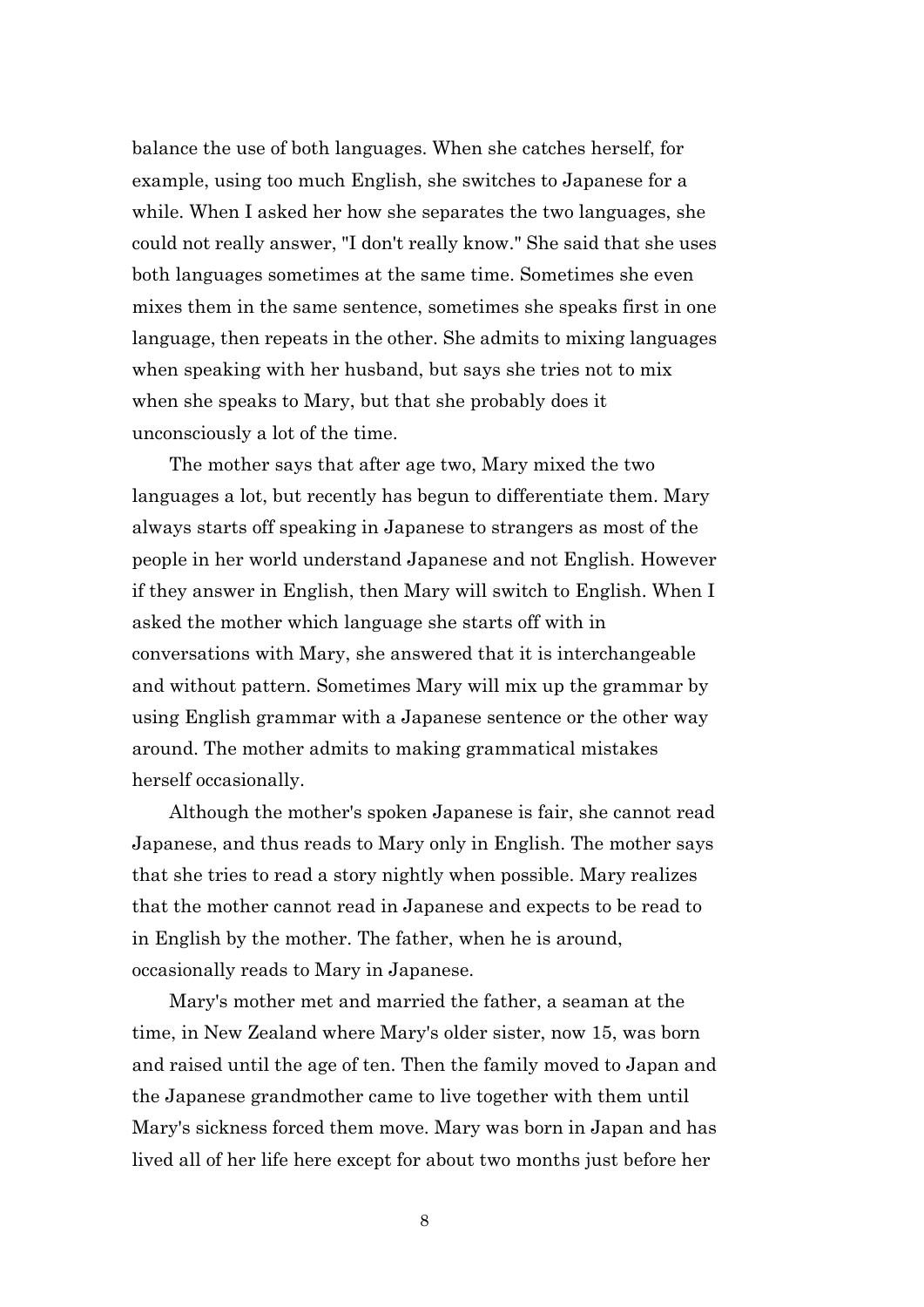balance the use of both languages. When she catches herself, for example, using too much English, she switches to Japanese for a while. When I asked her how she separates the two languages, she could not really answer, "I don't really know." She said that she uses both languages sometimes at the same time. Sometimes she even mixes them in the same sentence, sometimes she speaks first in one language, then repeats in the other. She admits to mixing languages when speaking with her husband, but says she tries not to mix when she speaks to Mary, but that she probably does it unconsciously a lot of the time.

 The mother says that after age two, Mary mixed the two languages a lot, but recently has begun to differentiate them. Mary always starts off speaking in Japanese to strangers as most of the people in her world understand Japanese and not English. However if they answer in English, then Mary will switch to English. When I asked the mother which language she starts off with in conversations with Mary, she answered that it is interchangeable and without pattern. Sometimes Mary will mix up the grammar by using English grammar with a Japanese sentence or the other way around. The mother admits to making grammatical mistakes herself occasionally.

 Although the mother's spoken Japanese is fair, she cannot read Japanese, and thus reads to Mary only in English. The mother says that she tries to read a story nightly when possible. Mary realizes that the mother cannot read in Japanese and expects to be read to in English by the mother. The father, when he is around, occasionally reads to Mary in Japanese.

 Mary's mother met and married the father, a seaman at the time, in New Zealand where Mary's older sister, now 15, was born and raised until the age of ten. Then the family moved to Japan and the Japanese grandmother came to live together with them until Mary's sickness forced them move. Mary was born in Japan and has lived all of her life here except for about two months just before her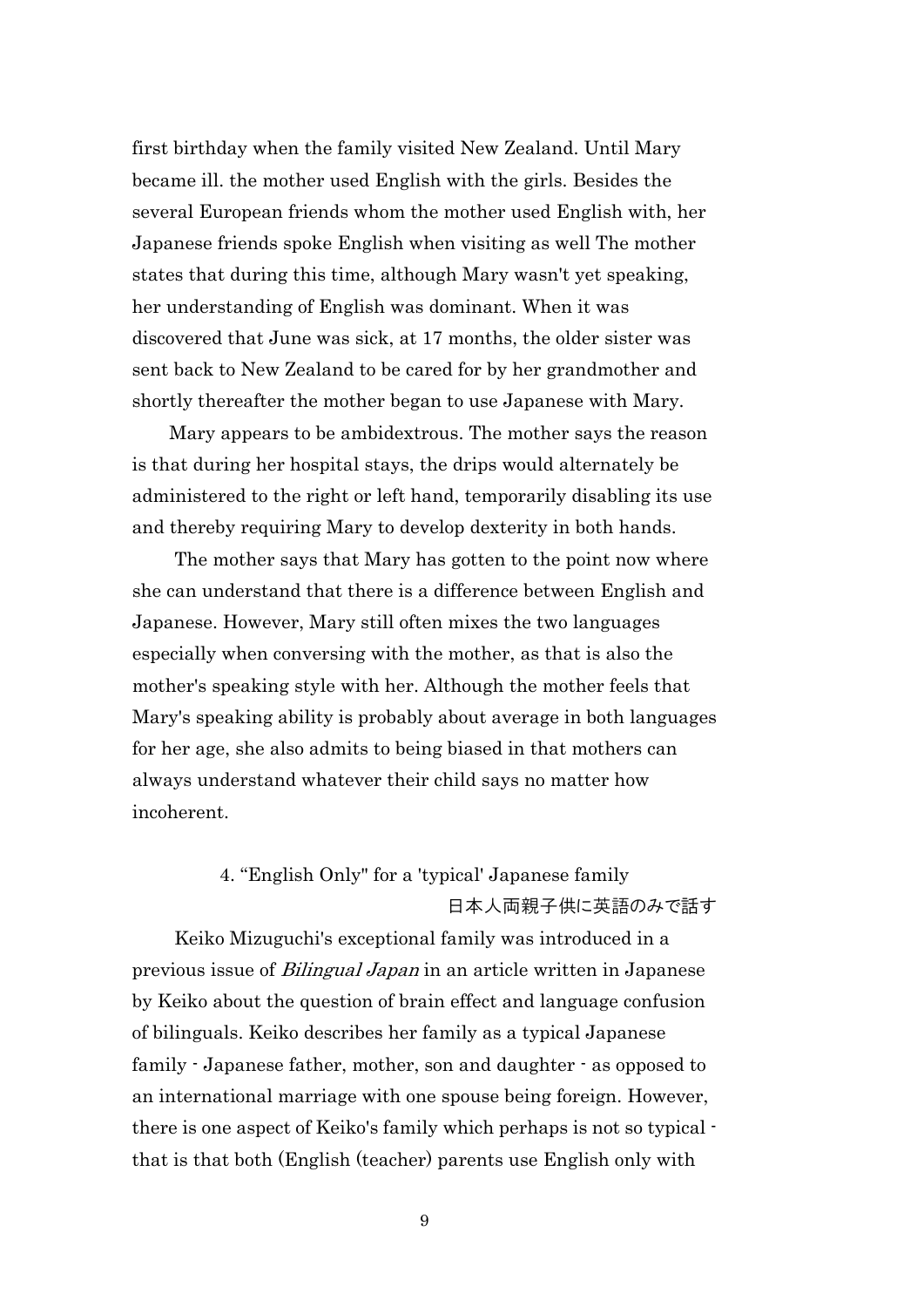first birthday when the family visited New Zealand. Until Mary became ill. the mother used English with the girls. Besides the several European friends whom the mother used English with, her Japanese friends spoke English when visiting as well The mother states that during this time, although Mary wasn't yet speaking, her understanding of English was dominant. When it was discovered that June was sick, at 17 months, the older sister was sent back to New Zealand to be cared for by her grandmother and shortly thereafter the mother began to use Japanese with Mary.

 Mary appears to be ambidextrous. The mother says the reason is that during her hospital stays, the drips would alternately be administered to the right or left hand, temporarily disabling its use and thereby requiring Mary to develop dexterity in both hands.

The mother says that Mary has gotten to the point now where she can understand that there is a difference between English and Japanese. However, Mary still often mixes the two languages especially when conversing with the mother, as that is also the mother's speaking style with her. Although the mother feels that Mary's speaking ability is probably about average in both languages for her age, she also admits to being biased in that mothers can always understand whatever their child says no matter how incoherent.

### 4. "English Only" for a 'typical' Japanese family 日本人両親子供に英語のみで話す

Keiko Mizuguchi's exceptional family was introduced in a previous issue of Bilingual Japan in an article written in Japanese by Keiko about the question of brain effect and language confusion of bilinguals. Keiko describes her family as a typical Japanese family - Japanese father, mother, son and daughter - as opposed to an international marriage with one spouse being foreign. However, there is one aspect of Keiko's family which perhaps is not so typical that is that both (English (teacher) parents use English only with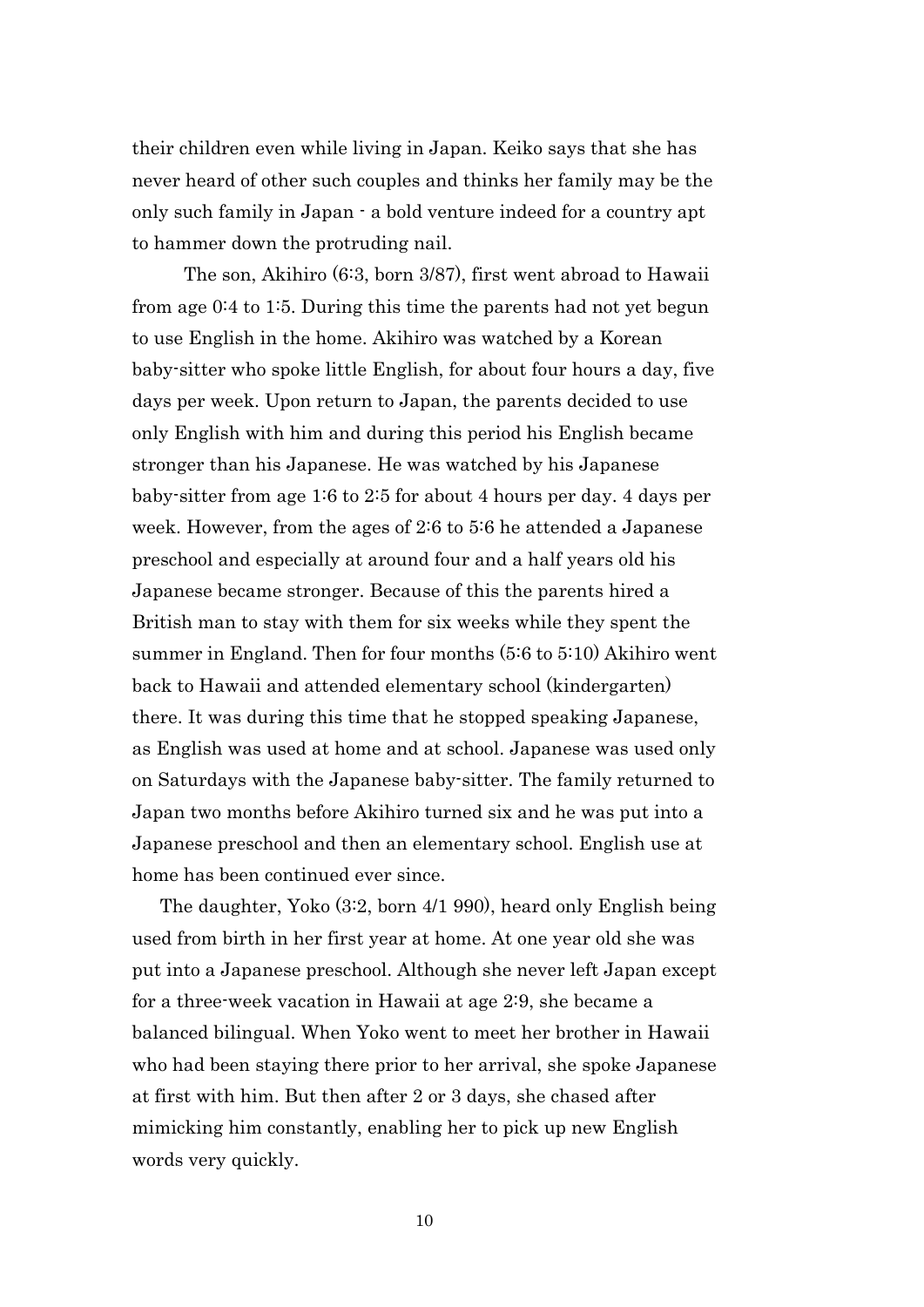their children even while living in Japan. Keiko says that she has never heard of other such couples and thinks her family may be the only such family in Japan - a bold venture indeed for a country apt to hammer down the protruding nail.

 The son, Akihiro (6:3, born 3/87), first went abroad to Hawaii from age 0:4 to 1:5. During this time the parents had not yet begun to use English in the home. Akihiro was watched by a Korean baby-sitter who spoke little English, for about four hours a day, five days per week. Upon return to Japan, the parents decided to use only English with him and during this period his English became stronger than his Japanese. He was watched by his Japanese baby-sitter from age 1:6 to 2:5 for about 4 hours per day. 4 days per week. However, from the ages of 2:6 to 5:6 he attended a Japanese preschool and especially at around four and a half years old his Japanese became stronger. Because of this the parents hired a British man to stay with them for six weeks while they spent the summer in England. Then for four months (5:6 to 5:10) Akihiro went back to Hawaii and attended elementary school (kindergarten) there. It was during this time that he stopped speaking Japanese, as English was used at home and at school. Japanese was used only on Saturdays with the Japanese baby-sitter. The family returned to Japan two months before Akihiro turned six and he was put into a Japanese preschool and then an elementary school. English use at home has been continued ever since.

 The daughter, Yoko (3:2, born 4/1 990), heard only English being used from birth in her first year at home. At one year old she was put into a Japanese preschool. Although she never left Japan except for a three-week vacation in Hawaii at age 2:9, she became a balanced bilingual. When Yoko went to meet her brother in Hawaii who had been staying there prior to her arrival, she spoke Japanese at first with him. But then after 2 or 3 days, she chased after mimicking him constantly, enabling her to pick up new English words very quickly.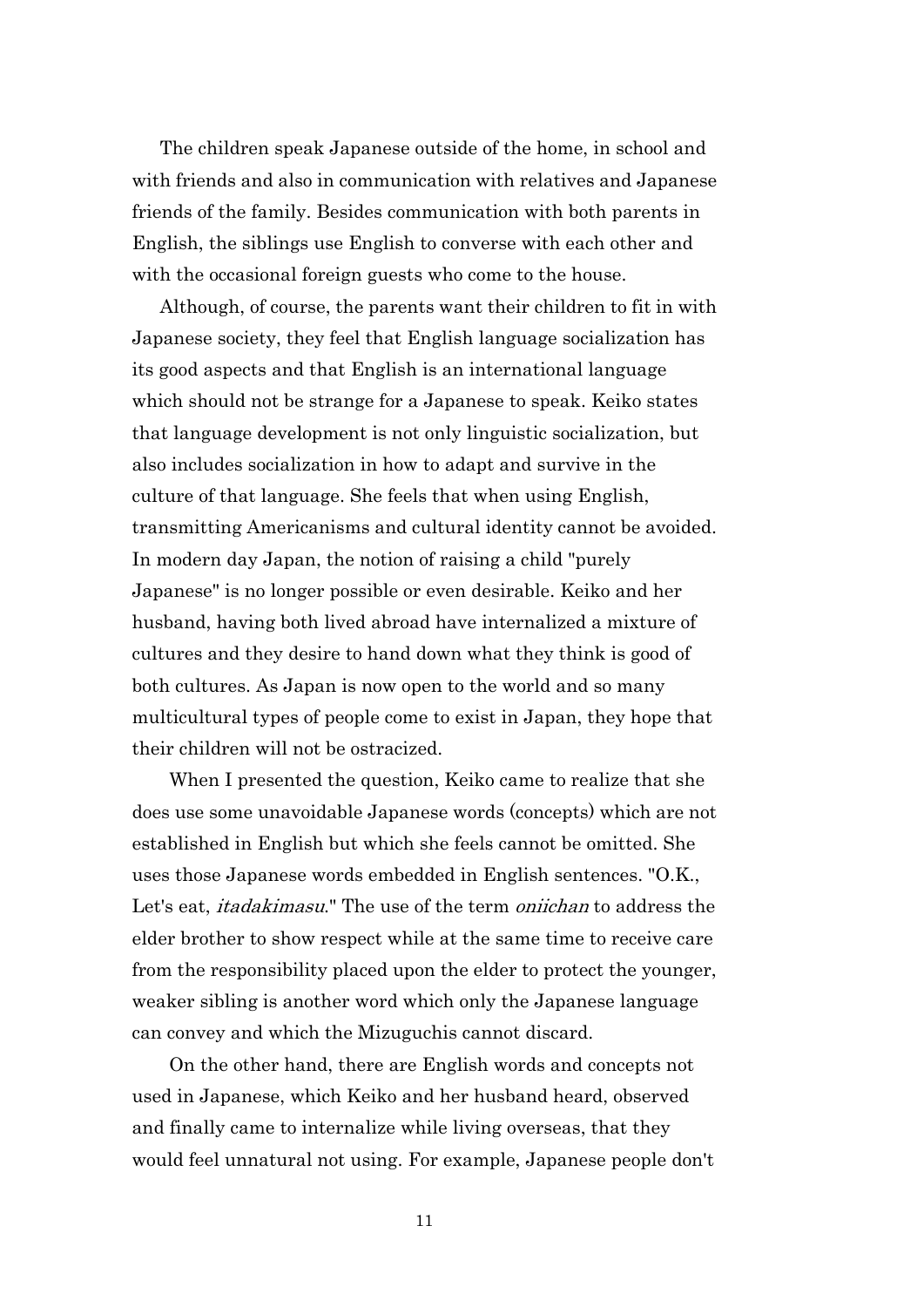The children speak Japanese outside of the home, in school and with friends and also in communication with relatives and Japanese friends of the family. Besides communication with both parents in English, the siblings use English to converse with each other and with the occasional foreign guests who come to the house.

 Although, of course, the parents want their children to fit in with Japanese society, they feel that English language socialization has its good aspects and that English is an international language which should not be strange for a Japanese to speak. Keiko states that language development is not only linguistic socialization, but also includes socialization in how to adapt and survive in the culture of that language. She feels that when using English, transmitting Americanisms and cultural identity cannot be avoided. In modern day Japan, the notion of raising a child "purely Japanese" is no longer possible or even desirable. Keiko and her husband, having both lived abroad have internalized a mixture of cultures and they desire to hand down what they think is good of both cultures. As Japan is now open to the world and so many multicultural types of people come to exist in Japan, they hope that their children will not be ostracized.

 When I presented the question, Keiko came to realize that she does use some unavoidable Japanese words (concepts) which are not established in English but which she feels cannot be omitted. She uses those Japanese words embedded in English sentences. "O.K., Let's eat, *itadakimasu*." The use of the term *oniichan* to address the elder brother to show respect while at the same time to receive care from the responsibility placed upon the elder to protect the younger, weaker sibling is another word which only the Japanese language can convey and which the Mizuguchis cannot discard.

 On the other hand, there are English words and concepts not used in Japanese, which Keiko and her husband heard, observed and finally came to internalize while living overseas, that they would feel unnatural not using. For example, Japanese people don't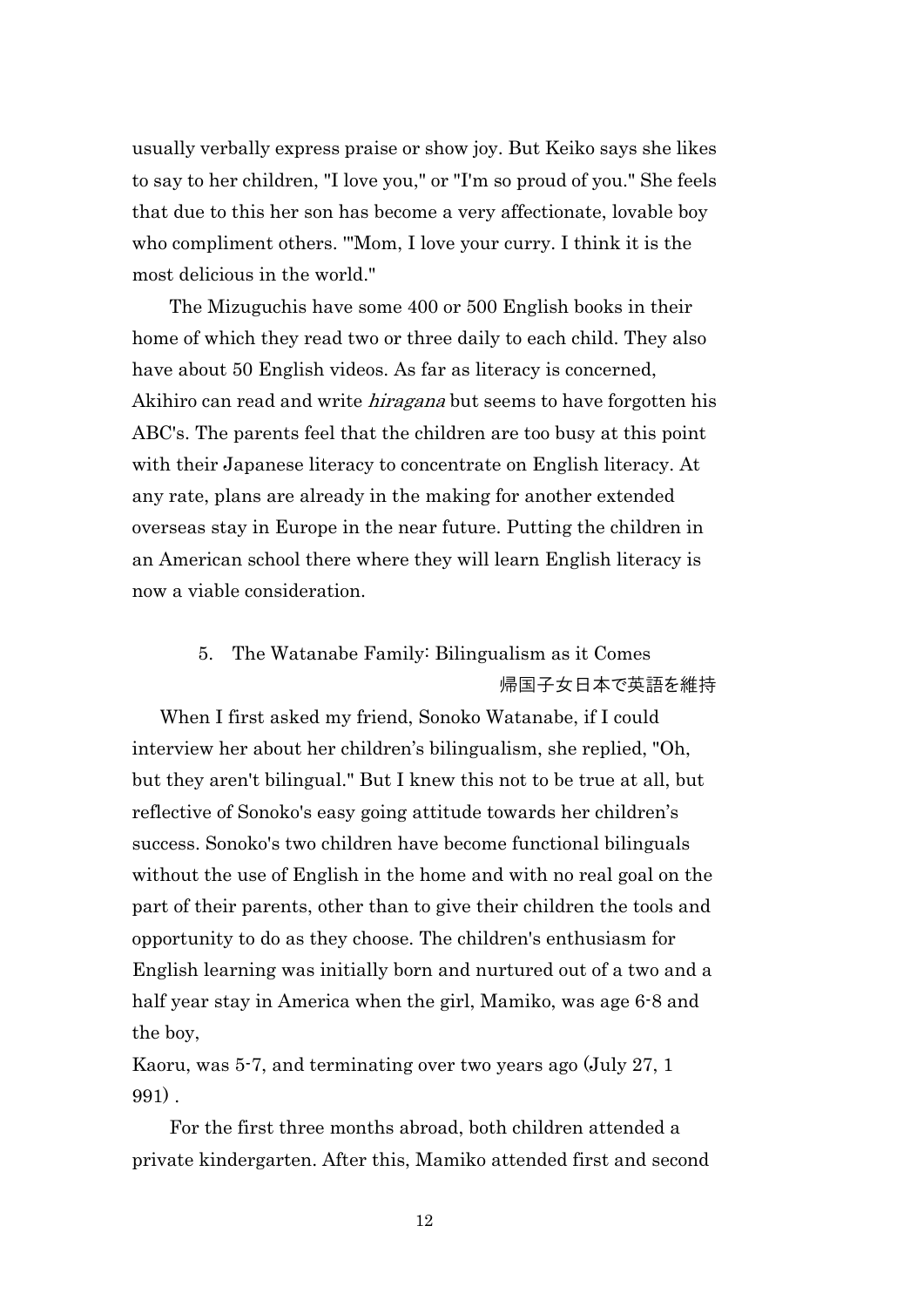usually verbally express praise or show joy. But Keiko says she likes to say to her children, "I love you," or "I'm so proud of you." She feels that due to this her son has become a very affectionate, lovable boy who compliment others. '"Mom, I love your curry. I think it is the most delicious in the world."

 The Mizuguchis have some 400 or 500 English books in their home of which they read two or three daily to each child. They also have about 50 English videos. As far as literacy is concerned, Akihiro can read and write *hiragana* but seems to have forgotten his ABC's. The parents feel that the children are too busy at this point with their Japanese literacy to concentrate on English literacy. At any rate, plans are already in the making for another extended overseas stay in Europe in the near future. Putting the children in an American school there where they will learn English literacy is now a viable consideration.

### 5. The Watanabe Family: Bilingualism as it Comes 帰国子女日本で英語を維持

 When I first asked my friend, Sonoko Watanabe, if I could interview her about her children's bilingualism, she replied, "Oh, but they aren't bilingual." But I knew this not to be true at all, but reflective of Sonoko's easy going attitude towards her children's success. Sonoko's two children have become functional bilinguals without the use of English in the home and with no real goal on the part of their parents, other than to give their children the tools and opportunity to do as they choose. The children's enthusiasm for English learning was initially born and nurtured out of a two and a half year stay in America when the girl, Mamiko, was age 6-8 and the boy,

Kaoru, was 5-7, and terminating over two years ago (July 27, 1 991) .

 For the first three months abroad, both children attended a private kindergarten. After this, Mamiko attended first and second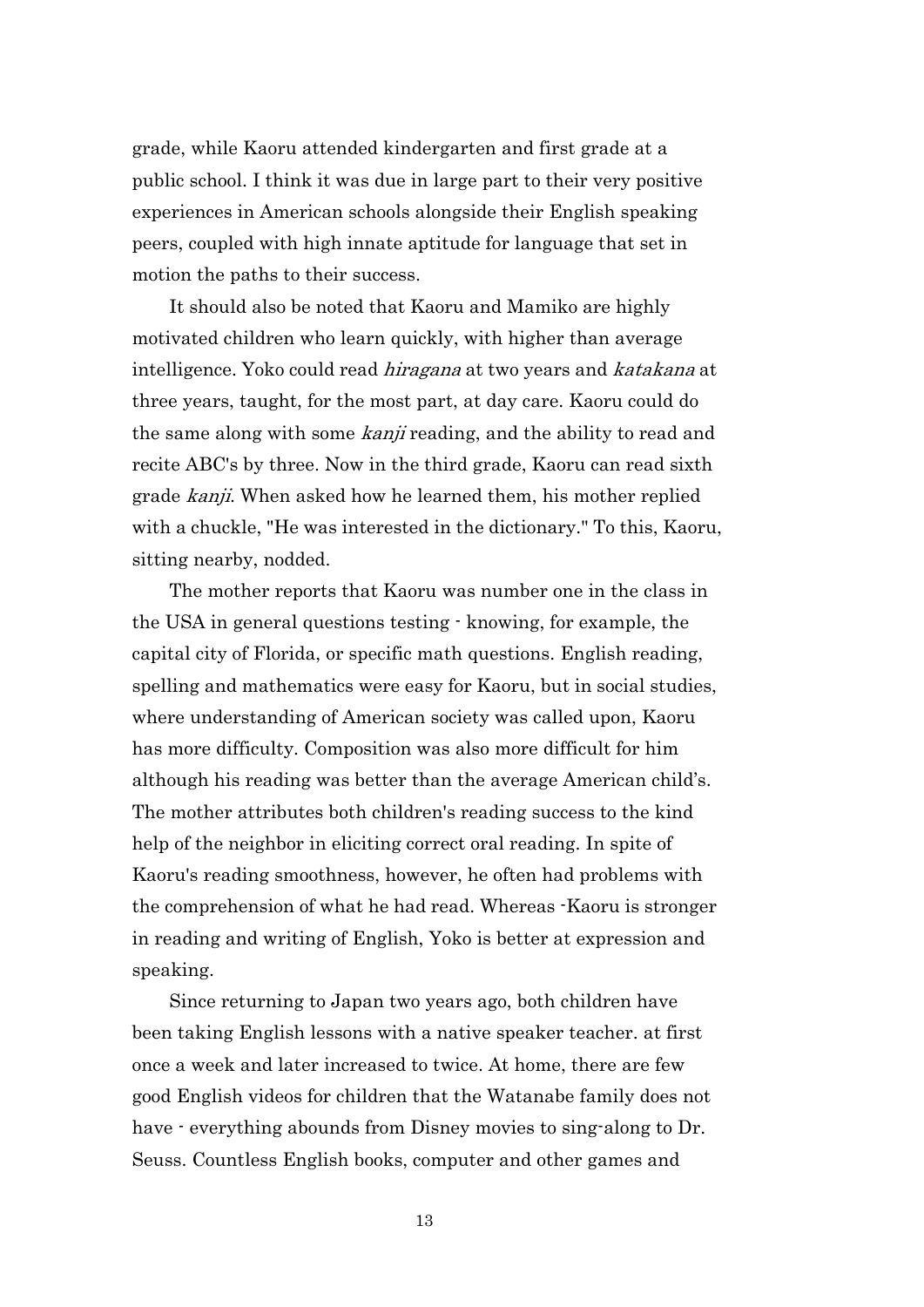grade, while Kaoru attended kindergarten and first grade at a public school. I think it was due in large part to their very positive experiences in American schools alongside their English speaking peers, coupled with high innate aptitude for language that set in motion the paths to their success.

 It should also be noted that Kaoru and Mamiko are highly motivated children who learn quickly, with higher than average intelligence. Yoko could read hiragana at two years and katakana at three years, taught, for the most part, at day care. Kaoru could do the same along with some *kanji* reading, and the ability to read and recite ABC's by three. Now in the third grade, Kaoru can read sixth grade *kanji*. When asked how he learned them, his mother replied with a chuckle, "He was interested in the dictionary." To this, Kaoru, sitting nearby, nodded.

 The mother reports that Kaoru was number one in the class in the USA in general questions testing - knowing, for example, the capital city of Florida, or specific math questions. English reading, spelling and mathematics were easy for Kaoru, but in social studies, where understanding of American society was called upon, Kaoru has more difficulty. Composition was also more difficult for him although his reading was better than the average American child's. The mother attributes both children's reading success to the kind help of the neighbor in eliciting correct oral reading. In spite of Kaoru's reading smoothness, however, he often had problems with the comprehension of what he had read. Whereas -Kaoru is stronger in reading and writing of English, Yoko is better at expression and speaking.

 Since returning to Japan two years ago, both children have been taking English lessons with a native speaker teacher. at first once a week and later increased to twice. At home, there are few good English videos for children that the Watanabe family does not have  $\cdot$  everything abounds from Disney movies to sing-along to Dr. Seuss. Countless English books, computer and other games and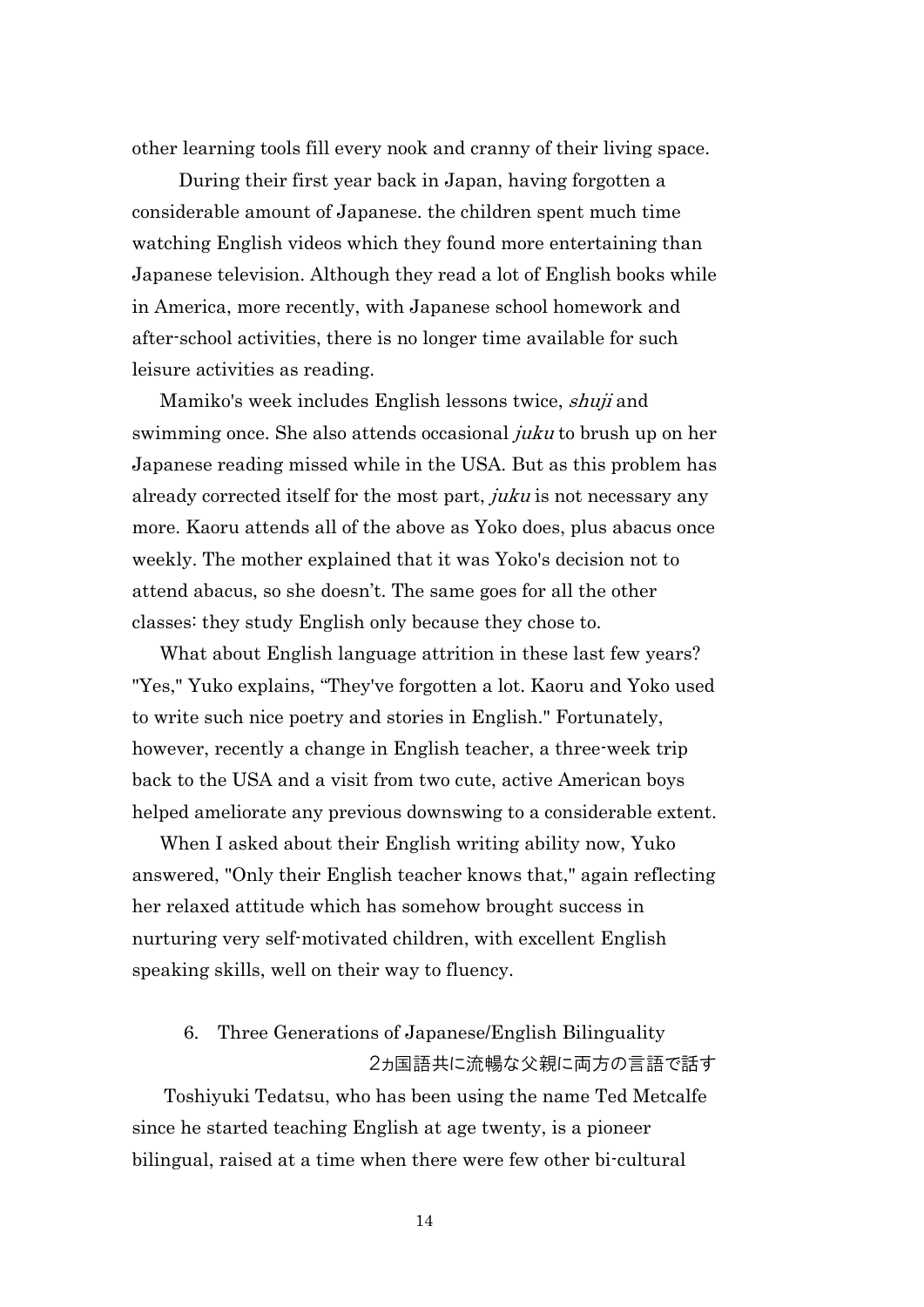other learning tools fill every nook and cranny of their living space.

 During their first year back in Japan, having forgotten a considerable amount of Japanese. the children spent much time watching English videos which they found more entertaining than Japanese television. Although they read a lot of English books while in America, more recently, with Japanese school homework and after-school activities, there is no longer time available for such leisure activities as reading.

 Mamiko's week includes English lessons twice, shuji and swimming once. She also attends occasional *juku* to brush up on her Japanese reading missed while in the USA. But as this problem has already corrected itself for the most part, juku is not necessary any more. Kaoru attends all of the above as Yoko does, plus abacus once weekly. The mother explained that it was Yoko's decision not to attend abacus, so she doesn't. The same goes for all the other classes: they study English only because they chose to.

 What about English language attrition in these last few years? "Yes," Yuko explains, "They've forgotten a lot. Kaoru and Yoko used to write such nice poetry and stories in English." Fortunately, however, recently a change in English teacher, a three-week trip back to the USA and a visit from two cute, active American boys helped ameliorate any previous downswing to a considerable extent.

 When I asked about their English writing ability now, Yuko answered, "Only their English teacher knows that," again reflecting her relaxed attitude which has somehow brought success in nurturing very self-motivated children, with excellent English speaking skills, well on their way to fluency.

### 6. Three Generations of Japanese/English Bilinguality 2ヵ国語共に流暢な父親に両方の言語で話す

Toshiyuki Tedatsu, who has been using the name Ted Metcalfe since he started teaching English at age twenty, is a pioneer bilingual, raised at a time when there were few other bi-cultural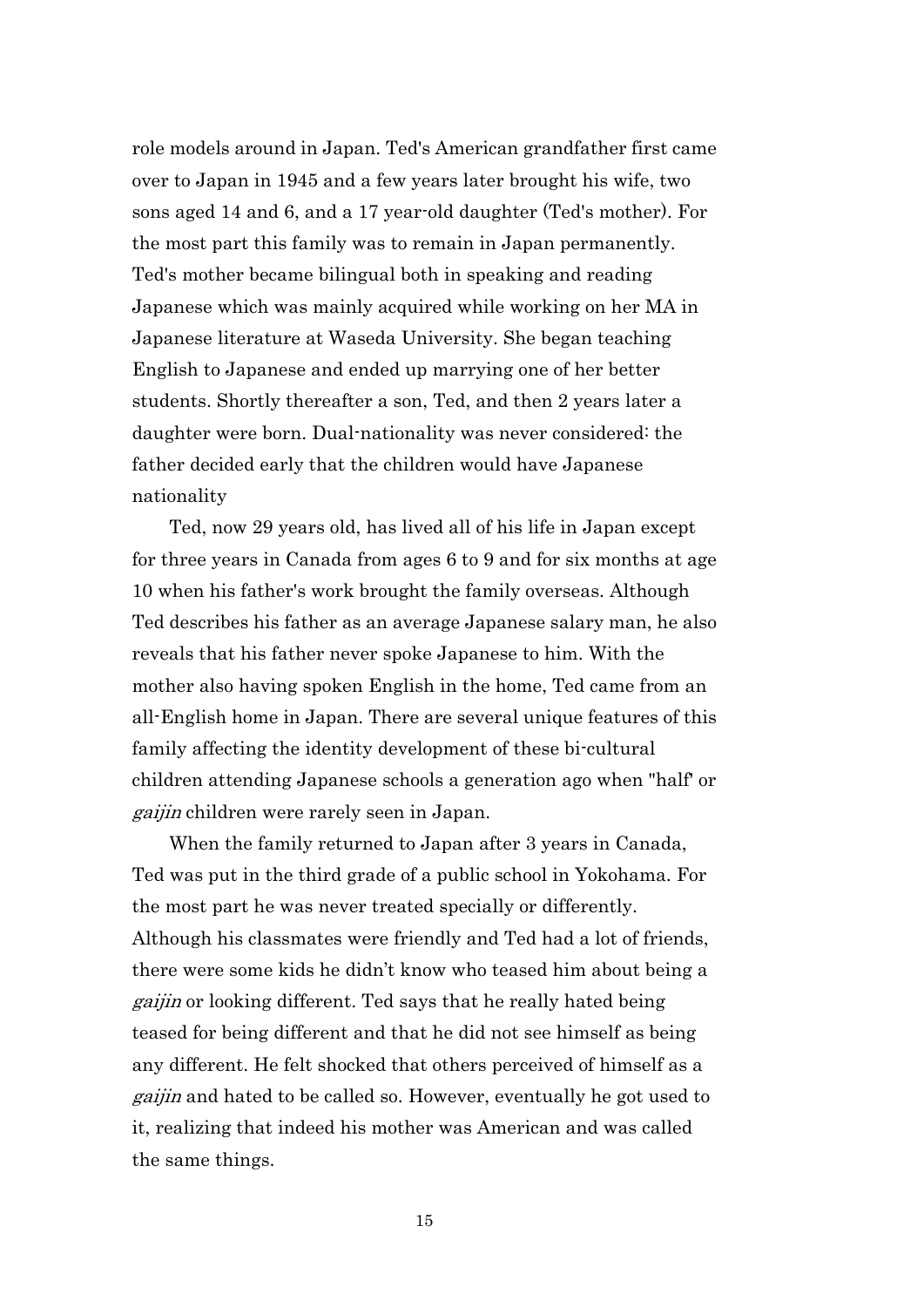role models around in Japan. Ted's American grandfather first came over to Japan in 1945 and a few years later brought his wife, two sons aged 14 and 6, and a 17 year-old daughter (Ted's mother). For the most part this family was to remain in Japan permanently. Ted's mother became bilingual both in speaking and reading Japanese which was mainly acquired while working on her MA in Japanese literature at Waseda University. She began teaching English to Japanese and ended up marrying one of her better students. Shortly thereafter a son, Ted, and then 2 years later a daughter were born. Dual-nationality was never considered: the father decided early that the children would have Japanese nationality

 Ted, now 29 years old, has lived all of his life in Japan except for three years in Canada from ages 6 to 9 and for six months at age 10 when his father's work brought the family overseas. Although Ted describes his father as an average Japanese salary man, he also reveals that his father never spoke Japanese to him. With the mother also having spoken English in the home, Ted came from an all-English home in Japan. There are several unique features of this family affecting the identity development of these bi-cultural children attending Japanese schools a generation ago when "half' or gaijin children were rarely seen in Japan.

 When the family returned to Japan after 3 years in Canada, Ted was put in the third grade of a public school in Yokohama. For the most part he was never treated specially or differently. Although his classmates were friendly and Ted had a lot of friends, there were some kids he didn't know who teased him about being a gaijin or looking different. Ted says that he really hated being teased for being different and that he did not see himself as being any different. He felt shocked that others perceived of himself as a gaijin and hated to be called so. However, eventually he got used to it, realizing that indeed his mother was American and was called the same things.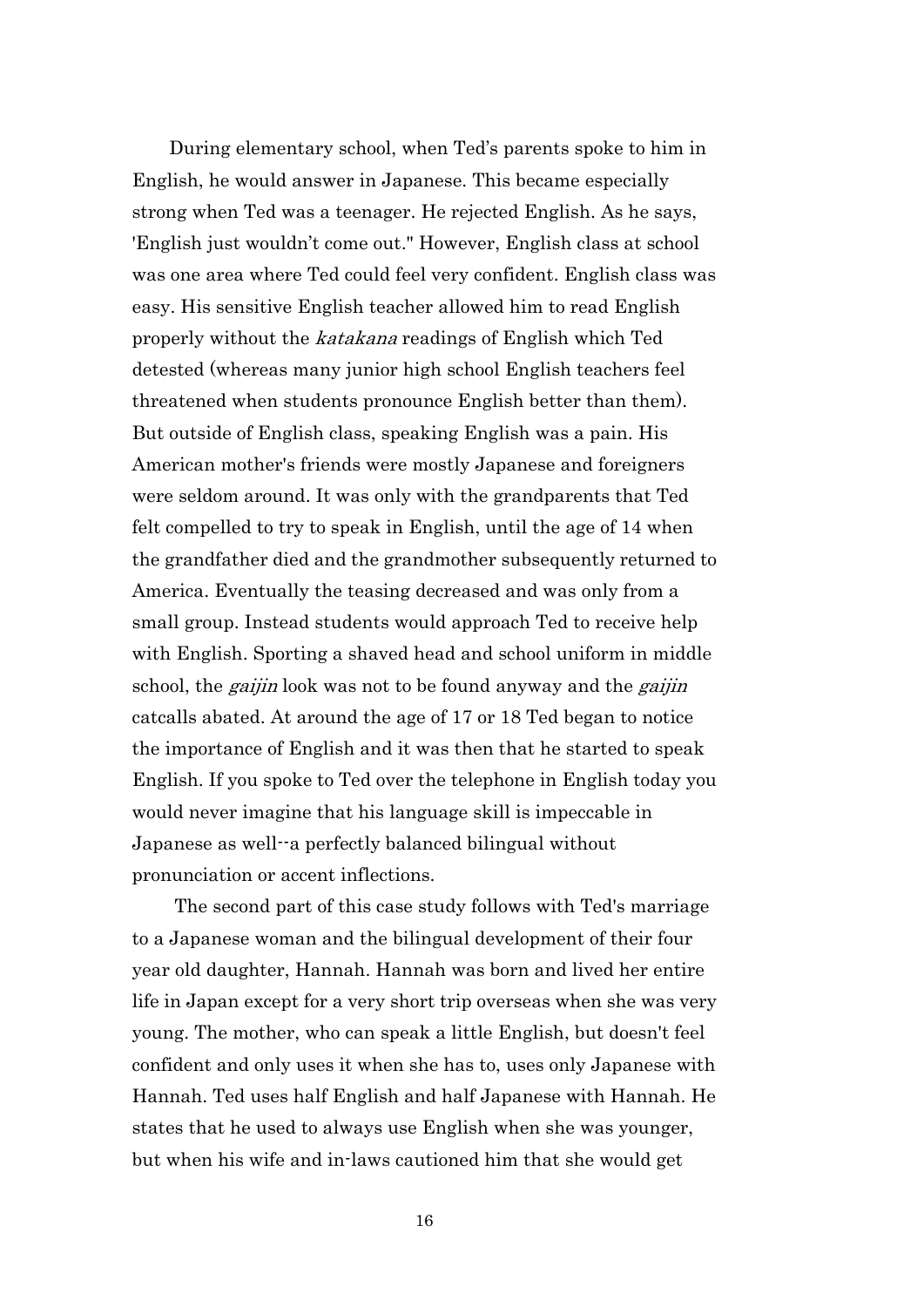During elementary school, when Ted's parents spoke to him in English, he would answer in Japanese. This became especially strong when Ted was a teenager. He rejected English. As he says, 'English just wouldn't come out." However, English class at school was one area where Ted could feel very confident. English class was easy. His sensitive English teacher allowed him to read English properly without the *katakana* readings of English which Ted detested (whereas many junior high school English teachers feel threatened when students pronounce English better than them). But outside of English class, speaking English was a pain. His American mother's friends were mostly Japanese and foreigners were seldom around. It was only with the grandparents that Ted felt compelled to try to speak in English, until the age of 14 when the grandfather died and the grandmother subsequently returned to America. Eventually the teasing decreased and was only from a small group. Instead students would approach Ted to receive help with English. Sporting a shaved head and school uniform in middle school, the *gaijin* look was not to be found anyway and the *gaijin* catcalls abated. At around the age of 17 or 18 Ted began to notice the importance of English and it was then that he started to speak English. If you spoke to Ted over the telephone in English today you would never imagine that his language skill is impeccable in Japanese as well--a perfectly balanced bilingual without pronunciation or accent inflections.

The second part of this case study follows with Ted's marriage to a Japanese woman and the bilingual development of their four year old daughter, Hannah. Hannah was born and lived her entire life in Japan except for a very short trip overseas when she was very young. The mother, who can speak a little English, but doesn't feel confident and only uses it when she has to, uses only Japanese with Hannah. Ted uses half English and half Japanese with Hannah. He states that he used to always use English when she was younger, but when his wife and in-laws cautioned him that she would get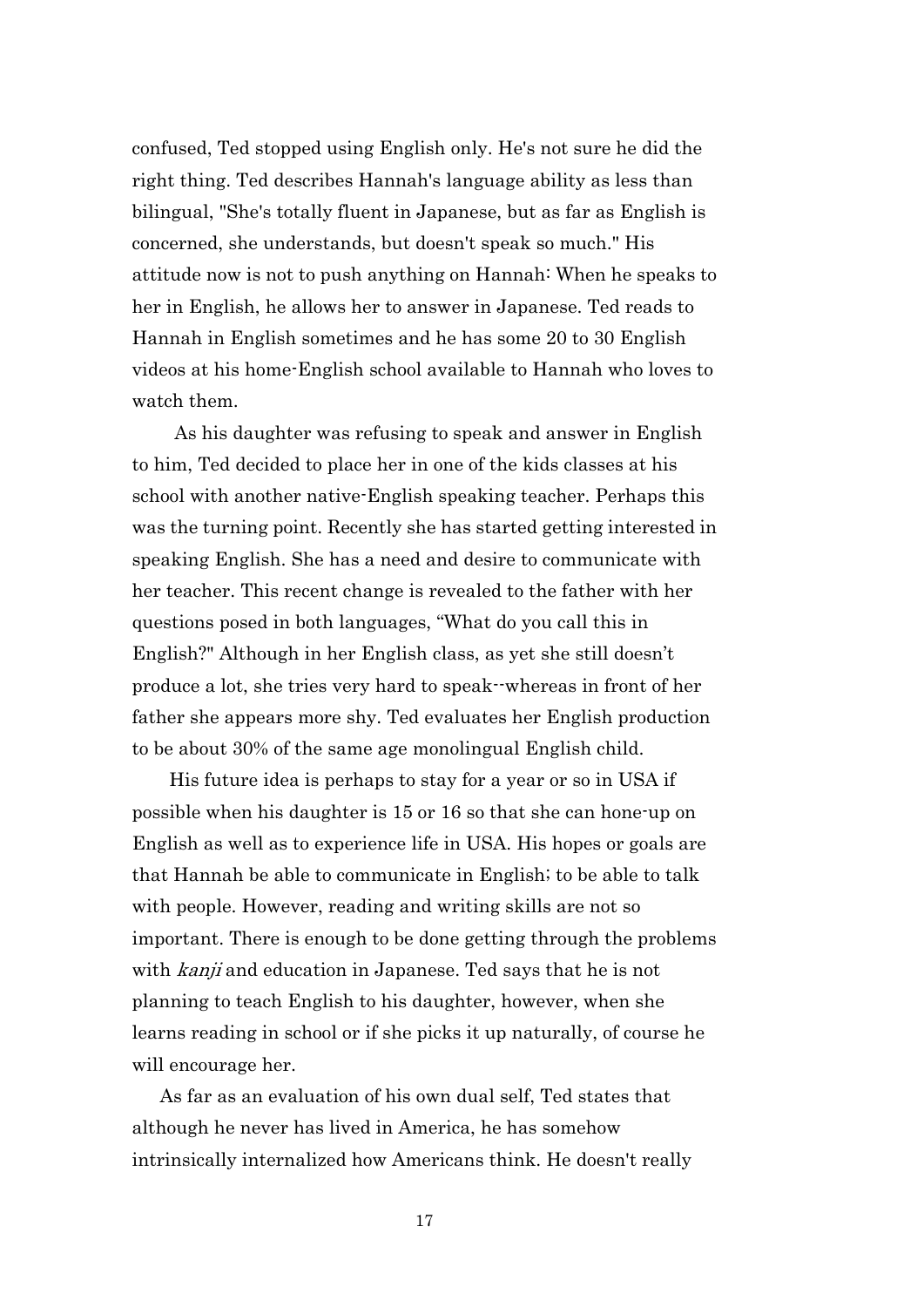confused, Ted stopped using English only. He's not sure he did the right thing. Ted describes Hannah's language ability as less than bilingual, "She's totally fluent in Japanese, but as far as English is concerned, she understands, but doesn't speak so much." His attitude now is not to push anything on Hannah: When he speaks to her in English, he allows her to answer in Japanese. Ted reads to Hannah in English sometimes and he has some 20 to 30 English videos at his home-English school available to Hannah who loves to watch them.

As his daughter was refusing to speak and answer in English to him, Ted decided to place her in one of the kids classes at his school with another native-English speaking teacher. Perhaps this was the turning point. Recently she has started getting interested in speaking English. She has a need and desire to communicate with her teacher. This recent change is revealed to the father with her questions posed in both languages, "What do you call this in English?" Although in her English class, as yet she still doesn't produce a lot, she tries very hard to speak--whereas in front of her father she appears more shy. Ted evaluates her English production to be about 30% of the same age monolingual English child.

 His future idea is perhaps to stay for a year or so in USA if possible when his daughter is 15 or 16 so that she can hone-up on English as well as to experience life in USA. His hopes or goals are that Hannah be able to communicate in English; to be able to talk with people. However, reading and writing skills are not so important. There is enough to be done getting through the problems with *kanji* and education in Japanese. Ted says that he is not planning to teach English to his daughter, however, when she learns reading in school or if she picks it up naturally, of course he will encourage her.

 As far as an evaluation of his own dual self, Ted states that although he never has lived in America, he has somehow intrinsically internalized how Americans think. He doesn't really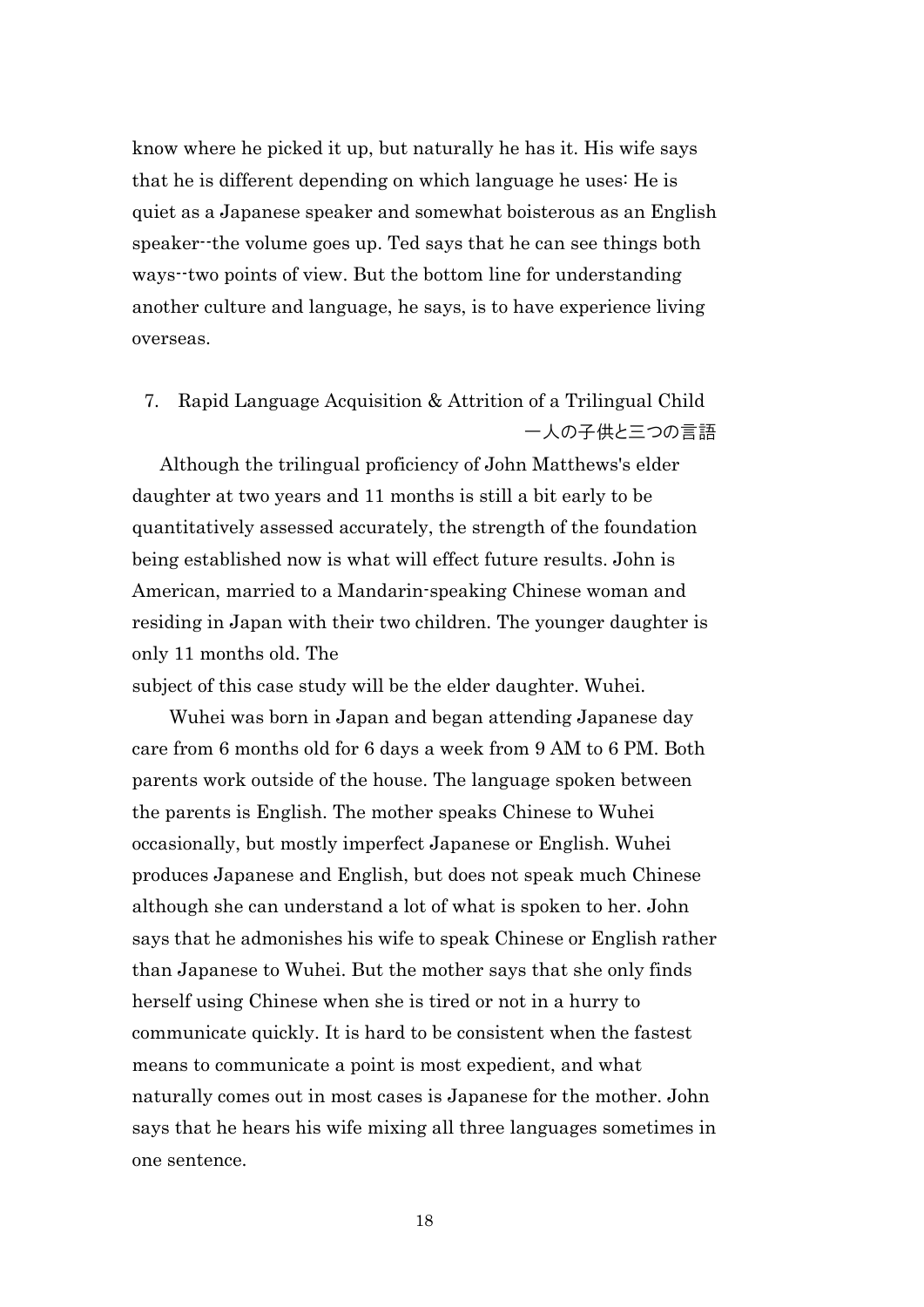know where he picked it up, but naturally he has it. His wife says that he is different depending on which language he uses: He is quiet as a Japanese speaker and somewhat boisterous as an English speaker--the volume goes up. Ted says that he can see things both ways--two points of view. But the bottom line for understanding another culture and language, he says, is to have experience living overseas.

7. Rapid Language Acquisition & Attrition of a Trilingual Child 一人の子供と三つの言語

 Although the trilingual proficiency of John Matthews's elder daughter at two years and 11 months is still a bit early to be quantitatively assessed accurately, the strength of the foundation being established now is what will effect future results. John is American, married to a Mandarin-speaking Chinese woman and residing in Japan with their two children. The younger daughter is only 11 months old. The

subject of this case study will be the elder daughter. Wuhei.

 Wuhei was born in Japan and began attending Japanese day care from 6 months old for 6 days a week from 9 AM to 6 PM. Both parents work outside of the house. The language spoken between the parents is English. The mother speaks Chinese to Wuhei occasionally, but mostly imperfect Japanese or English. Wuhei produces Japanese and English, but does not speak much Chinese although she can understand a lot of what is spoken to her. John says that he admonishes his wife to speak Chinese or English rather than Japanese to Wuhei. But the mother says that she only finds herself using Chinese when she is tired or not in a hurry to communicate quickly. It is hard to be consistent when the fastest means to communicate a point is most expedient, and what naturally comes out in most cases is Japanese for the mother. John says that he hears his wife mixing all three languages sometimes in one sentence.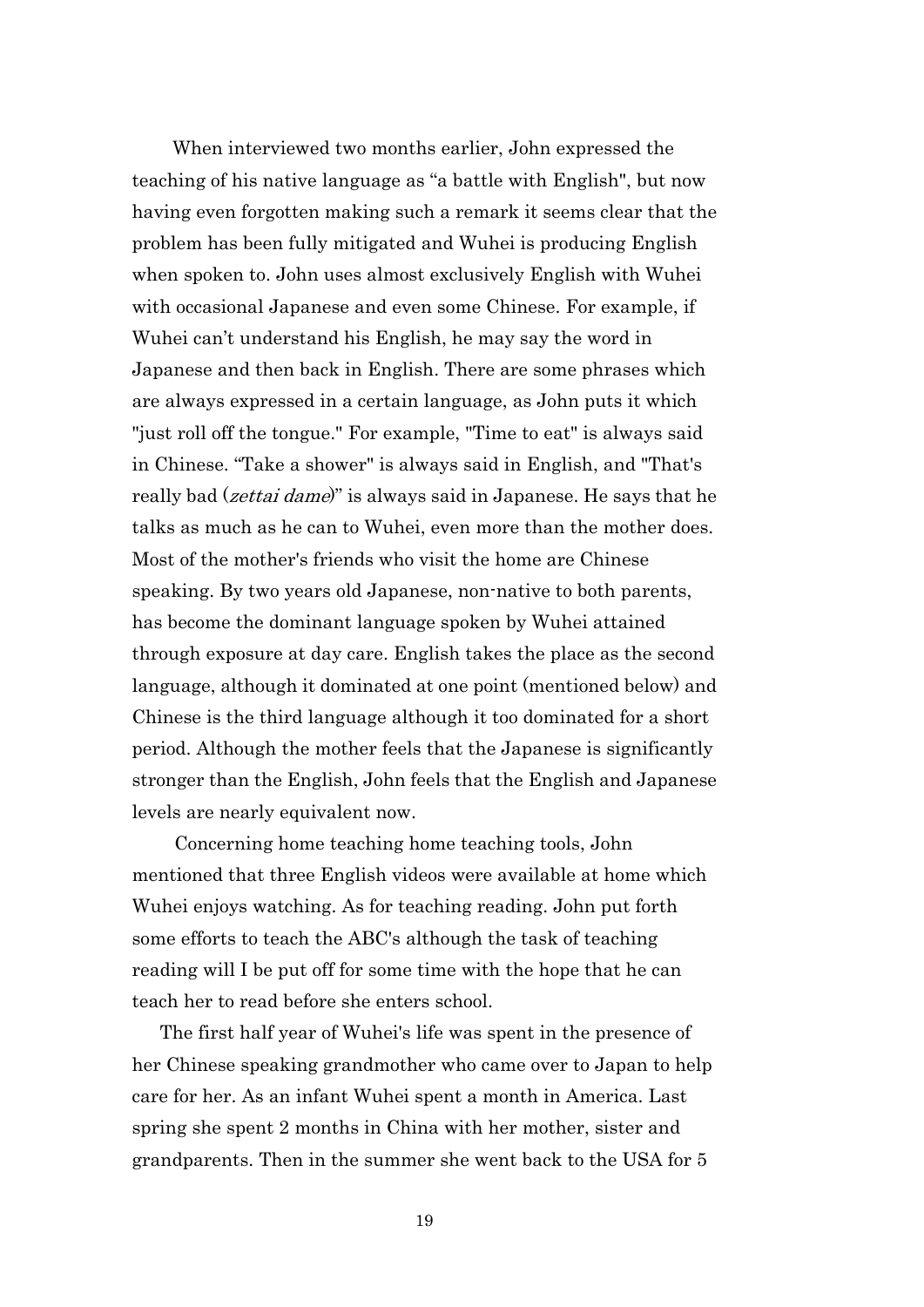When interviewed two months earlier, John expressed the teaching of his native language as "a battle with English", but now having even forgotten making such a remark it seems clear that the problem has been fully mitigated and Wuhei is producing English when spoken to. John uses almost exclusively English with Wuhei with occasional Japanese and even some Chinese. For example, if Wuhei can't understand his English, he may say the word in Japanese and then back in English. There are some phrases which are always expressed in a certain language, as John puts it which "just roll off the tongue." For example, "Time to eat" is always said in Chinese. "Take a shower" is always said in English, and "That's really bad (*zettai dame*)" is always said in Japanese. He says that he talks as much as he can to Wuhei, even more than the mother does. Most of the mother's friends who visit the home are Chinese speaking. By two years old Japanese, non-native to both parents, has become the dominant language spoken by Wuhei attained through exposure at day care. English takes the place as the second language, although it dominated at one point (mentioned below) and Chinese is the third language although it too dominated for a short period. Although the mother feels that the Japanese is significantly stronger than the English, John feels that the English and Japanese levels are nearly equivalent now.

Concerning home teaching home teaching tools, John mentioned that three English videos were available at home which Wuhei enjoys watching. As for teaching reading. John put forth some efforts to teach the ABC's although the task of teaching reading will I be put off for some time with the hope that he can teach her to read before she enters school.

 The first half year of Wuhei's life was spent in the presence of her Chinese speaking grandmother who came over to Japan to help care for her. As an infant Wuhei spent a month in America. Last spring she spent 2 months in China with her mother, sister and grandparents. Then in the summer she went back to the USA for 5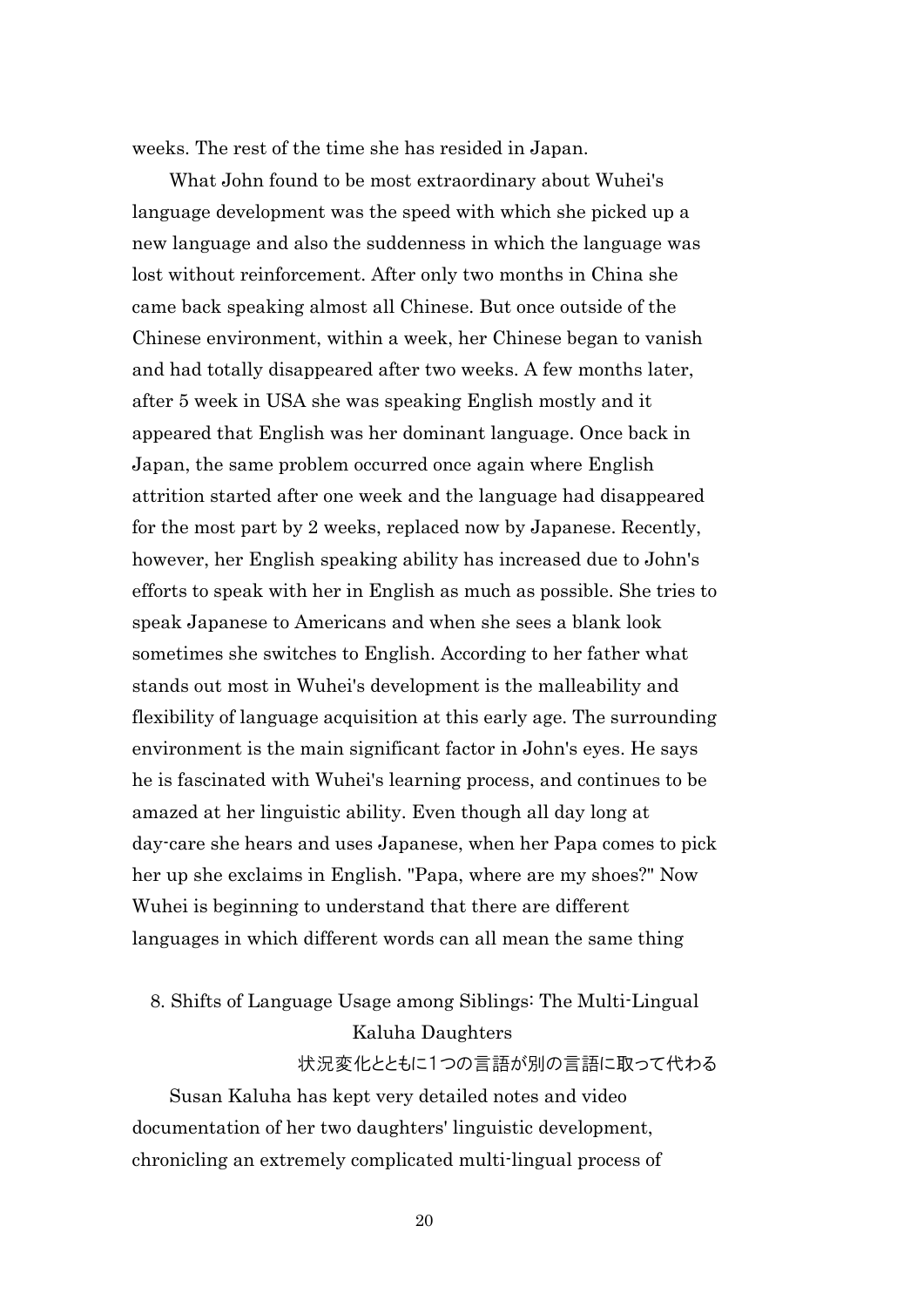weeks. The rest of the time she has resided in Japan.

 What John found to be most extraordinary about Wuhei's language development was the speed with which she picked up a new language and also the suddenness in which the language was lost without reinforcement. After only two months in China she came back speaking almost all Chinese. But once outside of the Chinese environment, within a week, her Chinese began to vanish and had totally disappeared after two weeks. A few months later, after 5 week in USA she was speaking English mostly and it appeared that English was her dominant language. Once back in Japan, the same problem occurred once again where English attrition started after one week and the language had disappeared for the most part by 2 weeks, replaced now by Japanese. Recently, however, her English speaking ability has increased due to John's efforts to speak with her in English as much as possible. She tries to speak Japanese to Americans and when she sees a blank look sometimes she switches to English. According to her father what stands out most in Wuhei's development is the malleability and flexibility of language acquisition at this early age. The surrounding environment is the main significant factor in John's eyes. He says he is fascinated with Wuhei's learning process, and continues to be amazed at her linguistic ability. Even though all day long at day-care she hears and uses Japanese, when her Papa comes to pick her up she exclaims in English. "Papa, where are my shoes?" Now Wuhei is beginning to understand that there are different languages in which different words can all mean the same thing

# 8. Shifts of Language Usage among Siblings: The Multi-Lingual Kaluha Daughters 状況変化とともに1つの言語が別の言語に取って代わる

 Susan Kaluha has kept very detailed notes and video documentation of her two daughters' linguistic development, chronicling an extremely complicated multi-lingual process of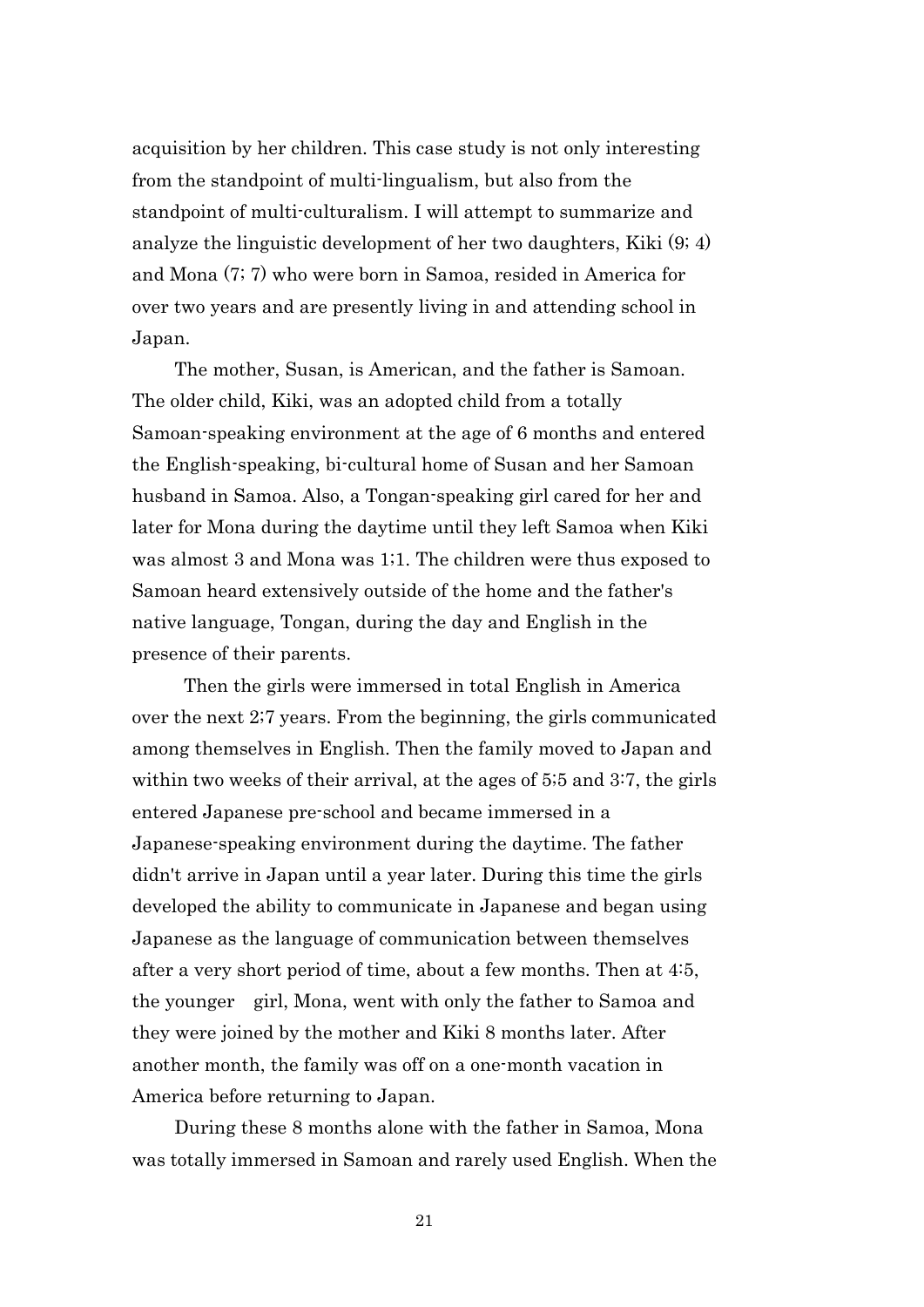acquisition by her children. This case study is not only interesting from the standpoint of multi-lingualism, but also from the standpoint of multi-culturalism. I will attempt to summarize and analyze the linguistic development of her two daughters, Kiki (9; 4) and Mona (7; 7) who were born in Samoa, resided in America for over two years and are presently living in and attending school in Japan.

The mother, Susan, is American, and the father is Samoan. The older child, Kiki, was an adopted child from a totally Samoan-speaking environment at the age of 6 months and entered the English-speaking, bi-cultural home of Susan and her Samoan husband in Samoa. Also, a Tongan-speaking girl cared for her and later for Mona during the daytime until they left Samoa when Kiki was almost 3 and Mona was 1;1. The children were thus exposed to Samoan heard extensively outside of the home and the father's native language, Tongan, during the day and English in the presence of their parents.

 Then the girls were immersed in total English in America over the next 2;7 years. From the beginning, the girls communicated among themselves in English. Then the family moved to Japan and within two weeks of their arrival, at the ages of 5;5 and 3:7, the girls entered Japanese pre-school and became immersed in a Japanese-speaking environment during the daytime. The father didn't arrive in Japan until a year later. During this time the girls developed the ability to communicate in Japanese and began using Japanese as the language of communication between themselves after a very short period of time, about a few months. Then at 4:5, the younger girl, Mona, went with only the father to Samoa and they were joined by the mother and Kiki 8 months later. After another month, the family was off on a one-month vacation in America before returning to Japan.

During these 8 months alone with the father in Samoa, Mona was totally immersed in Samoan and rarely used English. When the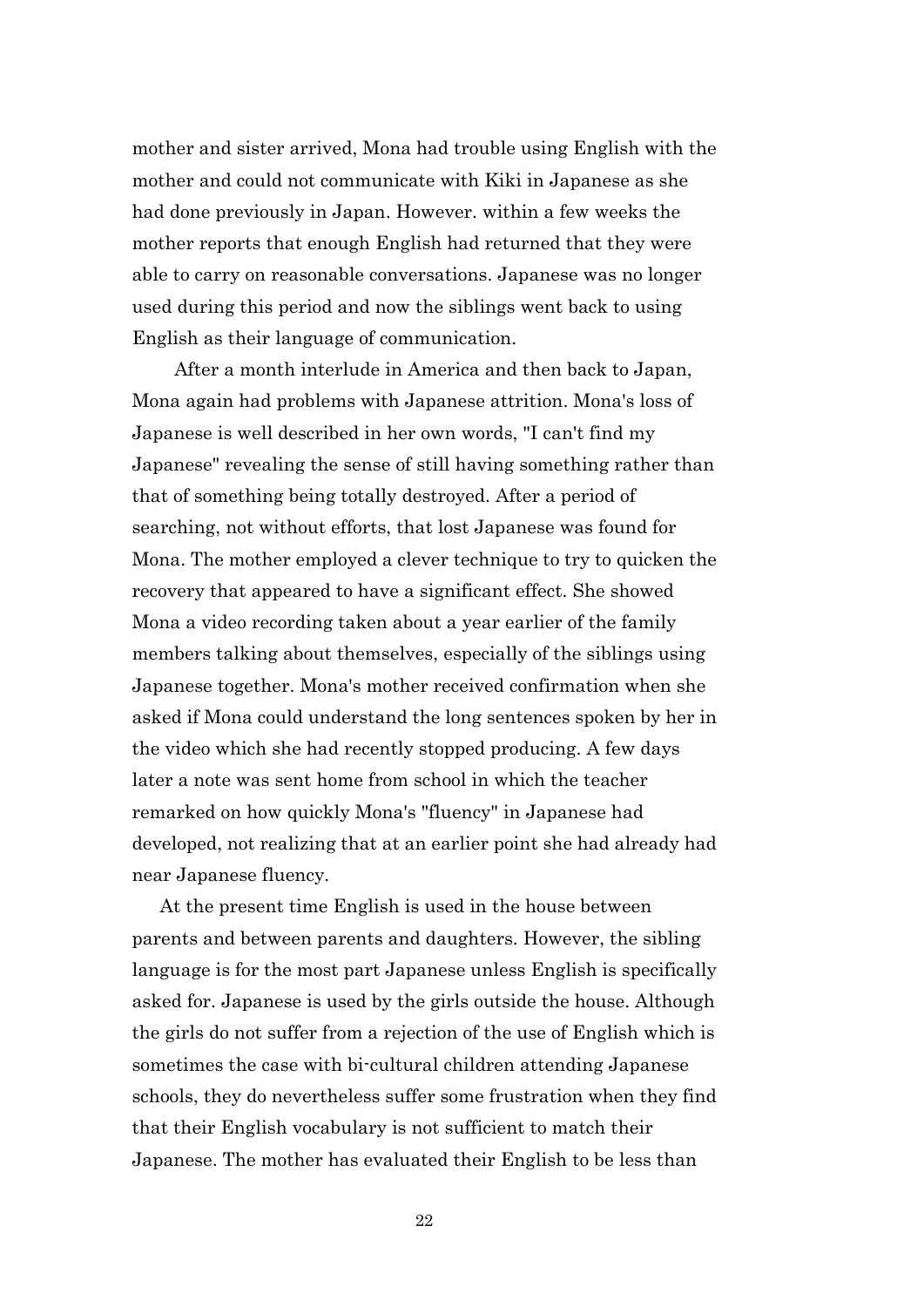mother and sister arrived, Mona had trouble using English with the mother and could not communicate with Kiki in Japanese as she had done previously in Japan. However. within a few weeks the mother reports that enough English had returned that they were able to carry on reasonable conversations. Japanese was no longer used during this period and now the siblings went back to using English as their language of communication.

After a month interlude in America and then back to Japan, Mona again had problems with Japanese attrition. Mona's loss of Japanese is well described in her own words, "I can't find my Japanese" revealing the sense of still having something rather than that of something being totally destroyed. After a period of searching, not without efforts, that lost Japanese was found for Mona. The mother employed a clever technique to try to quicken the recovery that appeared to have a significant effect. She showed Mona a video recording taken about a year earlier of the family members talking about themselves, especially of the siblings using Japanese together. Mona's mother received confirmation when she asked if Mona could understand the long sentences spoken by her in the video which she had recently stopped producing. A few days later a note was sent home from school in which the teacher remarked on how quickly Mona's "fluency" in Japanese had developed, not realizing that at an earlier point she had already had near Japanese fluency.

 At the present time English is used in the house between parents and between parents and daughters. However, the sibling language is for the most part Japanese unless English is specifically asked for. Japanese is used by the girls outside the house. Although the girls do not suffer from a rejection of the use of English which is sometimes the case with bi-cultural children attending Japanese schools, they do nevertheless suffer some frustration when they find that their English vocabulary is not sufficient to match their Japanese. The mother has evaluated their English to be less than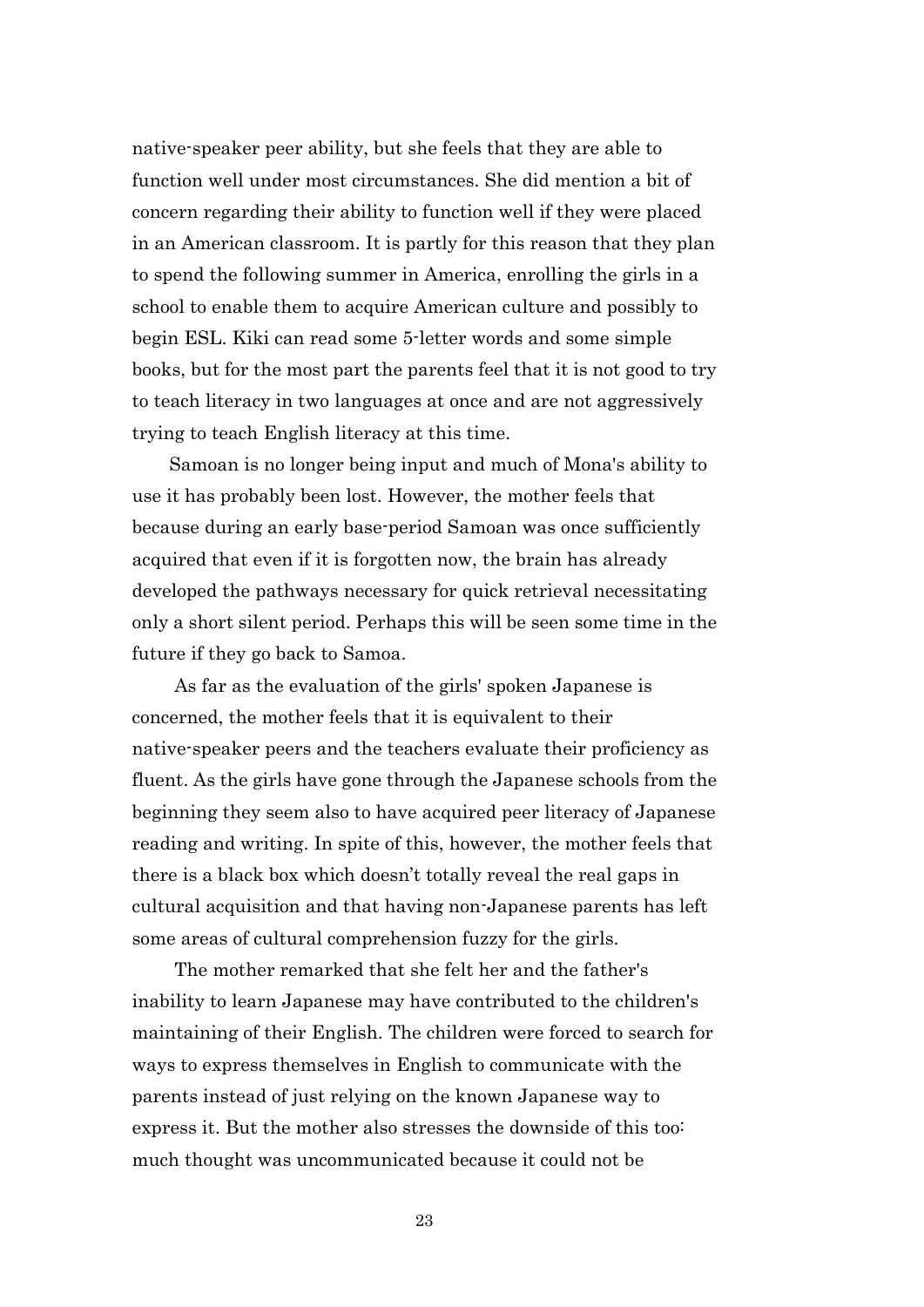native-speaker peer ability, but she feels that they are able to function well under most circumstances. She did mention a bit of concern regarding their ability to function well if they were placed in an American classroom. It is partly for this reason that they plan to spend the following summer in America, enrolling the girls in a school to enable them to acquire American culture and possibly to begin ESL. Kiki can read some 5-letter words and some simple books, but for the most part the parents feel that it is not good to try to teach literacy in two languages at once and are not aggressively trying to teach English literacy at this time.

 Samoan is no longer being input and much of Mona's ability to use it has probably been lost. However, the mother feels that because during an early base-period Samoan was once sufficiently acquired that even if it is forgotten now, the brain has already developed the pathways necessary for quick retrieval necessitating only a short silent period. Perhaps this will be seen some time in the future if they go back to Samoa.

As far as the evaluation of the girls' spoken Japanese is concerned, the mother feels that it is equivalent to their native-speaker peers and the teachers evaluate their proficiency as fluent. As the girls have gone through the Japanese schools from the beginning they seem also to have acquired peer literacy of Japanese reading and writing. In spite of this, however, the mother feels that there is a black box which doesn't totally reveal the real gaps in cultural acquisition and that having non-Japanese parents has left some areas of cultural comprehension fuzzy for the girls.

The mother remarked that she felt her and the father's inability to learn Japanese may have contributed to the children's maintaining of their English. The children were forced to search for ways to express themselves in English to communicate with the parents instead of just relying on the known Japanese way to express it. But the mother also stresses the downside of this too: much thought was uncommunicated because it could not be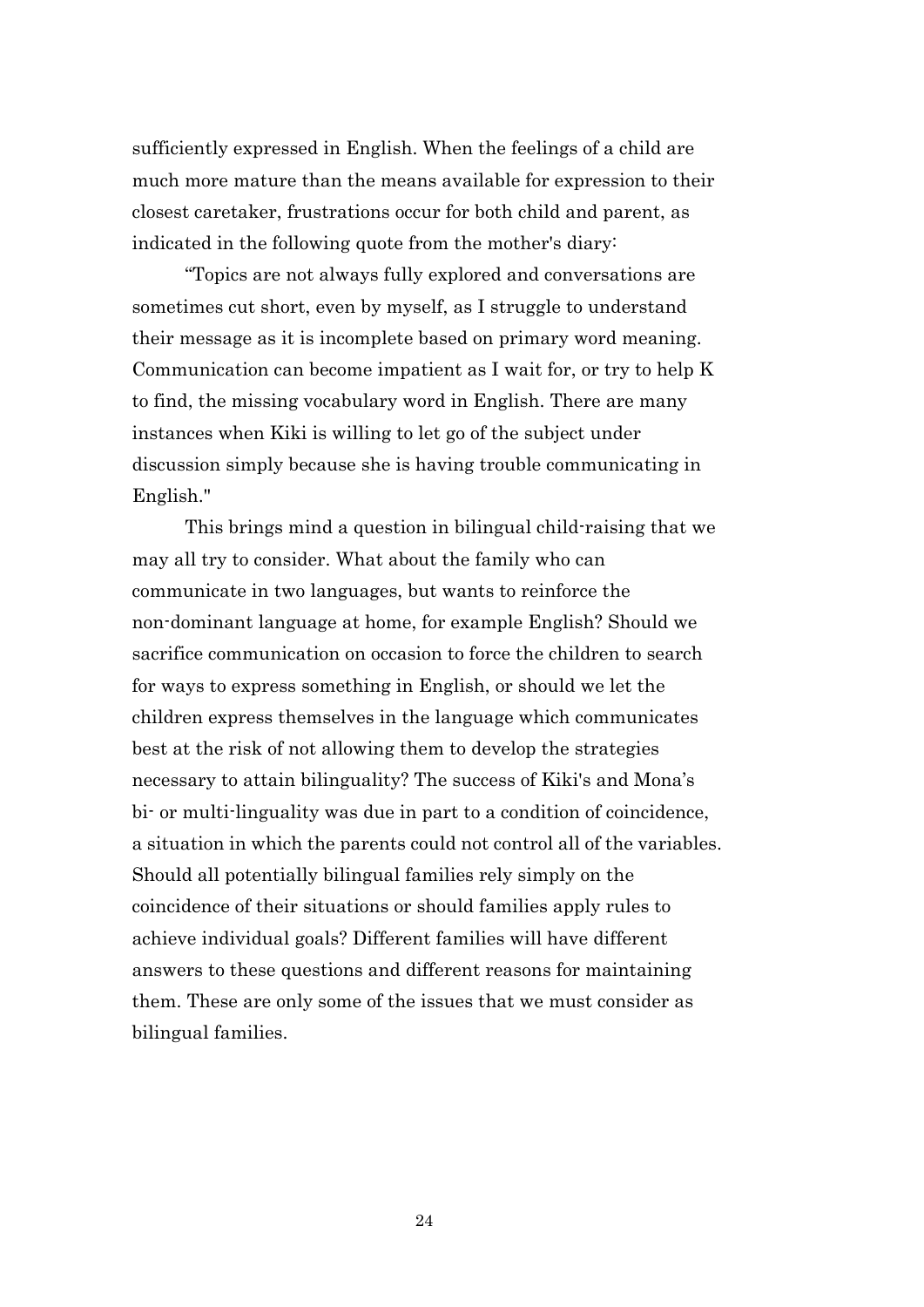sufficiently expressed in English. When the feelings of a child are much more mature than the means available for expression to their closest caretaker, frustrations occur for both child and parent, as indicated in the following quote from the mother's diary:

"Topics are not always fully explored and conversations are sometimes cut short, even by myself, as I struggle to understand their message as it is incomplete based on primary word meaning. Communication can become impatient as I wait for, or try to help K to find, the missing vocabulary word in English. There are many instances when Kiki is willing to let go of the subject under discussion simply because she is having trouble communicating in English."

This brings mind a question in bilingual child-raising that we may all try to consider. What about the family who can communicate in two languages, but wants to reinforce the non-dominant language at home, for example English? Should we sacrifice communication on occasion to force the children to search for ways to express something in English, or should we let the children express themselves in the language which communicates best at the risk of not allowing them to develop the strategies necessary to attain bilinguality? The success of Kiki's and Mona's bi- or multi-linguality was due in part to a condition of coincidence, a situation in which the parents could not control all of the variables. Should all potentially bilingual families rely simply on the coincidence of their situations or should families apply rules to achieve individual goals? Different families will have different answers to these questions and different reasons for maintaining them. These are only some of the issues that we must consider as bilingual families.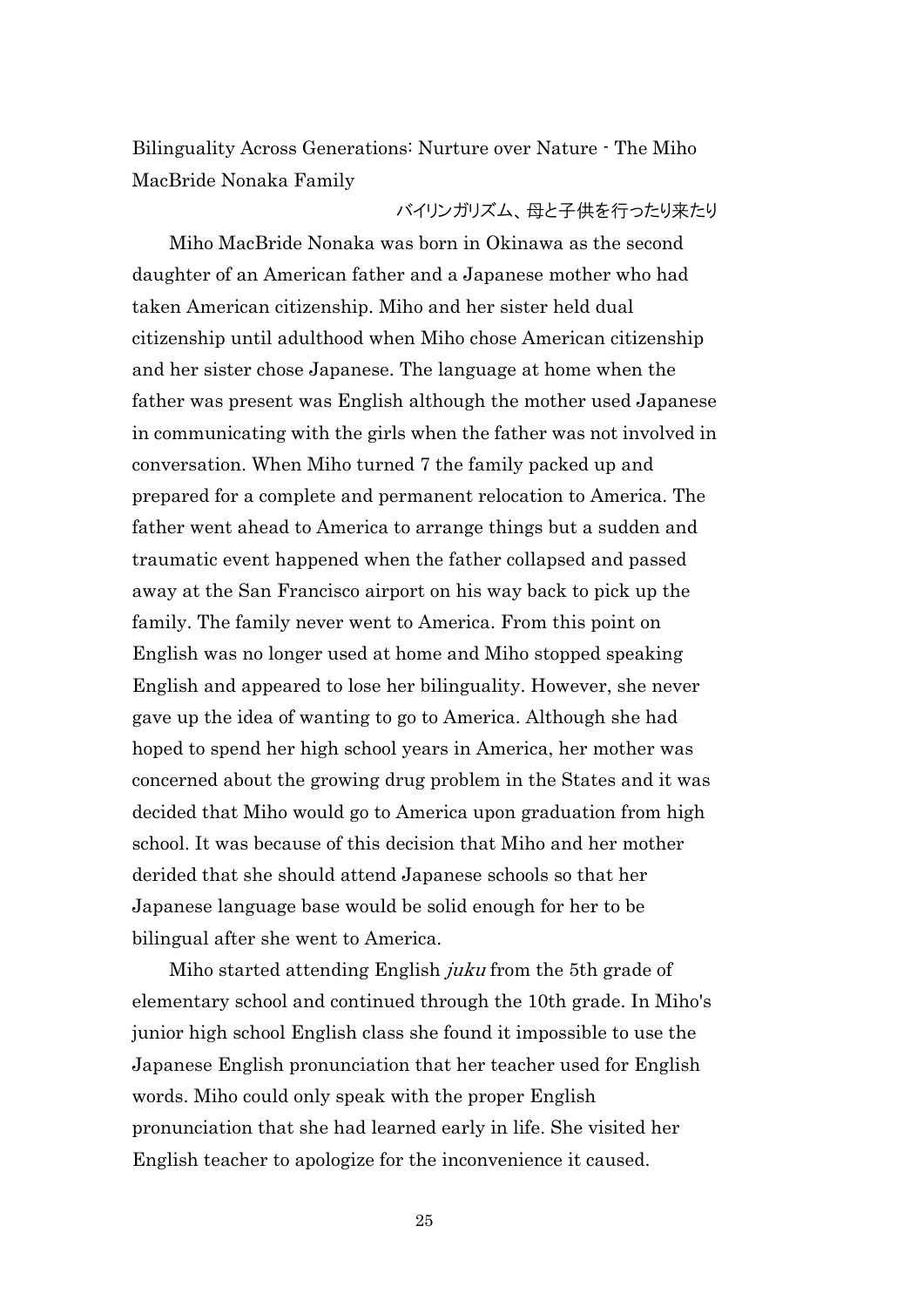Bilinguality Across Generations: Nurture over Nature - The Miho MacBride Nonaka Family

#### バイリンガリズム、母と子供を行ったり来たり

 Miho MacBride Nonaka was born in Okinawa as the second daughter of an American father and a Japanese mother who had taken American citizenship. Miho and her sister held dual citizenship until adulthood when Miho chose American citizenship and her sister chose Japanese. The language at home when the father was present was English although the mother used Japanese in communicating with the girls when the father was not involved in conversation. When Miho turned 7 the family packed up and prepared for a complete and permanent relocation to America. The father went ahead to America to arrange things but a sudden and traumatic event happened when the father collapsed and passed away at the San Francisco airport on his way back to pick up the family. The family never went to America. From this point on English was no longer used at home and Miho stopped speaking English and appeared to lose her bilinguality. However, she never gave up the idea of wanting to go to America. Although she had hoped to spend her high school years in America, her mother was concerned about the growing drug problem in the States and it was decided that Miho would go to America upon graduation from high school. It was because of this decision that Miho and her mother derided that she should attend Japanese schools so that her Japanese language base would be solid enough for her to be bilingual after she went to America.

Miho started attending English *juku* from the 5th grade of elementary school and continued through the 10th grade. In Miho's junior high school English class she found it impossible to use the Japanese English pronunciation that her teacher used for English words. Miho could only speak with the proper English pronunciation that she had learned early in life. She visited her English teacher to apologize for the inconvenience it caused.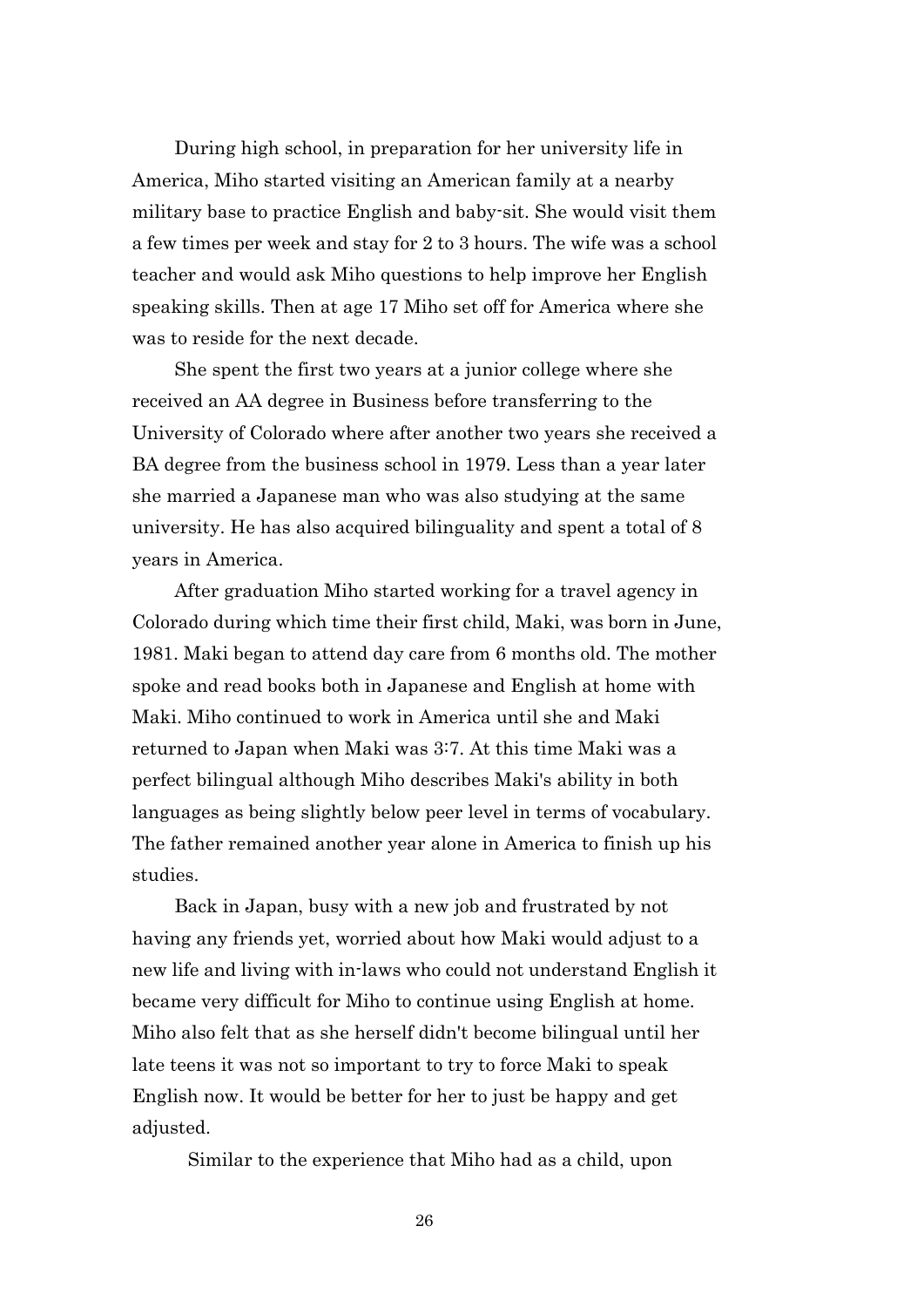During high school, in preparation for her university life in America, Miho started visiting an American family at a nearby military base to practice English and baby-sit. She would visit them a few times per week and stay for 2 to 3 hours. The wife was a school teacher and would ask Miho questions to help improve her English speaking skills. Then at age 17 Miho set off for America where she was to reside for the next decade.

She spent the first two years at a junior college where she received an AA degree in Business before transferring to the University of Colorado where after another two years she received a BA degree from the business school in 1979. Less than a year later she married a Japanese man who was also studying at the same university. He has also acquired bilinguality and spent a total of 8 years in America.

After graduation Miho started working for a travel agency in Colorado during which time their first child, Maki, was born in June, 1981. Maki began to attend day care from 6 months old. The mother spoke and read books both in Japanese and English at home with Maki. Miho continued to work in America until she and Maki returned to Japan when Maki was 3:7. At this time Maki was a perfect bilingual although Miho describes Maki's ability in both languages as being slightly below peer level in terms of vocabulary. The father remained another year alone in America to finish up his studies.

Back in Japan, busy with a new job and frustrated by not having any friends yet, worried about how Maki would adjust to a new life and living with in-laws who could not understand English it became very difficult for Miho to continue using English at home. Miho also felt that as she herself didn't become bilingual until her late teens it was not so important to try to force Maki to speak English now. It would be better for her to just be happy and get adjusted.

Similar to the experience that Miho had as a child, upon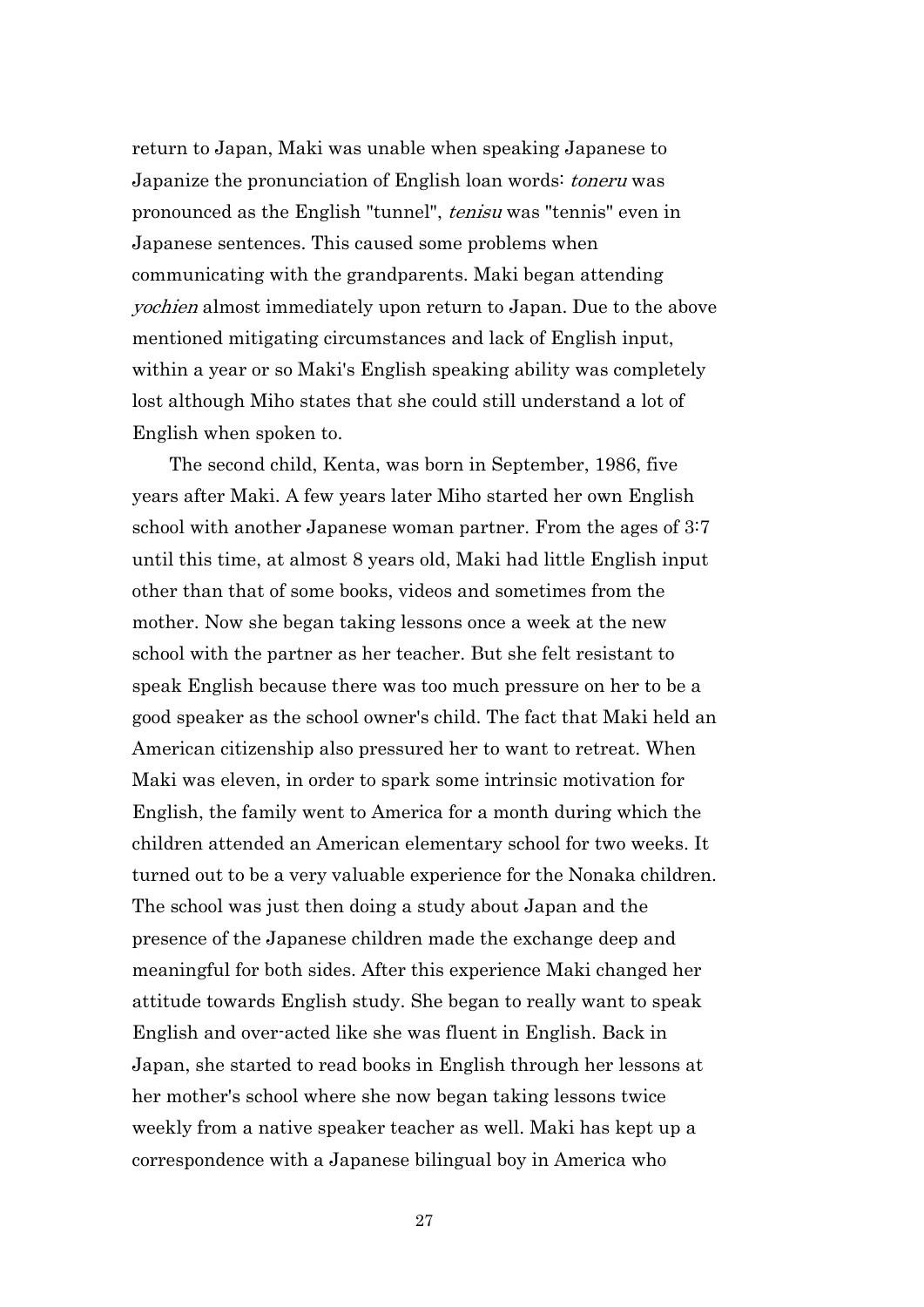return to Japan, Maki was unable when speaking Japanese to Japanize the pronunciation of English loan words: *tonery* was pronounced as the English "tunnel", tenisu was "tennis" even in Japanese sentences. This caused some problems when communicating with the grandparents. Maki began attending yochien almost immediately upon return to Japan. Due to the above mentioned mitigating circumstances and lack of English input, within a year or so Maki's English speaking ability was completely lost although Miho states that she could still understand a lot of English when spoken to.

 The second child, Kenta, was born in September, 1986, five years after Maki. A few years later Miho started her own English school with another Japanese woman partner. From the ages of 3:7 until this time, at almost 8 years old, Maki had little English input other than that of some books, videos and sometimes from the mother. Now she began taking lessons once a week at the new school with the partner as her teacher. But she felt resistant to speak English because there was too much pressure on her to be a good speaker as the school owner's child. The fact that Maki held an American citizenship also pressured her to want to retreat. When Maki was eleven, in order to spark some intrinsic motivation for English, the family went to America for a month during which the children attended an American elementary school for two weeks. It turned out to be a very valuable experience for the Nonaka children. The school was just then doing a study about Japan and the presence of the Japanese children made the exchange deep and meaningful for both sides. After this experience Maki changed her attitude towards English study. She began to really want to speak English and over-acted like she was fluent in English. Back in Japan, she started to read books in English through her lessons at her mother's school where she now began taking lessons twice weekly from a native speaker teacher as well. Maki has kept up a correspondence with a Japanese bilingual boy in America who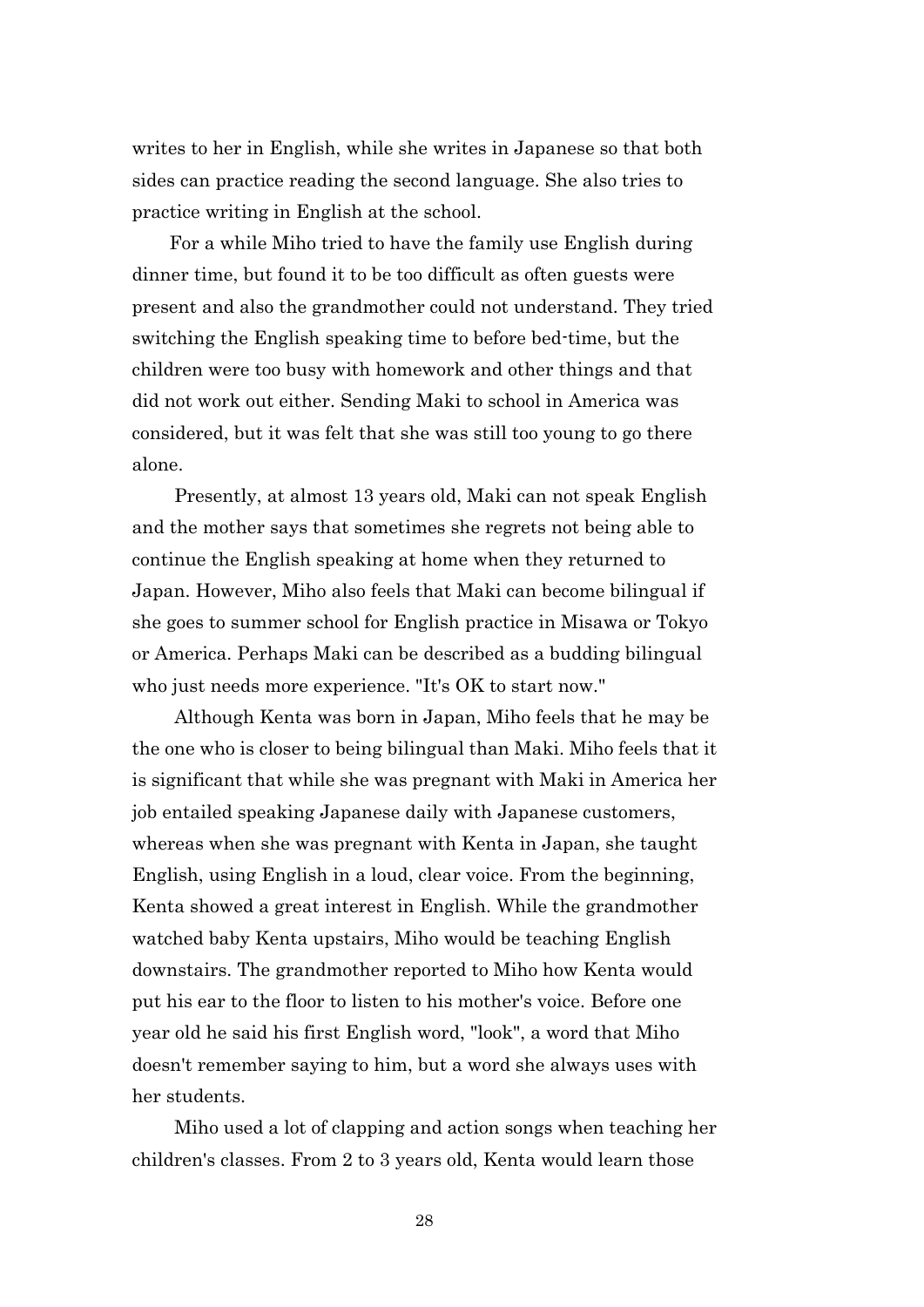writes to her in English, while she writes in Japanese so that both sides can practice reading the second language. She also tries to practice writing in English at the school.

 For a while Miho tried to have the family use English during dinner time, but found it to be too difficult as often guests were present and also the grandmother could not understand. They tried switching the English speaking time to before bed-time, but the children were too busy with homework and other things and that did not work out either. Sending Maki to school in America was considered, but it was felt that she was still too young to go there alone.

Presently, at almost 13 years old, Maki can not speak English and the mother says that sometimes she regrets not being able to continue the English speaking at home when they returned to Japan. However, Miho also feels that Maki can become bilingual if she goes to summer school for English practice in Misawa or Tokyo or America. Perhaps Maki can be described as a budding bilingual who just needs more experience. "It's OK to start now."

Although Kenta was born in Japan, Miho feels that he may be the one who is closer to being bilingual than Maki. Miho feels that it is significant that while she was pregnant with Maki in America her job entailed speaking Japanese daily with Japanese customers, whereas when she was pregnant with Kenta in Japan, she taught English, using English in a loud, clear voice. From the beginning, Kenta showed a great interest in English. While the grandmother watched baby Kenta upstairs, Miho would be teaching English downstairs. The grandmother reported to Miho how Kenta would put his ear to the floor to listen to his mother's voice. Before one year old he said his first English word, "look", a word that Miho doesn't remember saying to him, but a word she always uses with her students.

Miho used a lot of clapping and action songs when teaching her children's classes. From 2 to 3 years old, Kenta would learn those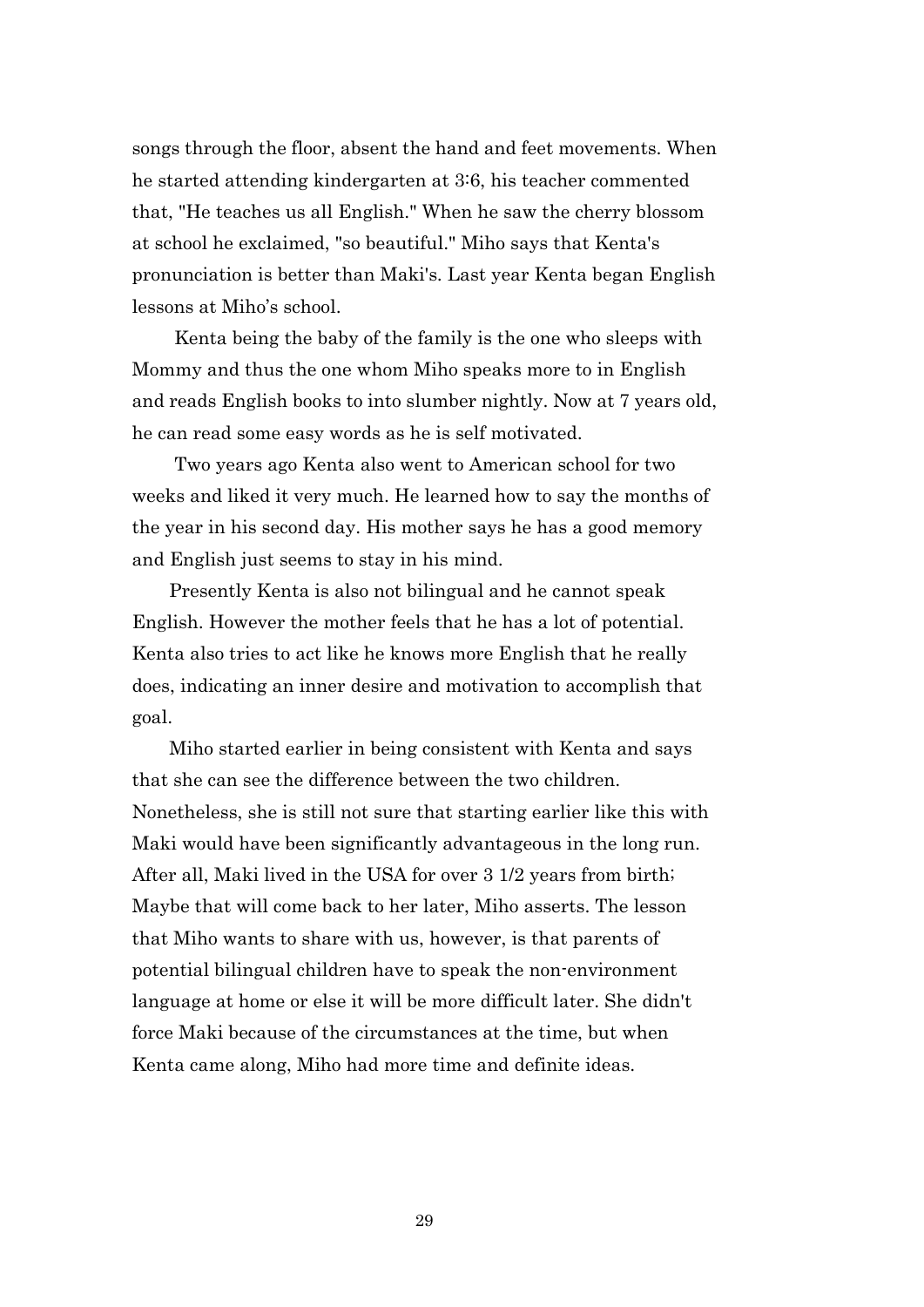songs through the floor, absent the hand and feet movements. When he started attending kindergarten at 3:6, his teacher commented that, "He teaches us all English." When he saw the cherry blossom at school he exclaimed, "so beautiful." Miho says that Kenta's pronunciation is better than Maki's. Last year Kenta began English lessons at Miho's school.

Kenta being the baby of the family is the one who sleeps with Mommy and thus the one whom Miho speaks more to in English and reads English books to into slumber nightly. Now at 7 years old, he can read some easy words as he is self motivated.

Two years ago Kenta also went to American school for two weeks and liked it very much. He learned how to say the months of the year in his second day. His mother says he has a good memory and English just seems to stay in his mind.

 Presently Kenta is also not bilingual and he cannot speak English. However the mother feels that he has a lot of potential. Kenta also tries to act like he knows more English that he really does, indicating an inner desire and motivation to accomplish that goal.

 Miho started earlier in being consistent with Kenta and says that she can see the difference between the two children. Nonetheless, she is still not sure that starting earlier like this with Maki would have been significantly advantageous in the long run. After all, Maki lived in the USA for over 3 1/2 years from birth; Maybe that will come back to her later, Miho asserts. The lesson that Miho wants to share with us, however, is that parents of potential bilingual children have to speak the non-environment language at home or else it will be more difficult later. She didn't force Maki because of the circumstances at the time, but when Kenta came along, Miho had more time and definite ideas.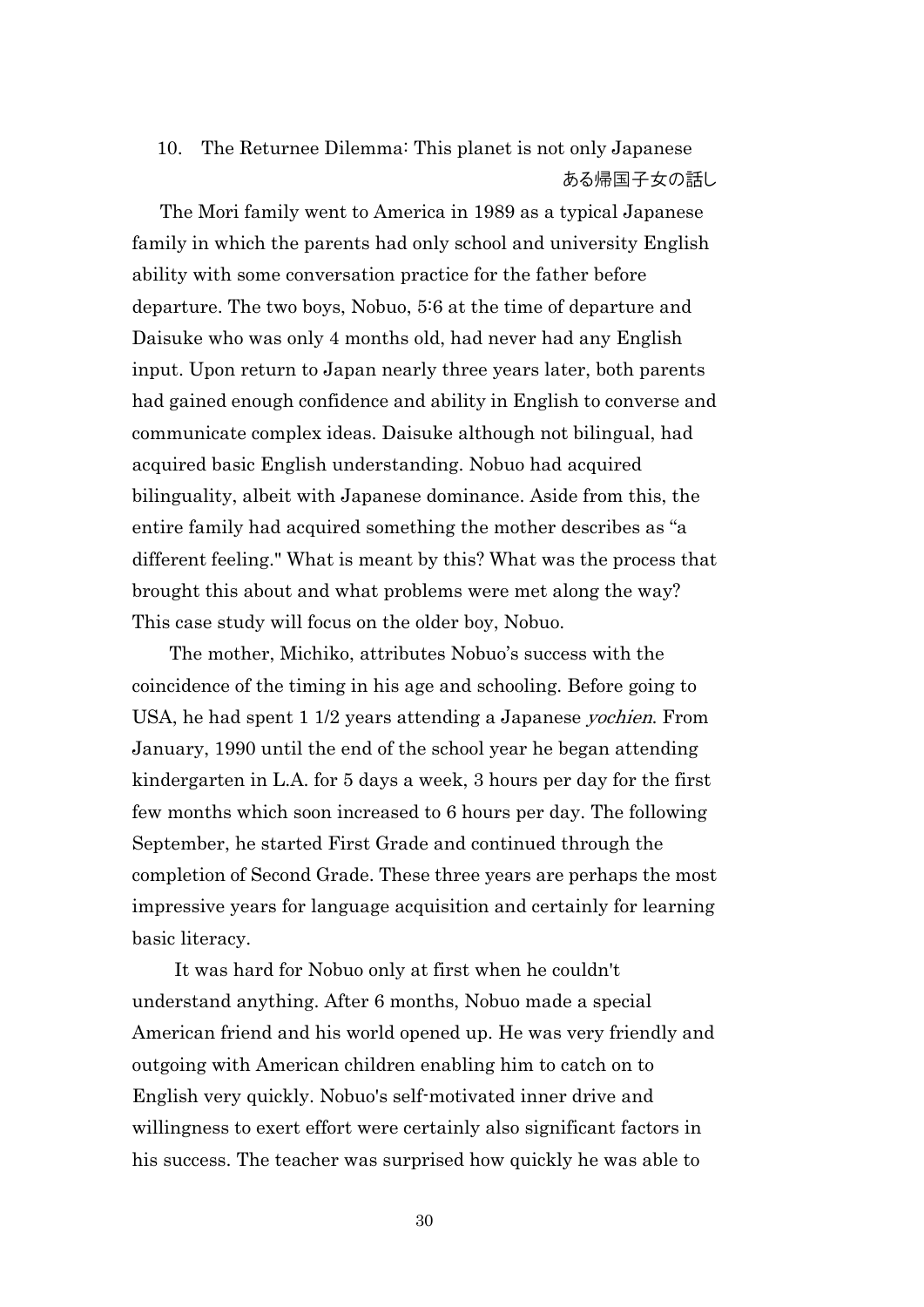# 10. The Returnee Dilemma: This planet is not only Japanese ある帰国子女の話し

 The Mori family went to America in 1989 as a typical Japanese family in which the parents had only school and university English ability with some conversation practice for the father before departure. The two boys, Nobuo, 5:6 at the time of departure and Daisuke who was only 4 months old, had never had any English input. Upon return to Japan nearly three years later, both parents had gained enough confidence and ability in English to converse and communicate complex ideas. Daisuke although not bilingual, had acquired basic English understanding. Nobuo had acquired bilinguality, albeit with Japanese dominance. Aside from this, the entire family had acquired something the mother describes as "a different feeling." What is meant by this? What was the process that brought this about and what problems were met along the way? This case study will focus on the older boy, Nobuo.

 The mother, Michiko, attributes Nobuo's success with the coincidence of the timing in his age and schooling. Before going to USA, he had spent 1 1/2 years attending a Japanese yochien. From January, 1990 until the end of the school year he began attending kindergarten in L.A. for 5 days a week, 3 hours per day for the first few months which soon increased to 6 hours per day. The following September, he started First Grade and continued through the completion of Second Grade. These three years are perhaps the most impressive years for language acquisition and certainly for learning basic literacy.

It was hard for Nobuo only at first when he couldn't understand anything. After 6 months, Nobuo made a special American friend and his world opened up. He was very friendly and outgoing with American children enabling him to catch on to English very quickly. Nobuo's self-motivated inner drive and willingness to exert effort were certainly also significant factors in his success. The teacher was surprised how quickly he was able to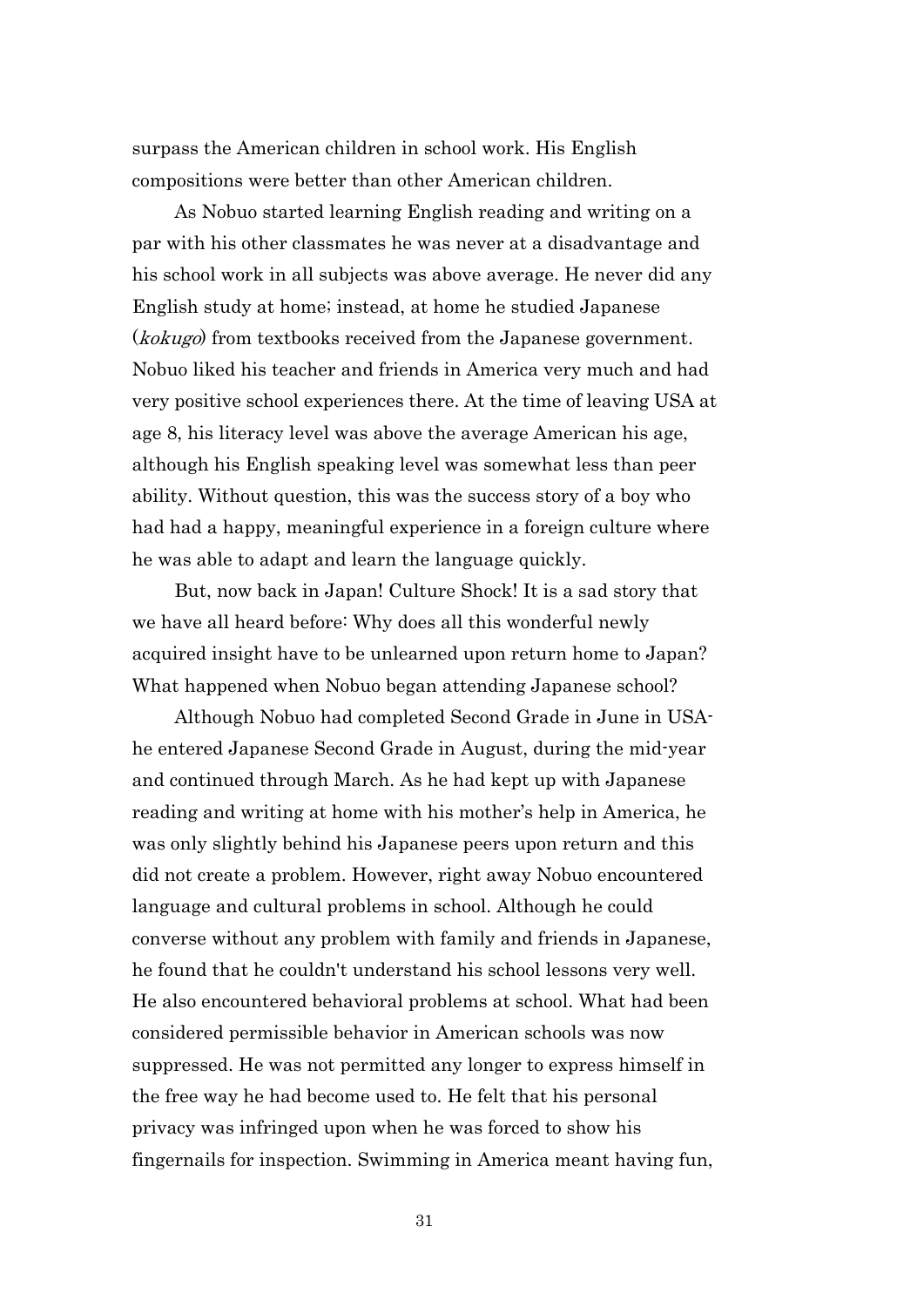surpass the American children in school work. His English compositions were better than other American children.

As Nobuo started learning English reading and writing on a par with his other classmates he was never at a disadvantage and his school work in all subjects was above average. He never did any English study at home; instead, at home he studied Japanese (*kokugo*) from textbooks received from the Japanese government. Nobuo liked his teacher and friends in America very much and had very positive school experiences there. At the time of leaving USA at age 8, his literacy level was above the average American his age, although his English speaking level was somewhat less than peer ability. Without question, this was the success story of a boy who had had a happy, meaningful experience in a foreign culture where he was able to adapt and learn the language quickly.

But, now back in Japan! Culture Shock! It is a sad story that we have all heard before: Why does all this wonderful newly acquired insight have to be unlearned upon return home to Japan? What happened when Nobuo began attending Japanese school?

Although Nobuo had completed Second Grade in June in USAhe entered Japanese Second Grade in August, during the mid-year and continued through March. As he had kept up with Japanese reading and writing at home with his mother's help in America, he was only slightly behind his Japanese peers upon return and this did not create a problem. However, right away Nobuo encountered language and cultural problems in school. Although he could converse without any problem with family and friends in Japanese, he found that he couldn't understand his school lessons very well. He also encountered behavioral problems at school. What had been considered permissible behavior in American schools was now suppressed. He was not permitted any longer to express himself in the free way he had become used to. He felt that his personal privacy was infringed upon when he was forced to show his fingernails for inspection. Swimming in America meant having fun,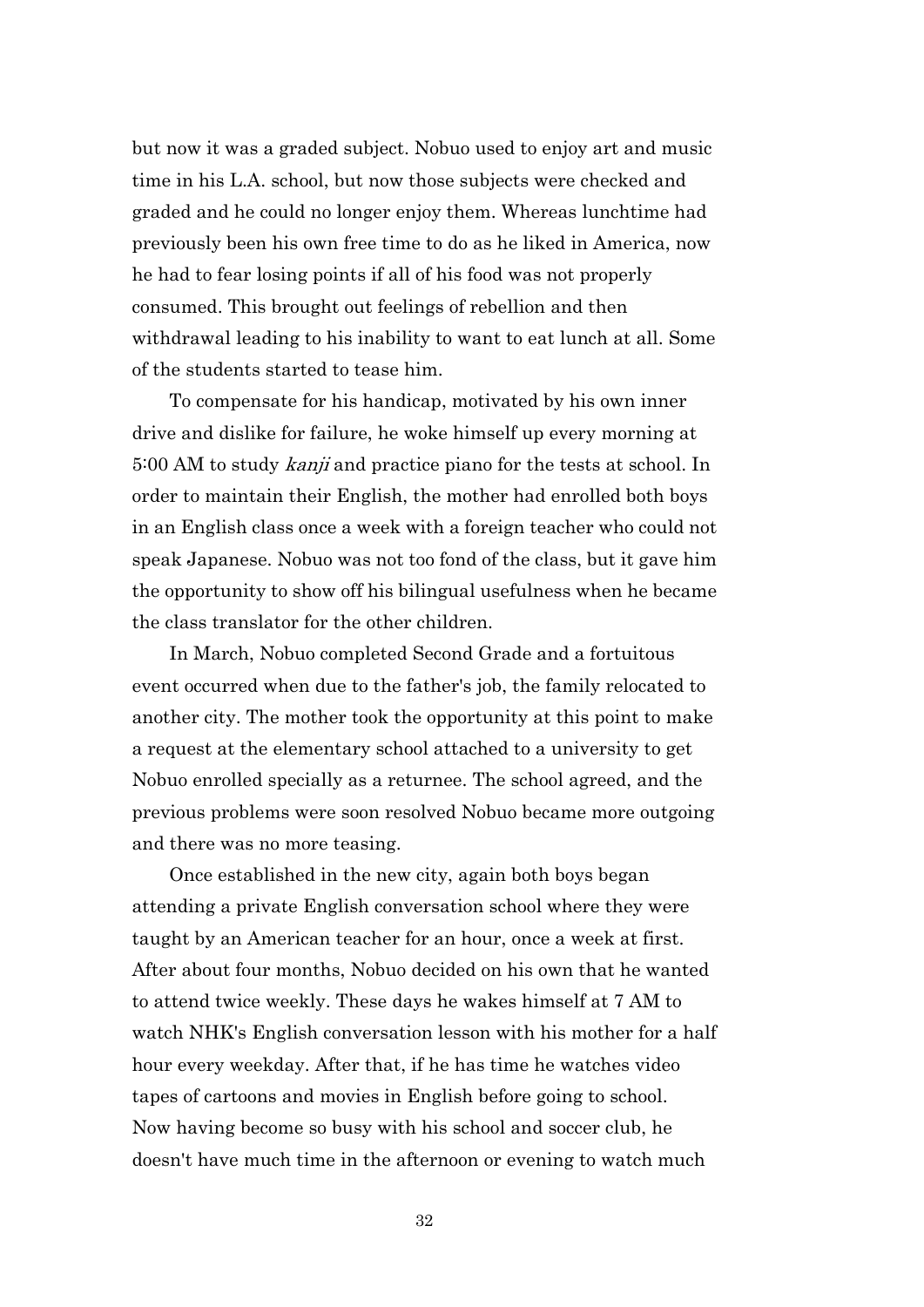but now it was a graded subject. Nobuo used to enjoy art and music time in his L.A. school, but now those subjects were checked and graded and he could no longer enjoy them. Whereas lunchtime had previously been his own free time to do as he liked in America, now he had to fear losing points if all of his food was not properly consumed. This brought out feelings of rebellion and then withdrawal leading to his inability to want to eat lunch at all. Some of the students started to tease him.

 To compensate for his handicap, motivated by his own inner drive and dislike for failure, he woke himself up every morning at 5:00 AM to study *kanji* and practice piano for the tests at school. In order to maintain their English, the mother had enrolled both boys in an English class once a week with a foreign teacher who could not speak Japanese. Nobuo was not too fond of the class, but it gave him the opportunity to show off his bilingual usefulness when he became the class translator for the other children.

 In March, Nobuo completed Second Grade and a fortuitous event occurred when due to the father's job, the family relocated to another city. The mother took the opportunity at this point to make a request at the elementary school attached to a university to get Nobuo enrolled specially as a returnee. The school agreed, and the previous problems were soon resolved Nobuo became more outgoing and there was no more teasing.

 Once established in the new city, again both boys began attending a private English conversation school where they were taught by an American teacher for an hour, once a week at first. After about four months, Nobuo decided on his own that he wanted to attend twice weekly. These days he wakes himself at 7 AM to watch NHK's English conversation lesson with his mother for a half hour every weekday. After that, if he has time he watches video tapes of cartoons and movies in English before going to school. Now having become so busy with his school and soccer club, he doesn't have much time in the afternoon or evening to watch much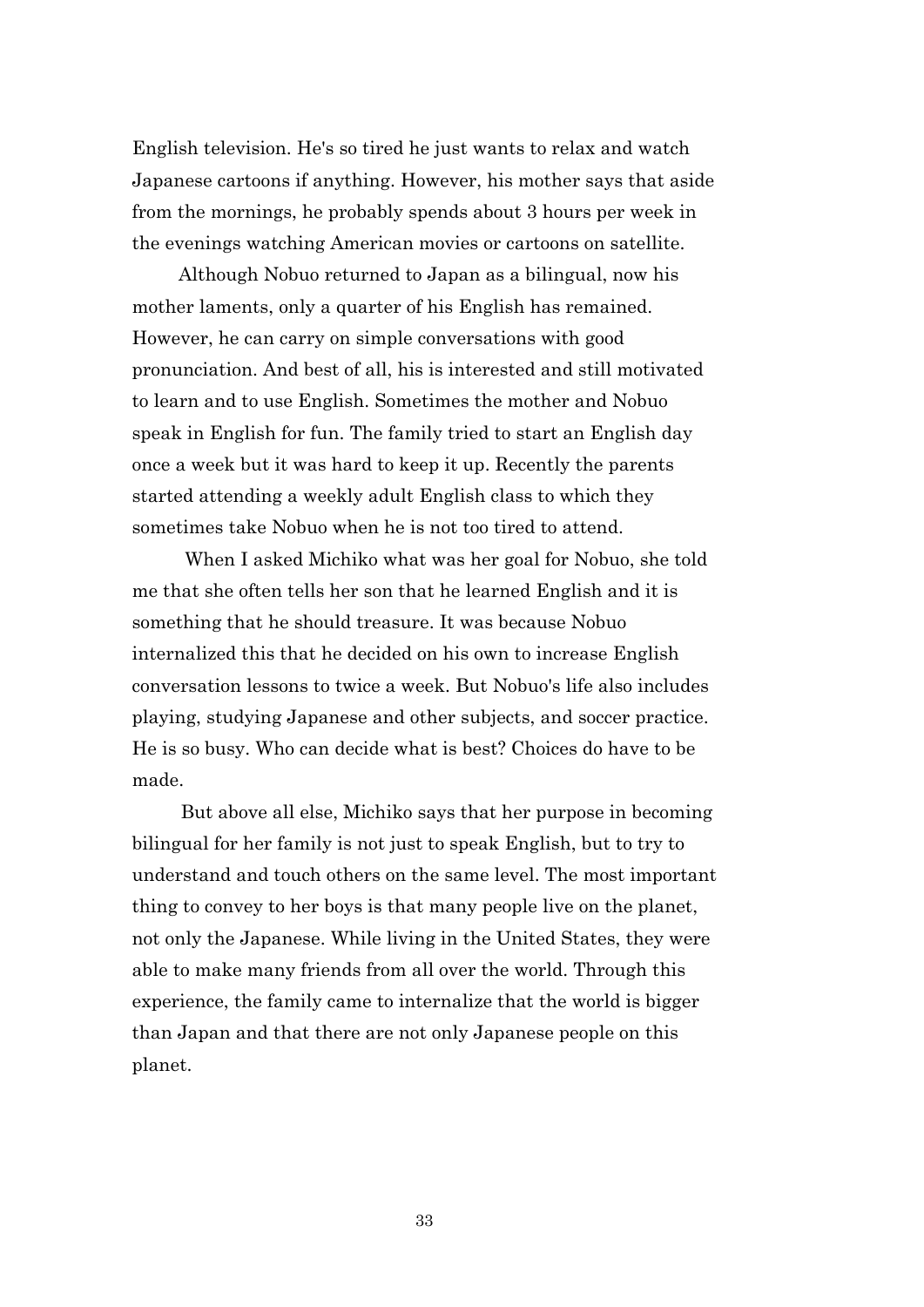English television. He's so tired he just wants to relax and watch Japanese cartoons if anything. However, his mother says that aside from the mornings, he probably spends about 3 hours per week in the evenings watching American movies or cartoons on satellite.

 Although Nobuo returned to Japan as a bilingual, now his mother laments, only a quarter of his English has remained. However, he can carry on simple conversations with good pronunciation. And best of all, his is interested and still motivated to learn and to use English. Sometimes the mother and Nobuo speak in English for fun. The family tried to start an English day once a week but it was hard to keep it up. Recently the parents started attending a weekly adult English class to which they sometimes take Nobuo when he is not too tired to attend.

When I asked Michiko what was her goal for Nobuo, she told me that she often tells her son that he learned English and it is something that he should treasure. It was because Nobuo internalized this that he decided on his own to increase English conversation lessons to twice a week. But Nobuo's life also includes playing, studying Japanese and other subjects, and soccer practice. He is so busy. Who can decide what is best? Choices do have to be made.

But above all else, Michiko says that her purpose in becoming bilingual for her family is not just to speak English, but to try to understand and touch others on the same level. The most important thing to convey to her boys is that many people live on the planet, not only the Japanese. While living in the United States, they were able to make many friends from all over the world. Through this experience, the family came to internalize that the world is bigger than Japan and that there are not only Japanese people on this planet.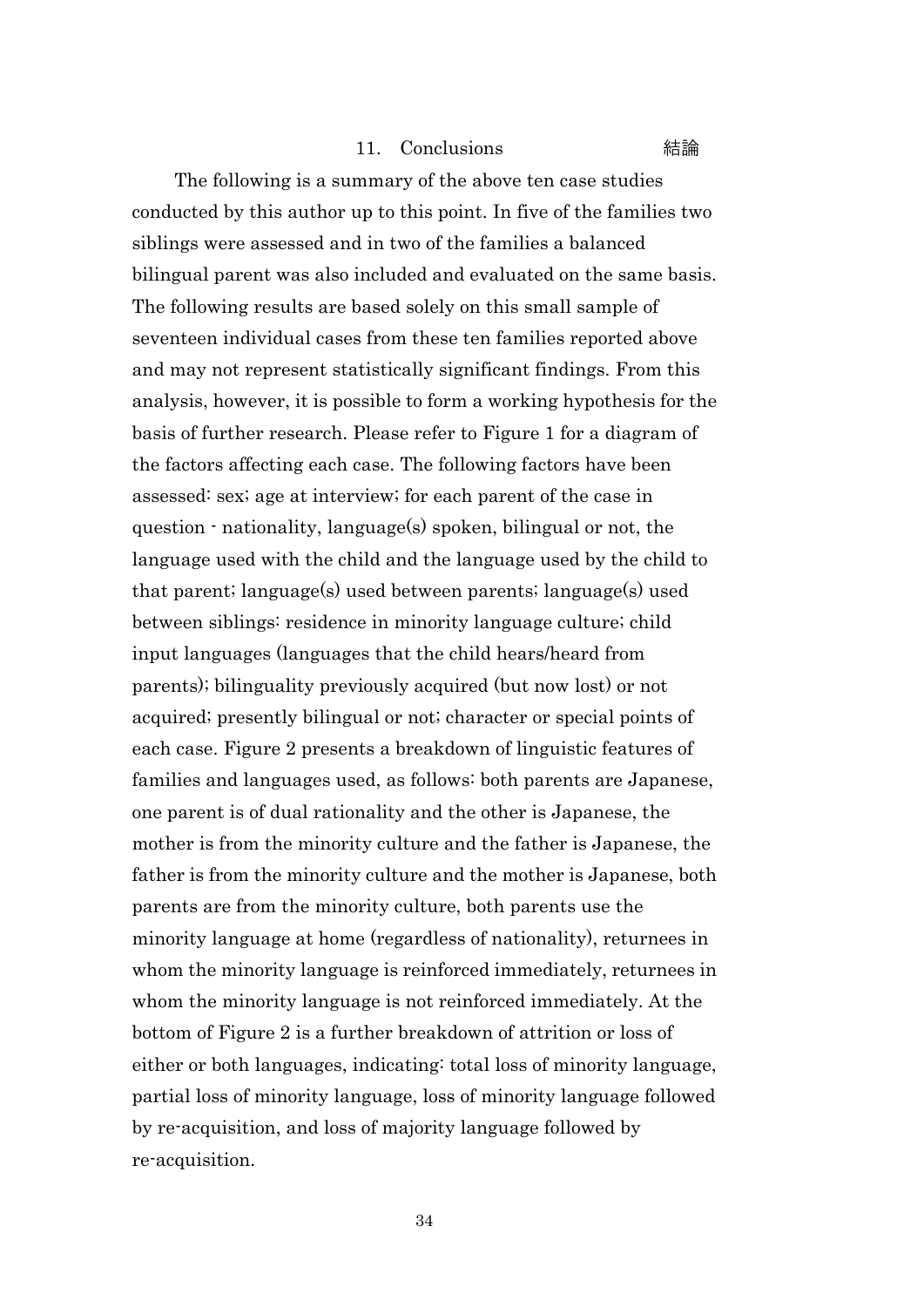#### 11. Conclusions 結論

The following is a summary of the above ten case studies conducted by this author up to this point. In five of the families two siblings were assessed and in two of the families a balanced bilingual parent was also included and evaluated on the same basis. The following results are based solely on this small sample of seventeen individual cases from these ten families reported above and may not represent statistically significant findings. From this analysis, however, it is possible to form a working hypothesis for the basis of further research. Please refer to Figure 1 for a diagram of the factors affecting each case. The following factors have been assessed: sex; age at interview; for each parent of the case in question - nationality, language(s) spoken, bilingual or not, the language used with the child and the language used by the child to that parent; language(s) used between parents; language(s) used between siblings: residence in minority language culture; child input languages (languages that the child hears/heard from parents); bilinguality previously acquired (but now lost) or not acquired; presently bilingual or not; character or special points of each case. Figure 2 presents a breakdown of linguistic features of families and languages used, as follows: both parents are Japanese, one parent is of dual rationality and the other is Japanese, the mother is from the minority culture and the father is Japanese, the father is from the minority culture and the mother is Japanese, both parents are from the minority culture, both parents use the minority language at home (regardless of nationality), returnees in whom the minority language is reinforced immediately, returnees in whom the minority language is not reinforced immediately. At the bottom of Figure 2 is a further breakdown of attrition or loss of either or both languages, indicating: total loss of minority language, partial loss of minority language, loss of minority language followed by re-acquisition, and loss of majority language followed by re-acquisition.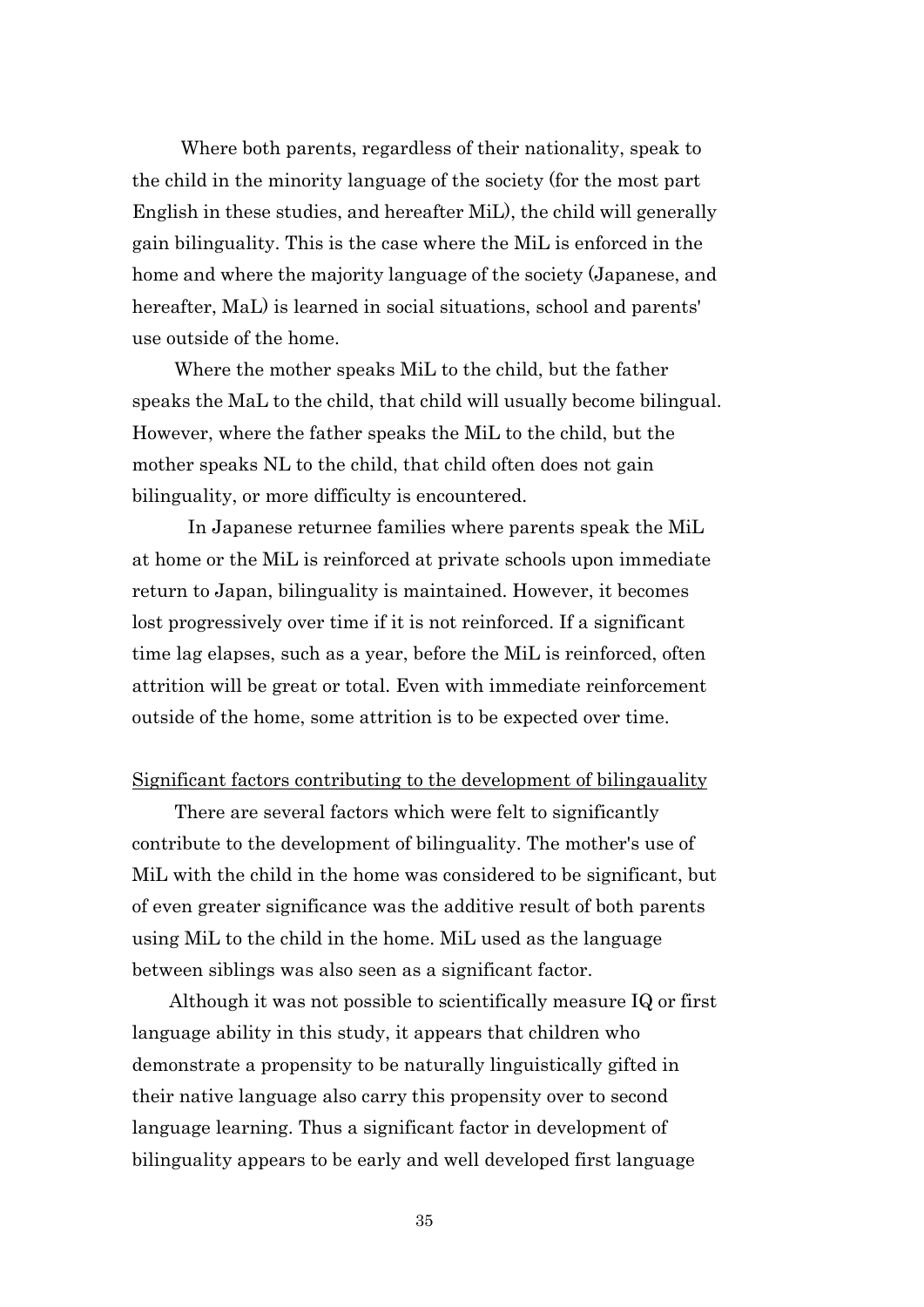Where both parents, regardless of their nationality, speak to the child in the minority language of the society (for the most part English in these studies, and hereafter MiL), the child will generally gain bilinguality. This is the case where the MiL is enforced in the home and where the majority language of the society (Japanese, and hereafter, MaL) is learned in social situations, school and parents' use outside of the home.

Where the mother speaks MiL to the child, but the father speaks the MaL to the child, that child will usually become bilingual. However, where the father speaks the MiL to the child, but the mother speaks NL to the child, that child often does not gain bilinguality, or more difficulty is encountered.

 In Japanese returnee families where parents speak the MiL at home or the MiL is reinforced at private schools upon immediate return to Japan, bilinguality is maintained. However, it becomes lost progressively over time if it is not reinforced. If a significant time lag elapses, such as a year, before the MiL is reinforced, often attrition will be great or total. Even with immediate reinforcement outside of the home, some attrition is to be expected over time.

#### Significant factors contributing to the development of bilingauality

There are several factors which were felt to significantly contribute to the development of bilinguality. The mother's use of MiL with the child in the home was considered to be significant, but of even greater significance was the additive result of both parents using MiL to the child in the home. MiL used as the language between siblings was also seen as a significant factor.

 Although it was not possible to scientifically measure IQ or first language ability in this study, it appears that children who demonstrate a propensity to be naturally linguistically gifted in their native language also carry this propensity over to second language learning. Thus a significant factor in development of bilinguality appears to be early and well developed first language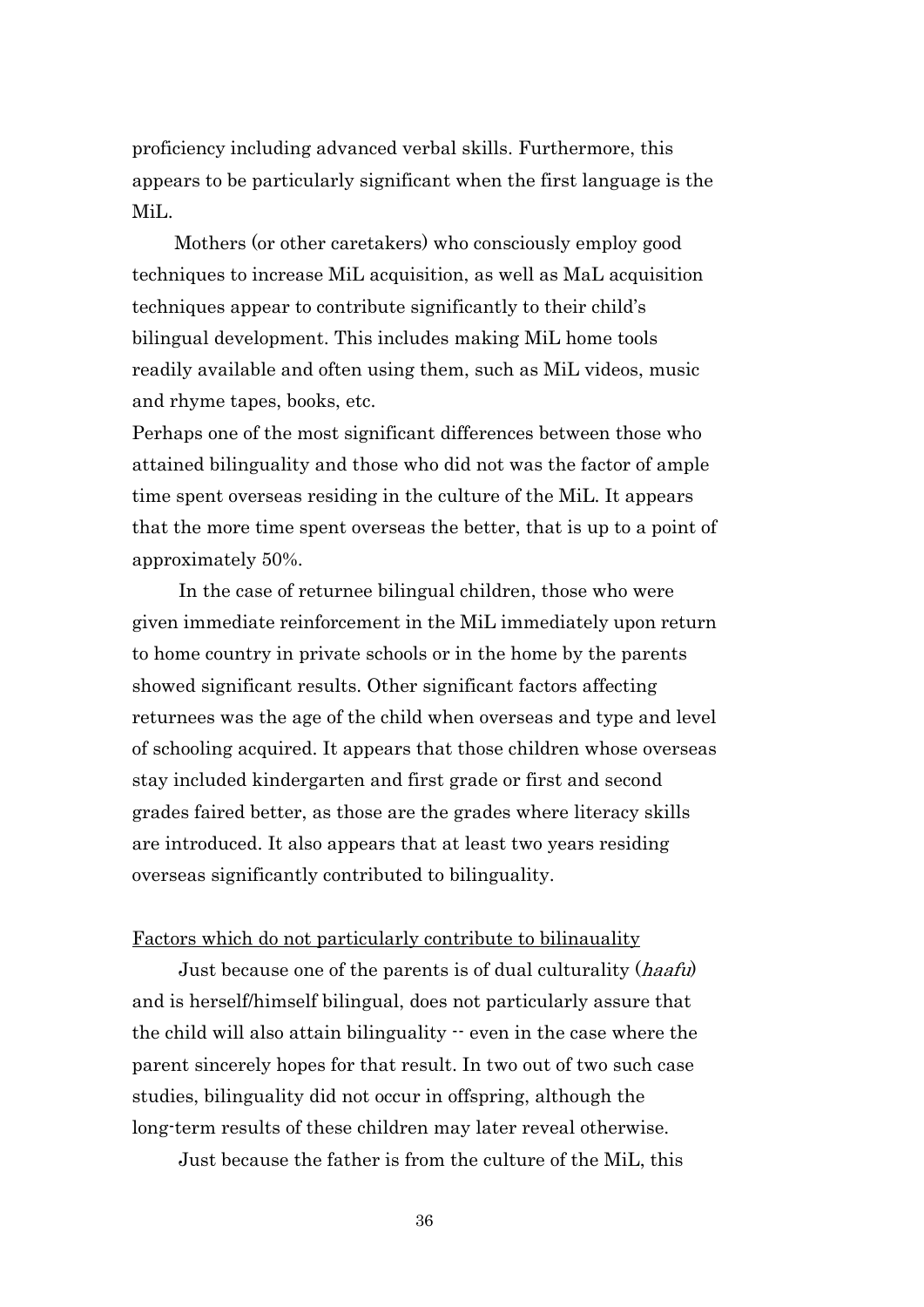proficiency including advanced verbal skills. Furthermore, this appears to be particularly significant when the first language is the MiL.

Mothers (or other caretakers) who consciously employ good techniques to increase MiL acquisition, as well as MaL acquisition techniques appear to contribute significantly to their child's bilingual development. This includes making MiL home tools readily available and often using them, such as MiL videos, music and rhyme tapes, books, etc.

Perhaps one of the most significant differences between those who attained bilinguality and those who did not was the factor of ample time spent overseas residing in the culture of the MiL. It appears that the more time spent overseas the better, that is up to a point of approximately 50%.

 In the case of returnee bilingual children, those who were given immediate reinforcement in the MiL immediately upon return to home country in private schools or in the home by the parents showed significant results. Other significant factors affecting returnees was the age of the child when overseas and type and level of schooling acquired. It appears that those children whose overseas stay included kindergarten and first grade or first and second grades faired better, as those are the grades where literacy skills are introduced. It also appears that at least two years residing overseas significantly contributed to bilinguality.

#### Factors which do not particularly contribute to bilinauality

Just because one of the parents is of dual culturality (*haafu*) and is herself/himself bilingual, does not particularly assure that the child will also attain bilinguality -- even in the case where the parent sincerely hopes for that result. In two out of two such case studies, bilinguality did not occur in offspring, although the long-term results of these children may later reveal otherwise.

Just because the father is from the culture of the MiL, this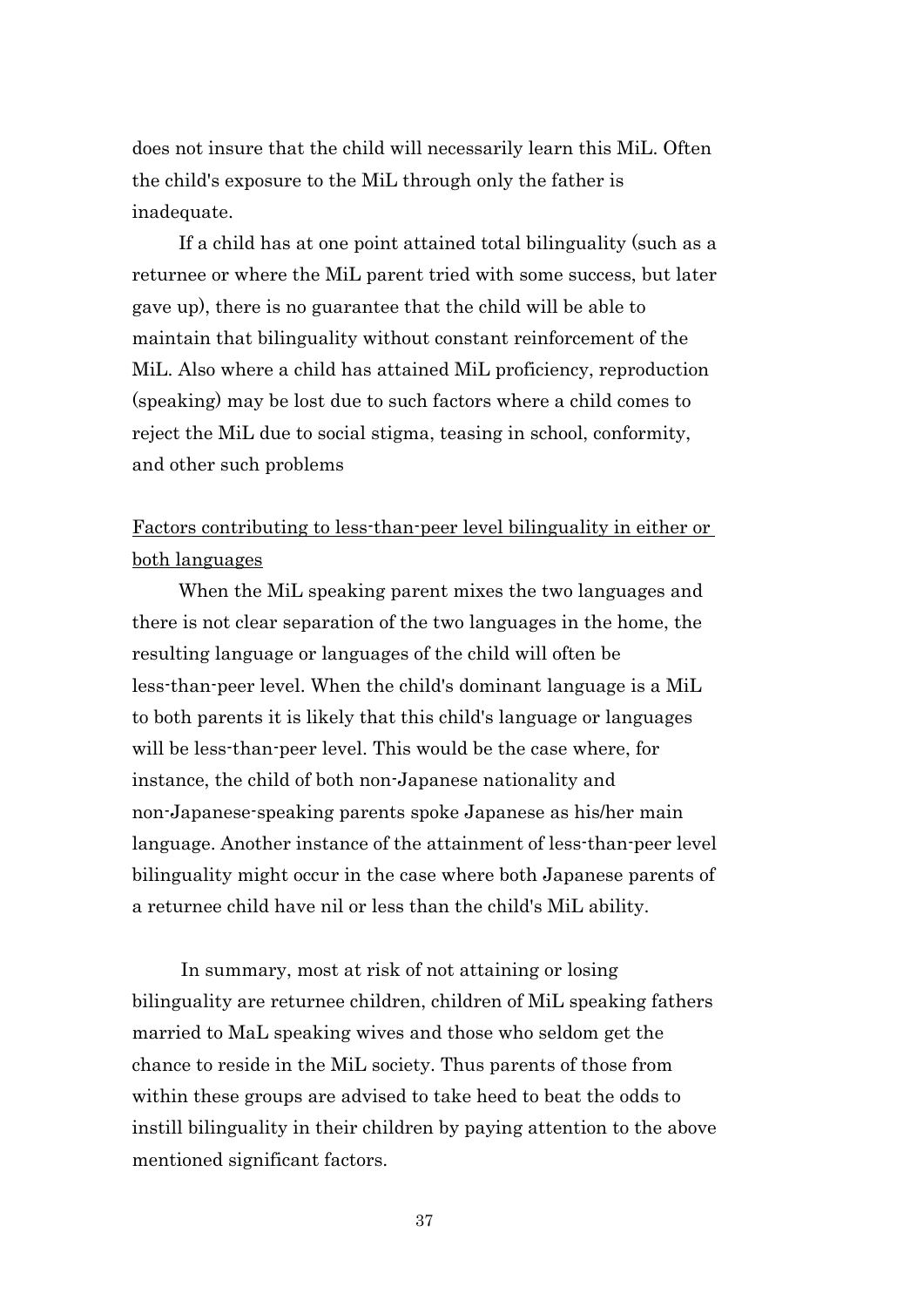does not insure that the child will necessarily learn this MiL. Often the child's exposure to the MiL through only the father is inadequate.

 If a child has at one point attained total bilinguality (such as a returnee or where the MiL parent tried with some success, but later gave up), there is no guarantee that the child will be able to maintain that bilinguality without constant reinforcement of the MiL. Also where a child has attained MiL proficiency, reproduction (speaking) may be lost due to such factors where a child comes to reject the MiL due to social stigma, teasing in school, conformity, and other such problems

# Factors contributing to less-than-peer level bilinguality in either or both languages

 When the MiL speaking parent mixes the two languages and there is not clear separation of the two languages in the home, the resulting language or languages of the child will often be less-than-peer level. When the child's dominant language is a MiL to both parents it is likely that this child's language or languages will be less-than-peer level. This would be the case where, for instance, the child of both non-Japanese nationality and non-Japanese-speaking parents spoke Japanese as his/her main language. Another instance of the attainment of less-than-peer level bilinguality might occur in the case where both Japanese parents of a returnee child have nil or less than the child's MiL ability.

In summary, most at risk of not attaining or losing bilinguality are returnee children, children of MiL speaking fathers married to MaL speaking wives and those who seldom get the chance to reside in the MiL society. Thus parents of those from within these groups are advised to take heed to beat the odds to instill bilinguality in their children by paying attention to the above mentioned significant factors.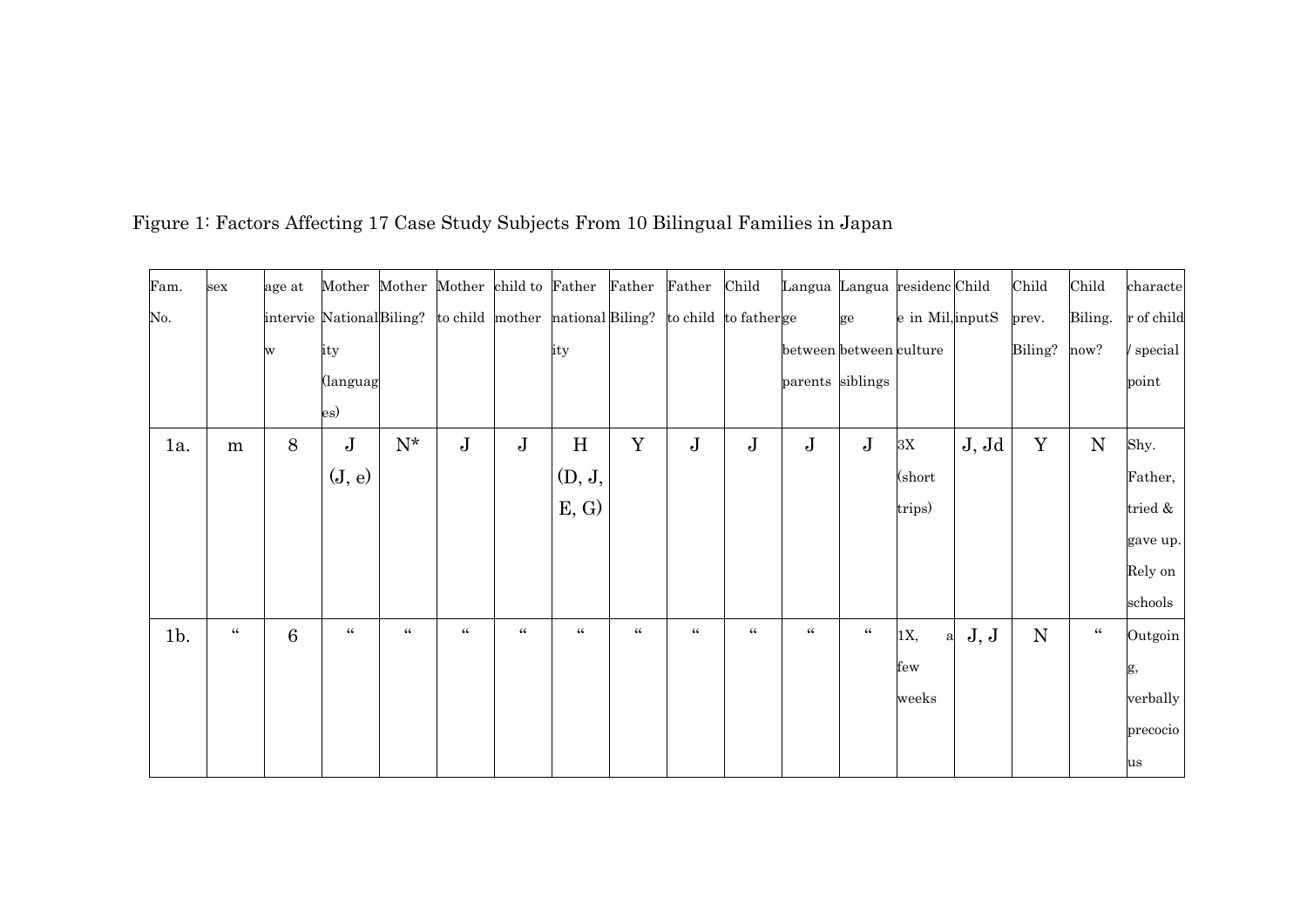| Fam.   | sex            | age at          | Mother Mother Mother child to Father Father                                    |                   |                |                |                |                  | Father Child   |                | Langua Langua residenc Child |                  |                  |       | Child     | Child          | characte   |
|--------|----------------|-----------------|--------------------------------------------------------------------------------|-------------------|----------------|----------------|----------------|------------------|----------------|----------------|------------------------------|------------------|------------------|-------|-----------|----------------|------------|
| No.    |                |                 | intervie NationalBiling? to child mother national Biling? to child to fatherge |                   |                |                |                |                  |                |                |                              | ge               | e in Mil, inputS |       | prev.     | Biling.        | r of child |
|        |                | w               | ity                                                                            |                   |                |                | ity            |                  |                |                | between between culture      |                  |                  |       | Biling?   | now?           | / special  |
|        |                |                 | (languag                                                                       |                   |                |                |                |                  |                |                | parents siblings             |                  |                  |       |           |                | point      |
|        |                |                 | es)                                                                            |                   |                |                |                |                  |                |                |                              |                  |                  |       |           |                |            |
| 1a.    | m              | 8               | $\bf J$                                                                        | ${\rm N^{\star}}$ | $\bf J$        | $\bf J$        | $\,$ H         | Y                | $\mathbf J$    | $\bf J$        | ${\bf J}$                    | $\bf J$          | $3\mathrm{X}$    | J, Jd | Y         | N              | Shy.       |
|        |                |                 | (J, e)                                                                         |                   |                |                | (D, J,         |                  |                |                |                              |                  | $\rm (short$     |       |           |                | Father,    |
|        |                |                 |                                                                                |                   |                |                | E, G           |                  |                |                |                              |                  | trips)           |       |           |                | tried &    |
|        |                |                 |                                                                                |                   |                |                |                |                  |                |                |                              |                  |                  |       |           |                | gave up.   |
|        |                |                 |                                                                                |                   |                |                |                |                  |                |                |                              |                  |                  |       |           |                | Rely on    |
|        |                |                 |                                                                                |                   |                |                |                |                  |                |                |                              |                  |                  |       |           |                | schools    |
| $1b$ . | $\zeta\,\zeta$ | $6\phantom{.}6$ | $\boldsymbol{\zeta} \, \boldsymbol{\zeta}$                                     | $\zeta\,\zeta$    | $\zeta\,\zeta$ | $\zeta\,\zeta$ | $\zeta\,\zeta$ | $\zeta \, \zeta$ | $\zeta\,\zeta$ | $\zeta\,\zeta$ | $\zeta\,\zeta$               | $\zeta \, \zeta$ | 1X,<br>a         | J, J  | ${\bf N}$ | $\zeta\,\zeta$ | Outgoin    |
|        |                |                 |                                                                                |                   |                |                |                |                  |                |                |                              |                  | few              |       |           |                | g,         |
|        |                |                 |                                                                                |                   |                |                |                |                  |                |                |                              |                  | weeks            |       |           |                | verbally   |
|        |                |                 |                                                                                |                   |                |                |                |                  |                |                |                              |                  |                  |       |           |                | precocio   |
|        |                |                 |                                                                                |                   |                |                |                |                  |                |                |                              |                  |                  |       |           |                | us         |

Figure 1: Factors Affecting 17 Case Study Subjects From 10 Bilingual Families in Japan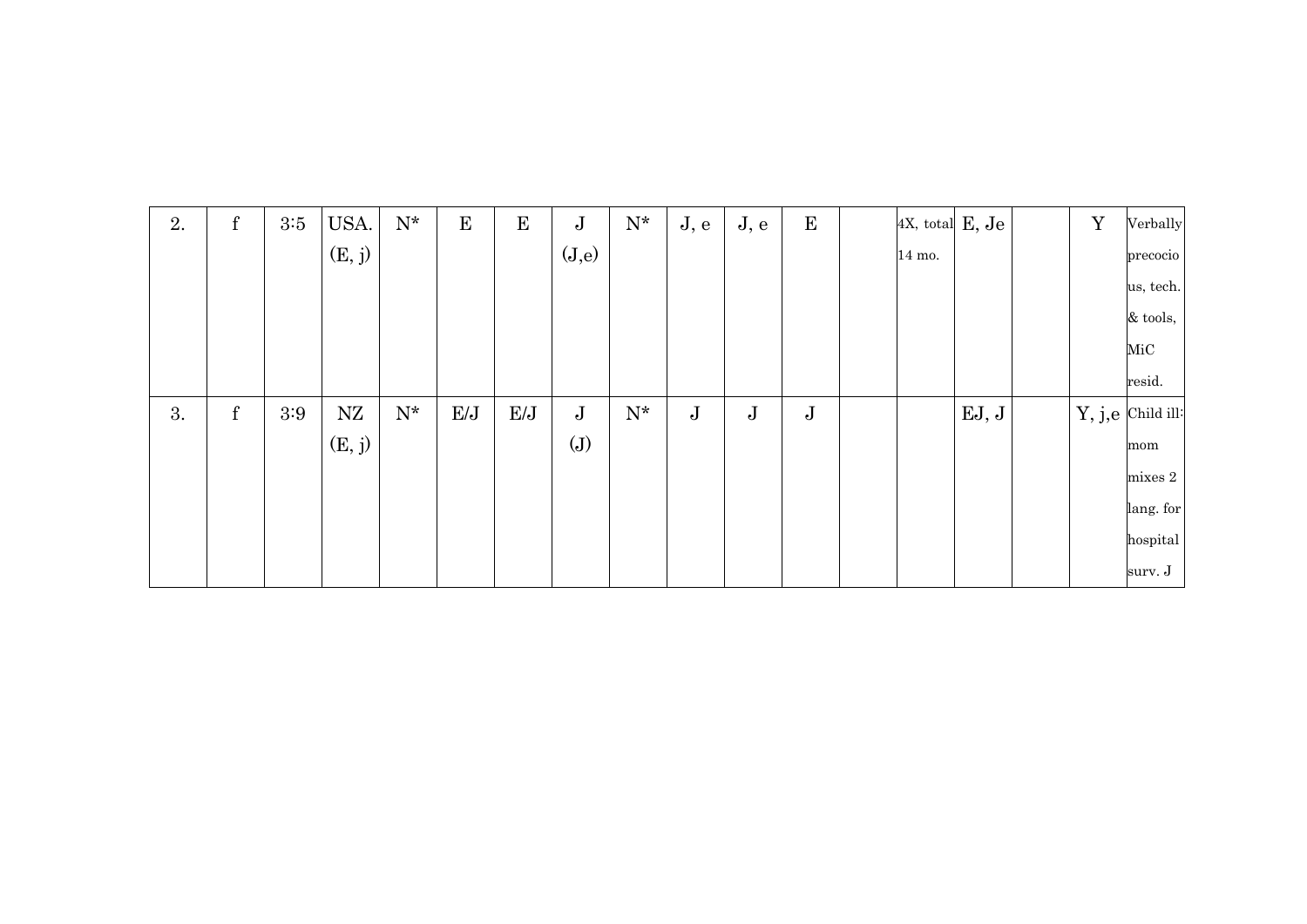| 2. | ${\bf f}$ | 3:5     | USA.   | ${\rm N^{\star}}$ | $\mathbf E$ | E   | $\bf J$ | $\mathrm{N}^{\star}$ | J, e    | J, e      | $\mathbf{E}$ | 4X, total E, Je |       | $\mathbf Y$ | Verbally          |
|----|-----------|---------|--------|-------------------|-------------|-----|---------|----------------------|---------|-----------|--------------|-----------------|-------|-------------|-------------------|
|    |           |         | (E, j) |                   |             |     | (J,e)   |                      |         |           |              | 14 mo.          |       |             | precocio          |
|    |           |         |        |                   |             |     |         |                      |         |           |              |                 |       |             | us, tech.         |
|    |           |         |        |                   |             |     |         |                      |         |           |              |                 |       |             | $\&$ tools,       |
|    |           |         |        |                   |             |     |         |                      |         |           |              |                 |       |             | MiC               |
|    |           |         |        |                   |             |     |         |                      |         |           |              |                 |       |             | resid.            |
| 3. | ${\bf f}$ | $3:9\,$ | NZ     | ${\rm N^{\star}}$ | E/J         | E/J | $\bf J$ | $N^*$                | $\bf J$ | ${\bf J}$ | $\bf J$      |                 | EJ, J |             | Y, j,e Child ill: |
|    |           |         | (E, j) |                   |             |     | (J)     |                      |         |           |              |                 |       |             | mom               |
|    |           |         |        |                   |             |     |         |                      |         |           |              |                 |       |             | ${\rm mixes\ 2}$  |
|    |           |         |        |                   |             |     |         |                      |         |           |              |                 |       |             | lang. for         |
|    |           |         |        |                   |             |     |         |                      |         |           |              |                 |       |             | hospital          |
|    |           |         |        |                   |             |     |         |                      |         |           |              |                 |       |             | surv. J           |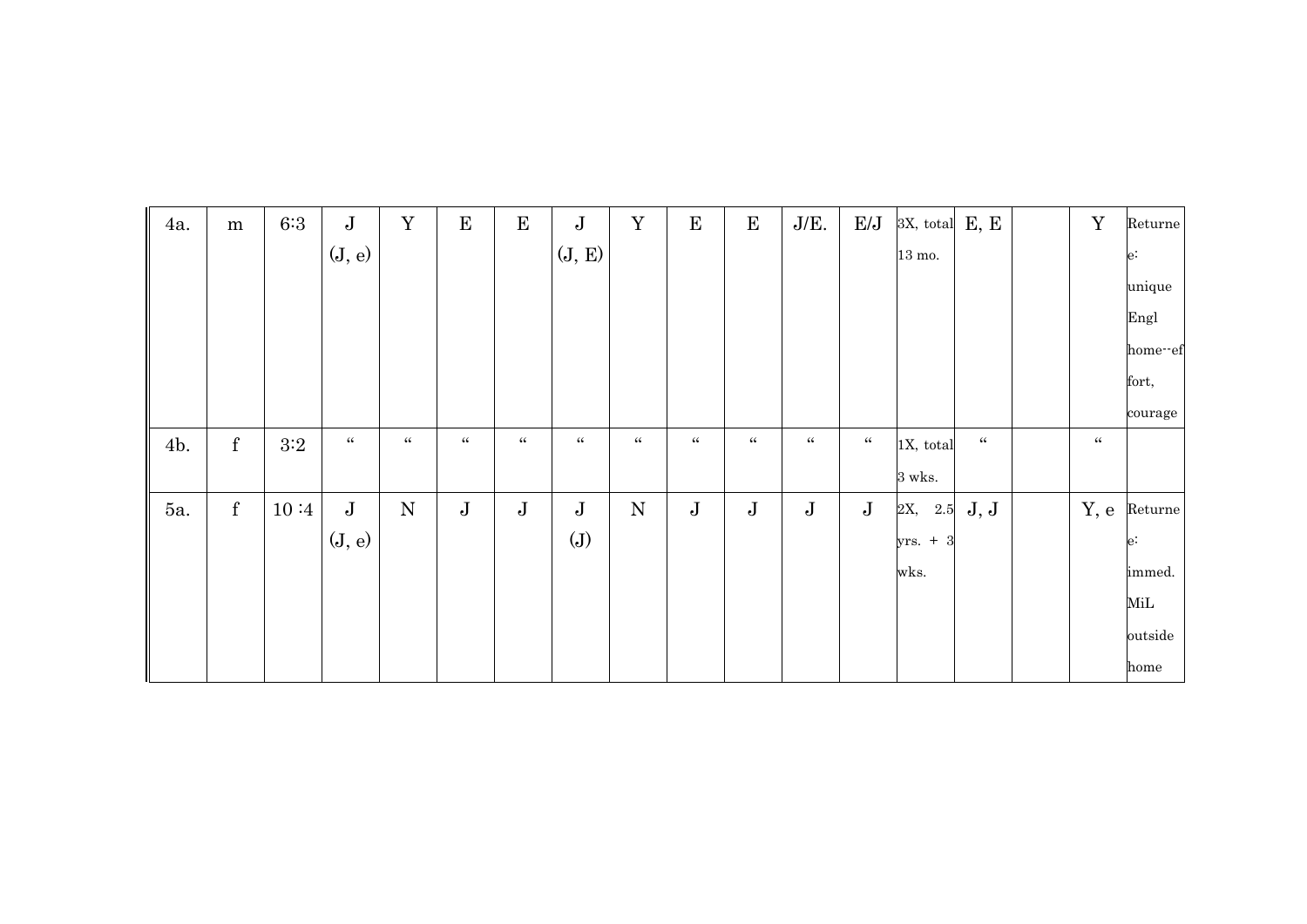| 4a. | ${\bf m}$   | $6:3$ | $\bf J$        | $\mathbf Y$    | $\bf E$        | ${\bf E}$      | $\mathbf J$    | $\mathbf Y$    | ${\bf E}$      | $\mathbf E$    | $J/E$ .        | E/J            | 3X, total E, E   |                                        | $\mathbf Y$    | Returne |
|-----|-------------|-------|----------------|----------------|----------------|----------------|----------------|----------------|----------------|----------------|----------------|----------------|------------------|----------------------------------------|----------------|---------|
|     |             |       | (J, e)         |                |                |                | (J, E)         |                |                |                |                |                | $13 \text{ mo.}$ |                                        |                | $e$ :   |
|     |             |       |                |                |                |                |                |                |                |                |                |                |                  |                                        |                | unique  |
|     |             |       |                |                |                |                |                |                |                |                |                |                |                  |                                        |                | Engl    |
|     |             |       |                |                |                |                |                |                |                |                |                |                |                  |                                        |                | home-ef |
|     |             |       |                |                |                |                |                |                |                |                |                |                |                  |                                        |                | fort,   |
|     |             |       |                |                |                |                |                |                |                |                |                |                |                  |                                        |                | courage |
| 4b. | $\mathbf f$ | 3:2   | $\zeta\,\zeta$ | $\zeta\,\zeta$ | $\zeta\,\zeta$ | $\zeta\,\zeta$ | $\zeta\,\zeta$ | $\zeta\,\zeta$ | $\zeta\,\zeta$ | $\zeta\,\zeta$ | $\zeta\,\zeta$ | $\zeta\,\zeta$ | 1X, total        | $\boldsymbol{\zeta}\boldsymbol{\zeta}$ | $\zeta\,\zeta$ |         |
|     |             |       |                |                |                |                |                |                |                |                |                |                | $3$ wks. $\,$    |                                        |                |         |
| 5а. | $\mathbf f$ | 10:4  | $\bf J$        | ${\bf N}$      | $\mathbf J$    | $\mathbf J$    | $\bf J$        | ${\bf N}$      | $\bf J$        | $\bf J$        | ${\bf J}$      | $\mathbf J$    | 2X, 2.5          | J, J                                   | Y, e           | Returne |
|     |             |       | (J, e)         |                |                |                | (J)            |                |                |                |                |                | yrs. $+3$        |                                        |                | $e$ :   |
|     |             |       |                |                |                |                |                |                |                |                |                |                | wks.             |                                        |                | immed.  |
|     |             |       |                |                |                |                |                |                |                |                |                |                |                  |                                        |                | MiL     |
|     |             |       |                |                |                |                |                |                |                |                |                |                |                  |                                        |                | outside |
|     |             |       |                |                |                |                |                |                |                |                |                |                |                  |                                        |                | home    |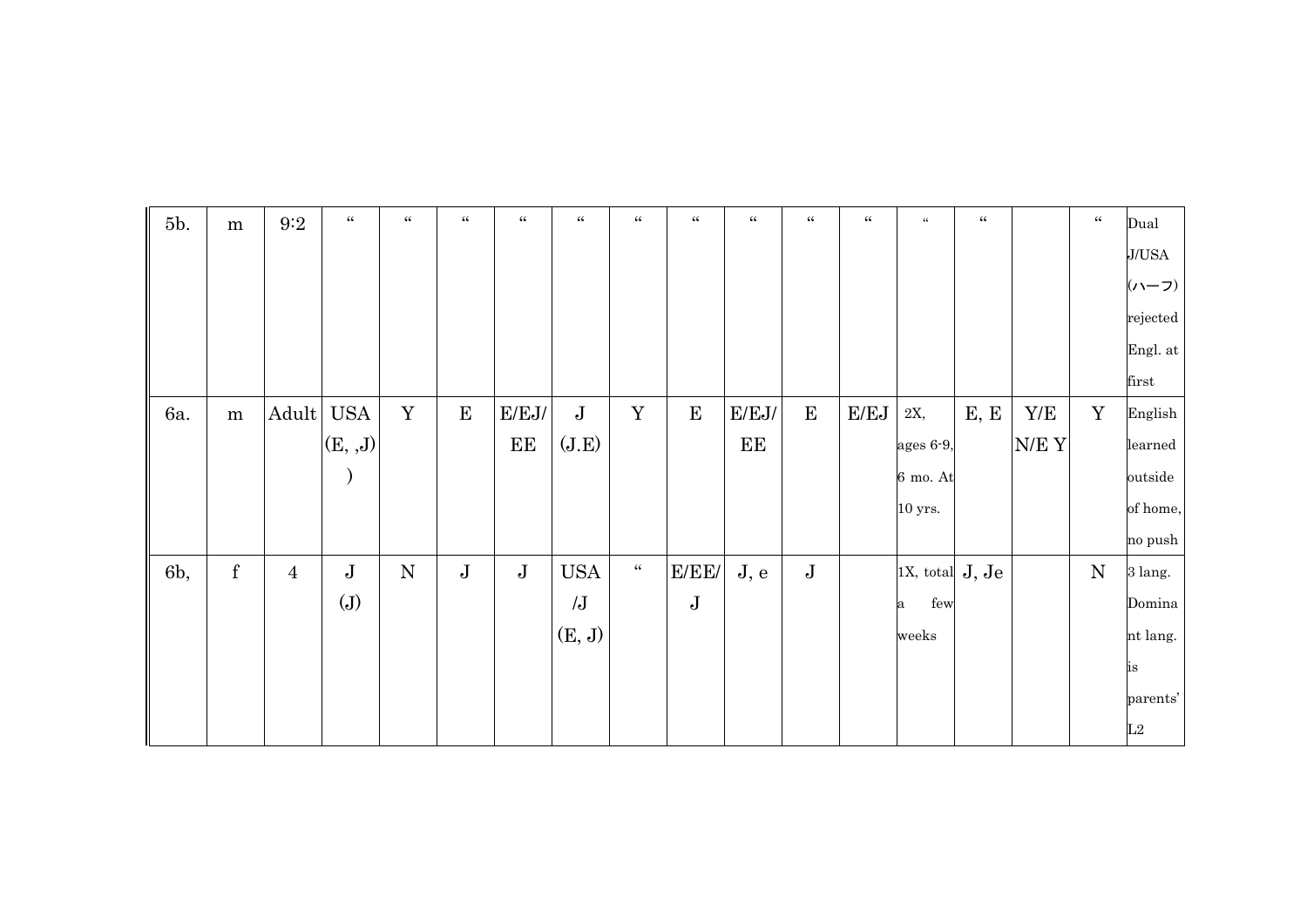| 5b. | ${\bf m}$ | $9\mathord:2$  | $\boldsymbol{\zeta}\boldsymbol{\zeta}$ | $\zeta\zeta$ | $\zeta \, \zeta$ | $\zeta\zeta$ | $\zeta\,\zeta$ | $\zeta\zeta$       | $\zeta\,\zeta$ | $\zeta\,\zeta$ | $\zeta\,\zeta$ | $\zeta\,\zeta$ | $\zeta\zeta$          | $\zeta\,\zeta$ |      | $\zeta\,\zeta$ | Dual     |
|-----|-----------|----------------|----------------------------------------|--------------|------------------|--------------|----------------|--------------------|----------------|----------------|----------------|----------------|-----------------------|----------------|------|----------------|----------|
|     |           |                |                                        |              |                  |              |                |                    |                |                |                |                |                       |                |      |                | J/USA    |
|     |           |                |                                        |              |                  |              |                |                    |                |                |                |                |                       |                |      |                | (ハーフ)    |
|     |           |                |                                        |              |                  |              |                |                    |                |                |                |                |                       |                |      |                | rejected |
|     |           |                |                                        |              |                  |              |                |                    |                |                |                |                |                       |                |      |                | Engl. at |
|     |           |                |                                        |              |                  |              |                |                    |                |                |                |                |                       |                |      |                | first    |
| 6a. | ${\bf m}$ | Adult          | $_{\mathrm{USA}}$                      | $\mathbf Y$  | ${\bf E}$        | E/EJ/        | $\bf J$        | $\mathbf Y$        | ${\bf E}$      | $\rm E/EJ/$    | ${\bf E}$      | E/EJ           | $2\mathrm{X},$        | E, E           | Y/E  | $\mathbf Y$    | English  |
|     |           |                | (E, J)                                 |              |                  | EE           | (J.E)          |                    |                | EE             |                |                | ages 6-9,             |                | N/EY |                | learned  |
|     |           |                | $\mathcal{E}$                          |              |                  |              |                |                    |                |                |                |                | $6$ mo. $\mathrm{At}$ |                |      |                | outside  |
|     |           |                |                                        |              |                  |              |                |                    |                |                |                |                | $10$ yrs.             |                |      |                | of home, |
|     |           |                |                                        |              |                  |              |                |                    |                |                |                |                |                       |                |      |                | no push  |
| 6b, | ${\bf f}$ | $\overline{4}$ | $\bf J$                                | ${\bf N}$    | $\bf J$          | $\bf J$      | <b>USA</b>     | $\epsilon\epsilon$ | E/EE/          | J, e           | $\bf J$        |                | 1X, total $J, Je$     |                |      | $\mathbf N$    | 3 lang.  |
|     |           |                | (J)                                    |              |                  |              | $\overline{J}$ |                    | $\bf J$        |                |                |                | few<br>a              |                |      |                | Domina   |
|     |           |                |                                        |              |                  |              | (E, J)         |                    |                |                |                |                | weeks                 |                |      |                | nt lang. |
|     |           |                |                                        |              |                  |              |                |                    |                |                |                |                |                       |                |      |                | is       |
|     |           |                |                                        |              |                  |              |                |                    |                |                |                |                |                       |                |      |                | parents' |
|     |           |                |                                        |              |                  |              |                |                    |                |                |                |                |                       |                |      |                | L2       |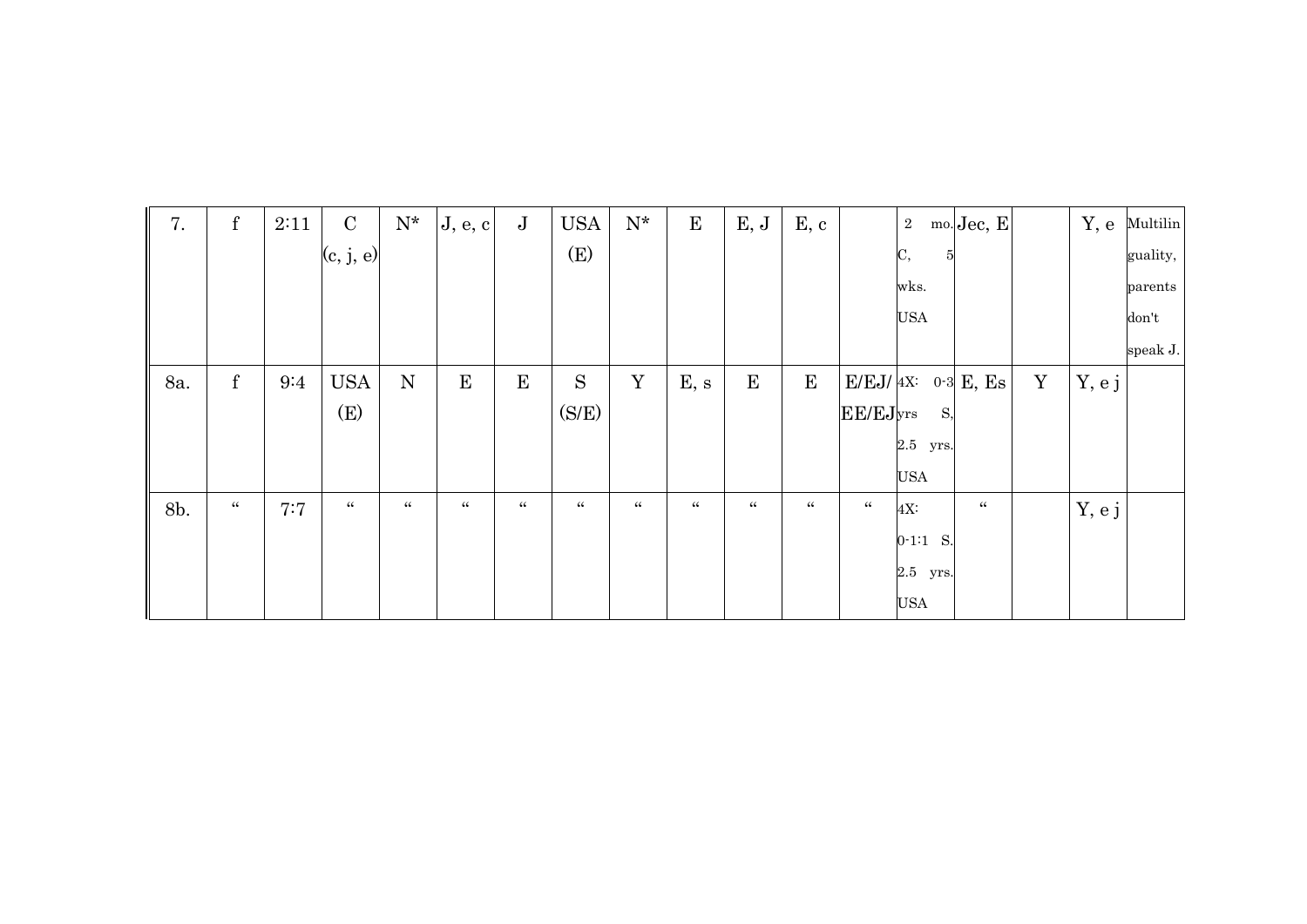| 7.  | ${\bf f}$      | 2:11 | $\mathbf C$    | $\mathbf{N}^{\star}$ | J, e, c     | $\mathbf J$    | <b>USA</b>   | ${\rm N^{\star}}$  | $\mathbf E$  | E, J           | E, c         |                | $\overline{2}$ | mo. Jec, E            |   | Y, e   | Multilin |
|-----|----------------|------|----------------|----------------------|-------------|----------------|--------------|--------------------|--------------|----------------|--------------|----------------|----------------|-----------------------|---|--------|----------|
|     |                |      | (c, j, e)      |                      |             |                | (E)          |                    |              |                |              |                | C,<br>5        |                       |   |        | guality, |
|     |                |      |                |                      |             |                |              |                    |              |                |              |                | wks.           |                       |   |        | parents  |
|     |                |      |                |                      |             |                |              |                    |              |                |              |                | <b>USA</b>     |                       |   |        | don't    |
|     |                |      |                |                      |             |                |              |                    |              |                |              |                |                |                       |   |        | speak J. |
| 8a. | $\mathbf f$    | 9:4  | <b>USA</b>     | N                    | $\mathbf E$ | ${\bf E}$      | S            | Y                  | E, s         | ${\bf E}$      | $\mathbf{E}$ |                |                | $E/EJ/4X$ : 0.3 E, Es | Y | Y, e j |          |
|     |                |      | (E)            |                      |             |                | (S/E)        |                    |              |                |              | EE/EJyrs       | S,             |                       |   |        |          |
|     |                |      |                |                      |             |                |              |                    |              |                |              |                | 2.5 yrs.       |                       |   |        |          |
|     |                |      |                |                      |             |                |              |                    |              |                |              |                | USA            |                       |   |        |          |
| 8b. | $\zeta\,\zeta$ | 7:7  | $\zeta\,\zeta$ | $\zeta\zeta$         | 66          | $\zeta\,\zeta$ | $\zeta\zeta$ | $\epsilon\epsilon$ | $\zeta\zeta$ | $\zeta\,\zeta$ | $\zeta\zeta$ | $\zeta\,\zeta$ | 4X:            | $\zeta\zeta$          |   | Y, e j |          |
|     |                |      |                |                      |             |                |              |                    |              |                |              |                | $0-1:1$ S.     |                       |   |        |          |
|     |                |      |                |                      |             |                |              |                    |              |                |              |                | $2.5$ yrs.     |                       |   |        |          |
|     |                |      |                |                      |             |                |              |                    |              |                |              |                | <b>USA</b>     |                       |   |        |          |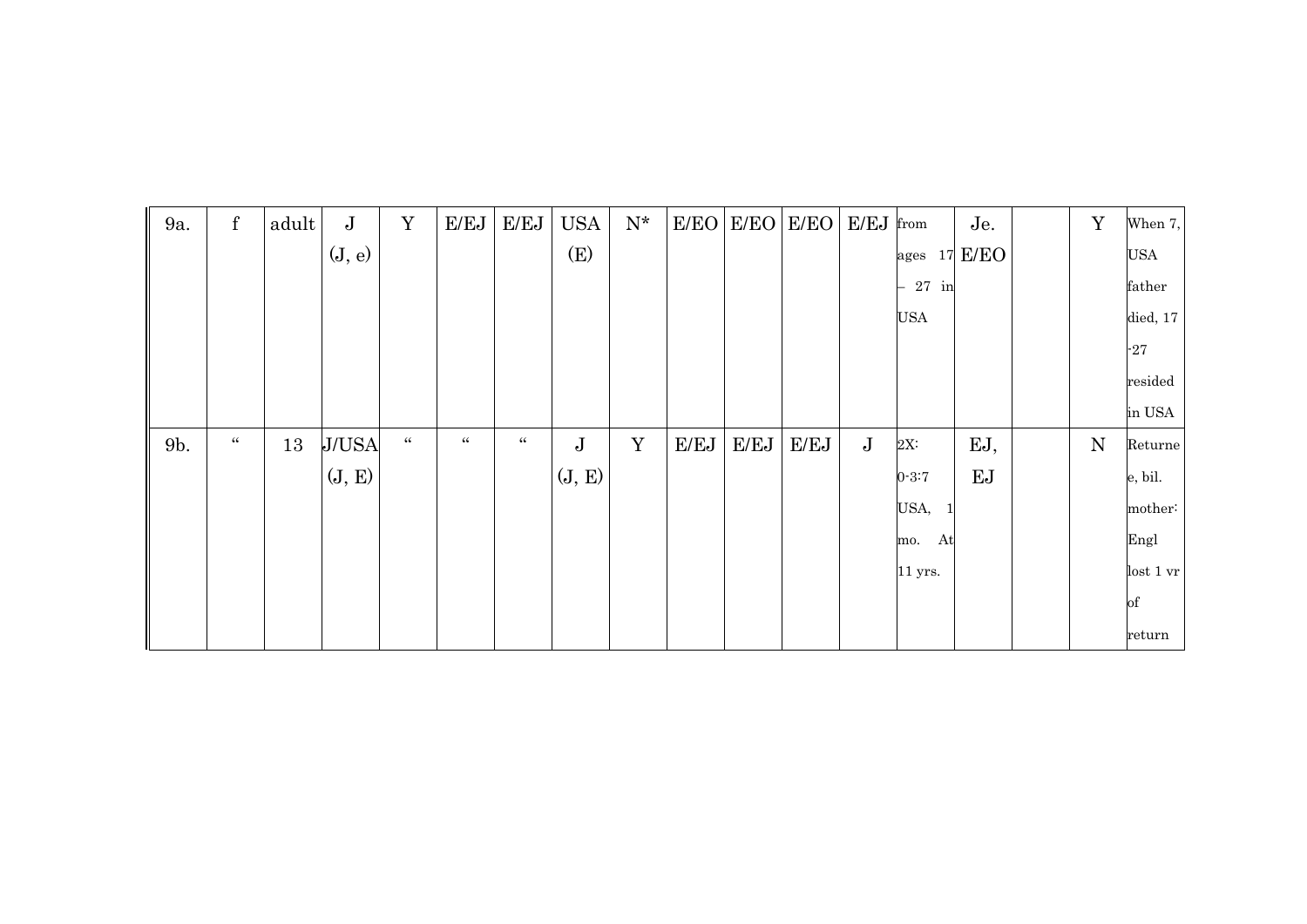| 9a. | ${\bf f}$        | adult | $\bf J$      | Y              | E/EJ         | E/EJ           | <b>USA</b>  | $\mathbf{N}^{\star}$ |      | $E/EO$ $E/EO$ | E/EO | E/EJ        | from                 | Je.     | Y         | When 7,          |
|-----|------------------|-------|--------------|----------------|--------------|----------------|-------------|----------------------|------|---------------|------|-------------|----------------------|---------|-----------|------------------|
|     |                  |       | (J, e)       |                |              |                | (E)         |                      |      |               |      |             | ages                 | 17 E/EO |           | USA              |
|     |                  |       |              |                |              |                |             |                      |      |               |      |             | $27$ in              |         |           | father           |
|     |                  |       |              |                |              |                |             |                      |      |               |      |             | <b>USA</b>           |         |           | died, 17         |
|     |                  |       |              |                |              |                |             |                      |      |               |      |             |                      |         |           | $-27$            |
|     |                  |       |              |                |              |                |             |                      |      |               |      |             |                      |         |           | resided          |
|     |                  |       |              |                |              |                |             |                      |      |               |      |             |                      |         |           | in USA           |
| 9b. | $\zeta \, \zeta$ | 13    | <b>J/USA</b> | $\zeta\,\zeta$ | $\zeta\zeta$ | $\zeta\,\zeta$ | $\mathbf J$ | Y                    | E/EJ | E/EJ          | E/EJ | $\mathbf J$ | $2X$ :               | EJ,     | ${\bf N}$ | Returne          |
|     |                  |       | (J, E)       |                |              |                | (J, E)      |                      |      |               |      |             | $0 - 3:7$            | EJ      |           | e, bil.          |
|     |                  |       |              |                |              |                |             |                      |      |               |      |             | USA,<br>$\mathbf{1}$ |         |           | mother:          |
|     |                  |       |              |                |              |                |             |                      |      |               |      |             | At<br>mo.            |         |           | Engl             |
|     |                  |       |              |                |              |                |             |                      |      |               |      |             | $11$ yrs.            |         |           | lost 1 <i>vr</i> |
|     |                  |       |              |                |              |                |             |                      |      |               |      |             |                      |         |           | of               |
|     |                  |       |              |                |              |                |             |                      |      |               |      |             |                      |         |           | return           |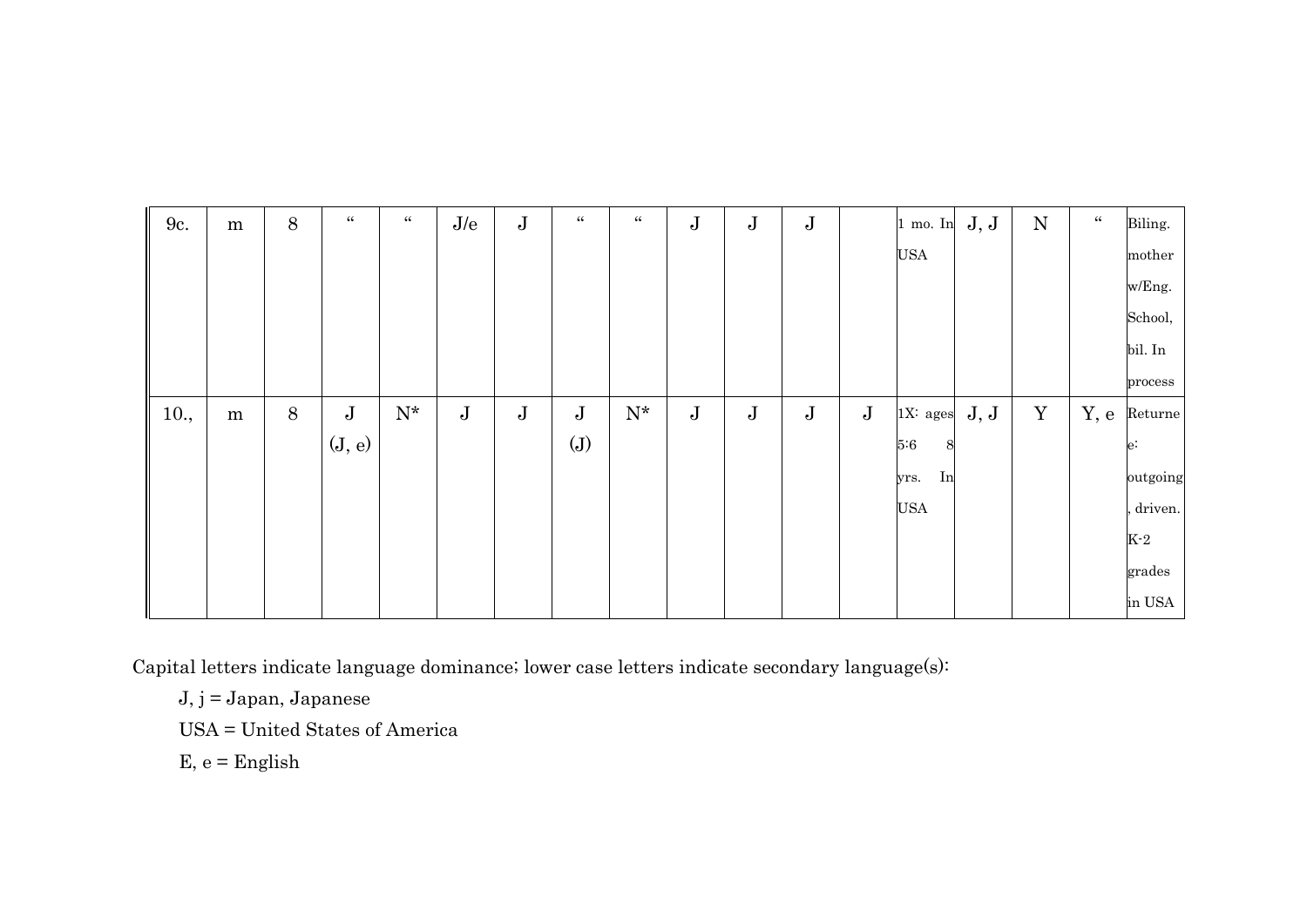| 9c.  | ${\bf m}$ | $8\,$ | $\zeta\,\zeta$ | $\zeta\,\zeta$    | $\rm J/e$    | $\bf J$ | $\zeta\zeta$ | $\zeta\,\zeta$    | $\bf J$ | $\bf J$ | $\bf J$ |         | $1$ mo. In  | J, J | $\mathbf N$ | $\zeta\zeta$ | Biling.  |
|------|-----------|-------|----------------|-------------------|--------------|---------|--------------|-------------------|---------|---------|---------|---------|-------------|------|-------------|--------------|----------|
|      |           |       |                |                   |              |         |              |                   |         |         |         |         | <b>USA</b>  |      |             |              | mother   |
|      |           |       |                |                   |              |         |              |                   |         |         |         |         |             |      |             |              | w/Eng.   |
|      |           |       |                |                   |              |         |              |                   |         |         |         |         |             |      |             |              | School,  |
|      |           |       |                |                   |              |         |              |                   |         |         |         |         |             |      |             |              | bil. In  |
|      |           |       |                |                   |              |         |              |                   |         |         |         |         |             |      |             |              | process  |
| 10., | ${\bf m}$ | $8\,$ | $\bf J$        | ${\rm N}^{\star}$ | $\mathbf{J}$ | $\bf J$ | $\bf J$      | ${\rm N}^{\star}$ | $\bf J$ | $\bf J$ | $\bf J$ | $\bf J$ | $1X$ : ages | J, J | $\mathbf Y$ | Y, e         | Returne  |
|      |           |       | (J, e)         |                   |              |         | (J)          |                   |         |         |         |         | 5:6<br>8    |      |             |              | $e$ :    |
|      |           |       |                |                   |              |         |              |                   |         |         |         |         | In<br>yrs.  |      |             |              | outgoing |
|      |           |       |                |                   |              |         |              |                   |         |         |         |         | <b>USA</b>  |      |             |              | driven.  |
|      |           |       |                |                   |              |         |              |                   |         |         |         |         |             |      |             |              | $K-2$    |
|      |           |       |                |                   |              |         |              |                   |         |         |         |         |             |      |             |              | grades   |
|      |           |       |                |                   |              |         |              |                   |         |         |         |         |             |      |             |              | in USA   |

Capital letters indicate language dominance; lower case letters indicate secondary language(s):

J, j = Japan, Japanese

USA = United States of America

 $E, e =$  English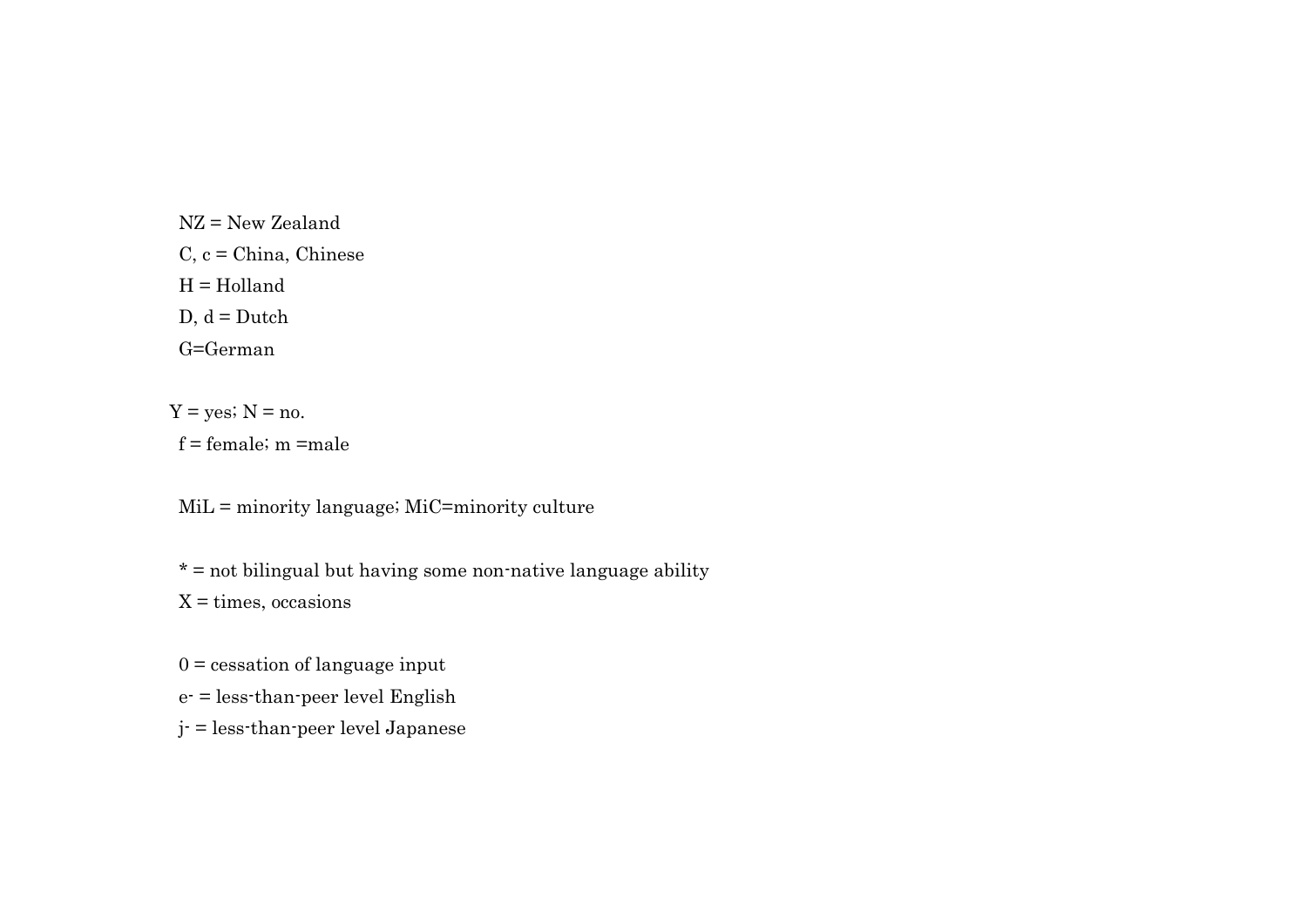NZ = New Zealand  $C, c = China, Chinese$  H = Holland  $D, d = Dutch$ G=German

 $Y = yes$ ;  $N = no$ . f = female; m =male

MiL = minority language; MiC=minority culture

 $* =$  not bilingual but having some non-native language ability  $X = times, occasions$ 

 $0 =$  cessation of language input e- = less-than-peer level English j- = less-than-peer level Japanese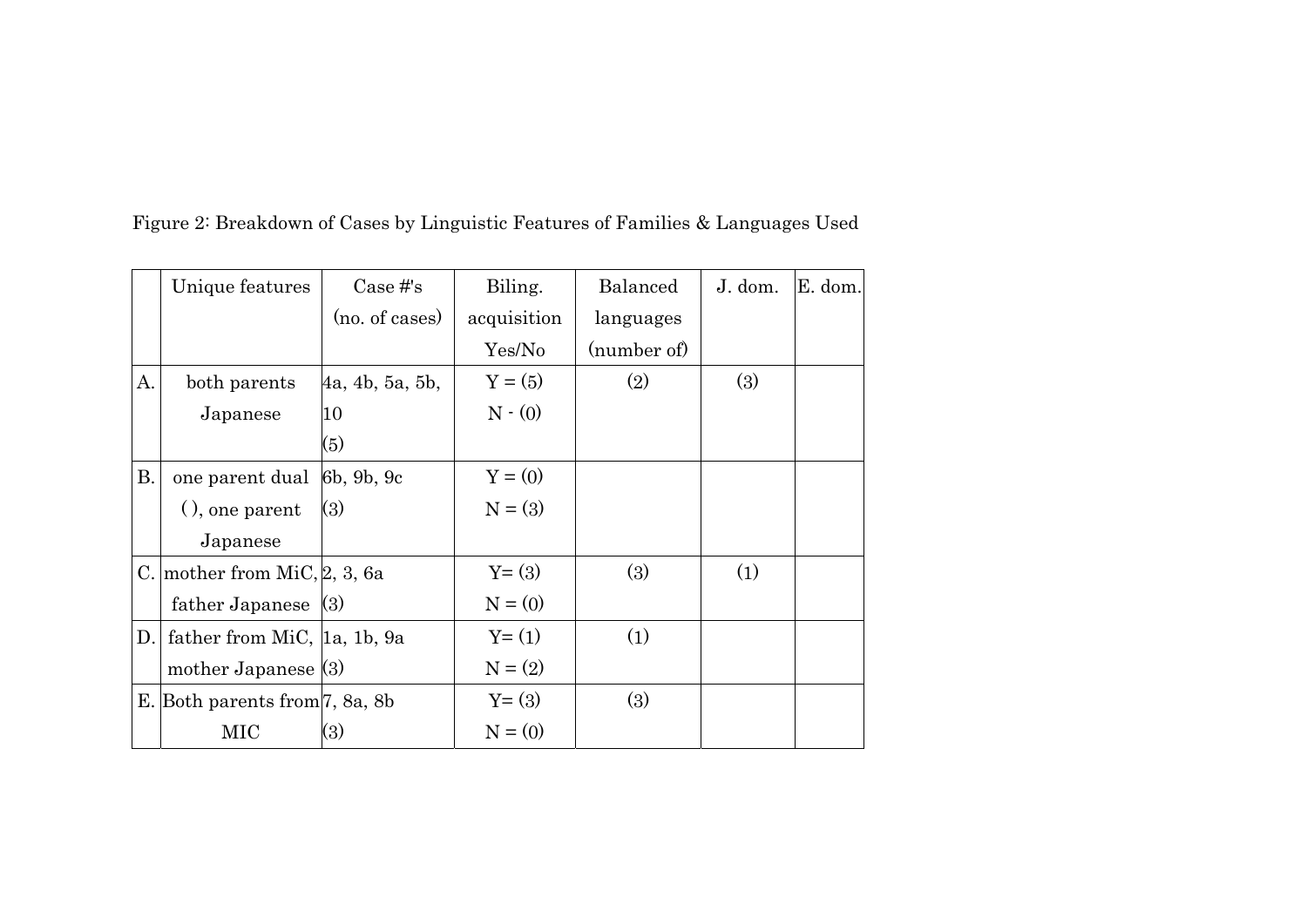|     | Unique features                | $Case \#s$      | Biling.       | <b>Balanced</b> | J. dom. | E. dom. |
|-----|--------------------------------|-----------------|---------------|-----------------|---------|---------|
|     |                                | (no. of cases)  | acquisition   | languages       |         |         |
|     |                                |                 | Yes/No        | (number of)     |         |         |
| А.  | both parents                   | 4a, 4b, 5a, 5b, | $Y = (5)$     | (2)             | (3)     |         |
|     | Japanese                       | 10              | $N \cdot (0)$ |                 |         |         |
|     |                                | (5)             |               |                 |         |         |
| В.  | one parent dual 6b, 9b, 9c     |                 | $Y = (0)$     |                 |         |         |
|     | $($ , one parent               | (3)             | $N = (3)$     |                 |         |         |
|     | Japanese                       |                 |               |                 |         |         |
|     | C. mother from MiC, $2, 3, 6a$ |                 | $Y=(3)$       | (3)             | (1)     |         |
|     | father Japanese $(3)$          |                 | $N = (0)$     |                 |         |         |
| D.I | father from MiC, [1a, 1b, 9a   |                 | $Y = (1)$     | (1)             |         |         |
|     | mother Japanese $(3)$          |                 | $N = (2)$     |                 |         |         |
|     | E. Both parents from 7, 8a, 8b |                 | $Y = (3)$     | (3)             |         |         |
|     | MIC                            | (3)             | $N = (0)$     |                 |         |         |

Figure 2: Breakdown of Cases by Linguistic Features of Families & Languages Used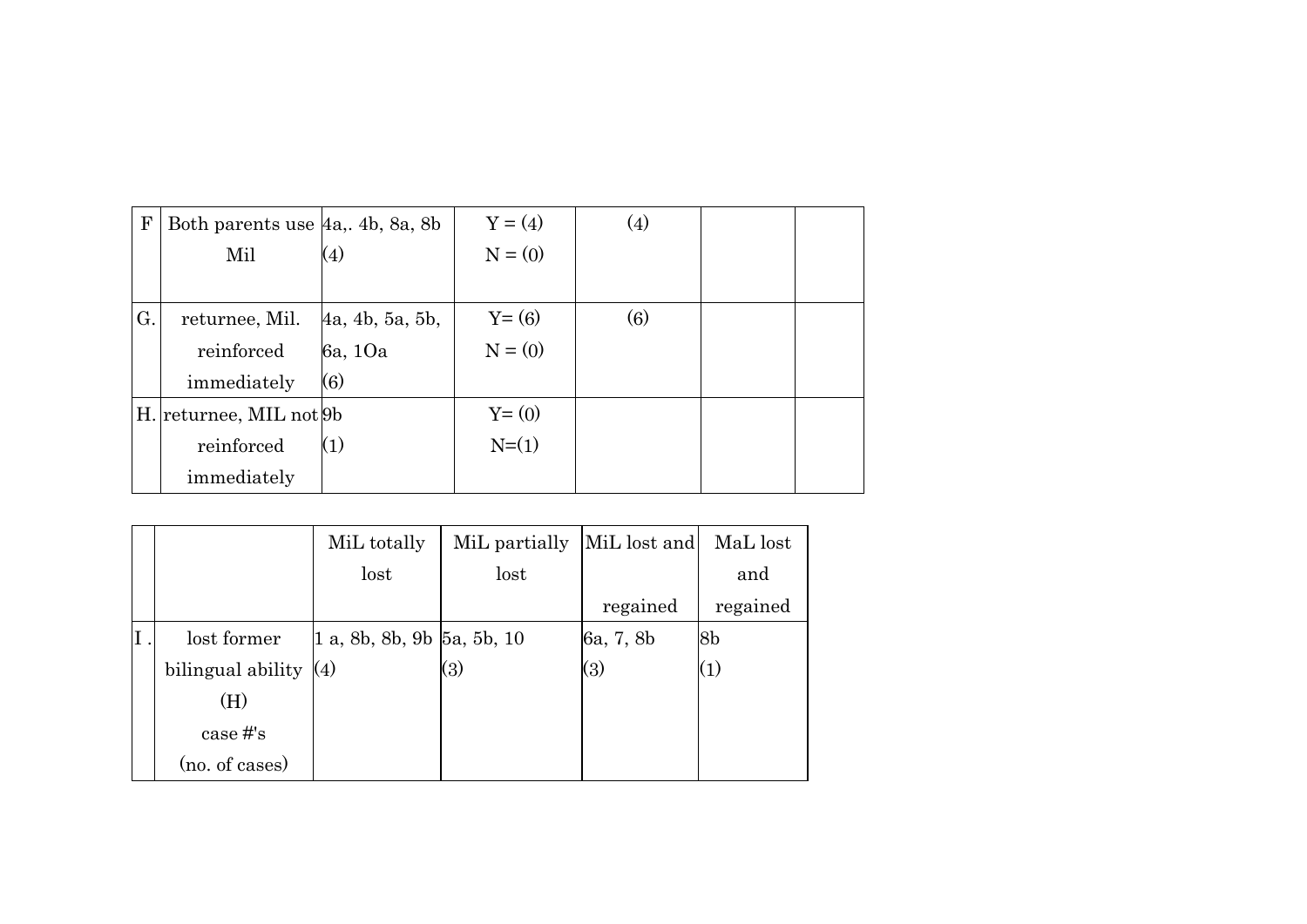| F  | Both parents use $ 4a, 4b, 8a, 8b$ |                   | $Y = (4)$ | (4)              |  |
|----|------------------------------------|-------------------|-----------|------------------|--|
|    | Mil                                | (4)               | $N = (0)$ |                  |  |
|    |                                    |                   |           |                  |  |
| G. | returnee, Mil.                     | 4a, 4b, 5a, 5b,   | $Y = (6)$ | $\left(6\right)$ |  |
|    | reinforced                         | 6a, 10a           | $N = (0)$ |                  |  |
|    | immediately                        | $\left( 6\right)$ |           |                  |  |
|    | H. returnee, MIL not 9b            |                   | $Y = (0)$ |                  |  |
|    | reinforced                         | (1)               | $N=(1)$   |                  |  |
|    | immediately                        |                   |           |                  |  |

|    |                                     | MiL totally                 | MiL partially | MiL lost and | MaL lost |
|----|-------------------------------------|-----------------------------|---------------|--------------|----------|
|    |                                     | lost                        | lost          |              | and      |
|    |                                     |                             |               | regained     | regained |
| Ι. | lost former                         | 1 a, 8b, 8b, 9b  5a, 5b, 10 |               | 6a, 7, 8b    | 8b       |
|    | bilingual ability $\vert 4 \rangle$ |                             | (3)           | (3)          | (1)      |
|    | (H)                                 |                             |               |              |          |
|    | case #'s                            |                             |               |              |          |
|    | (no. of cases)                      |                             |               |              |          |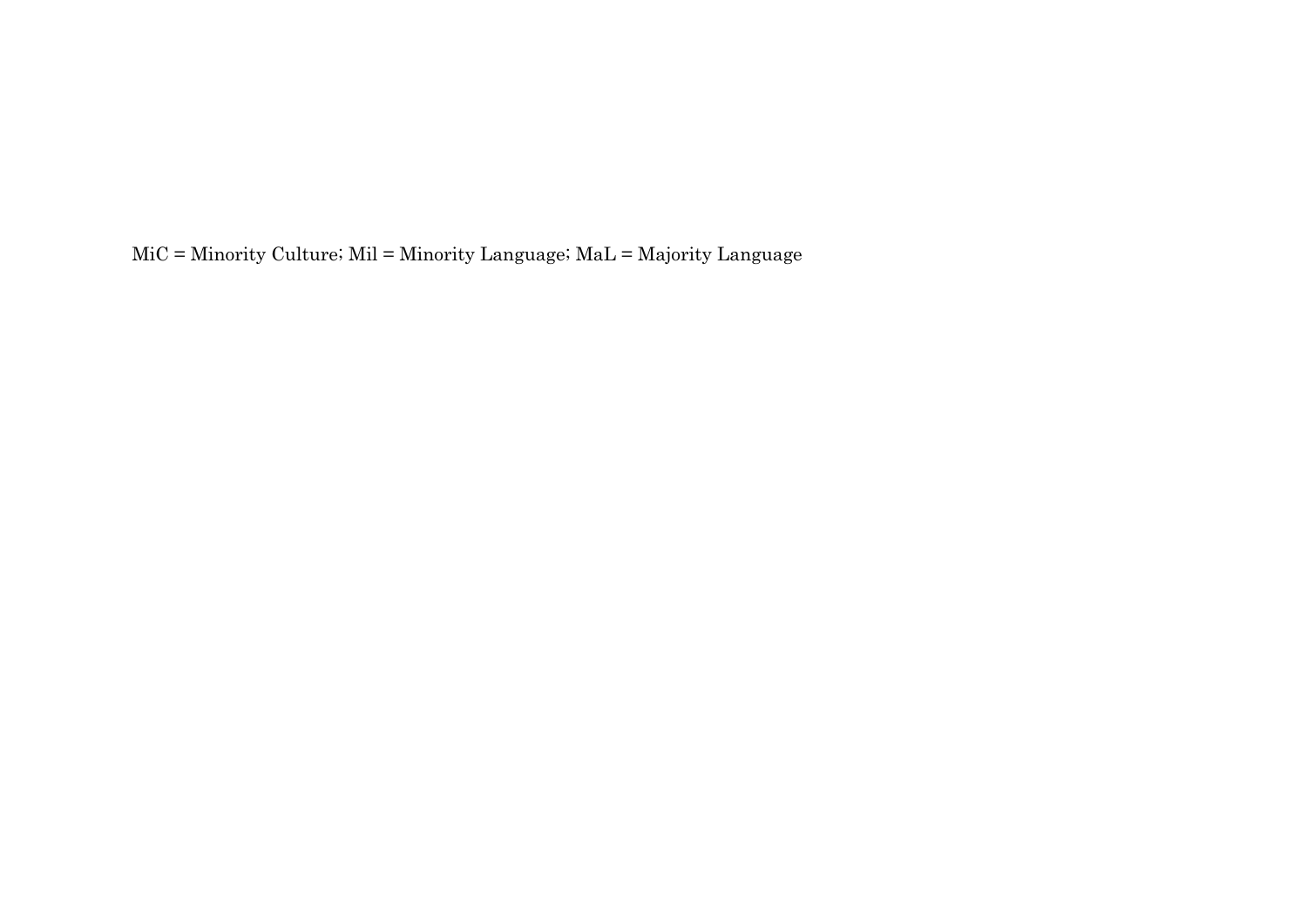MiC = Minority Culture; Mil = Minority Language; MaL = Majority Language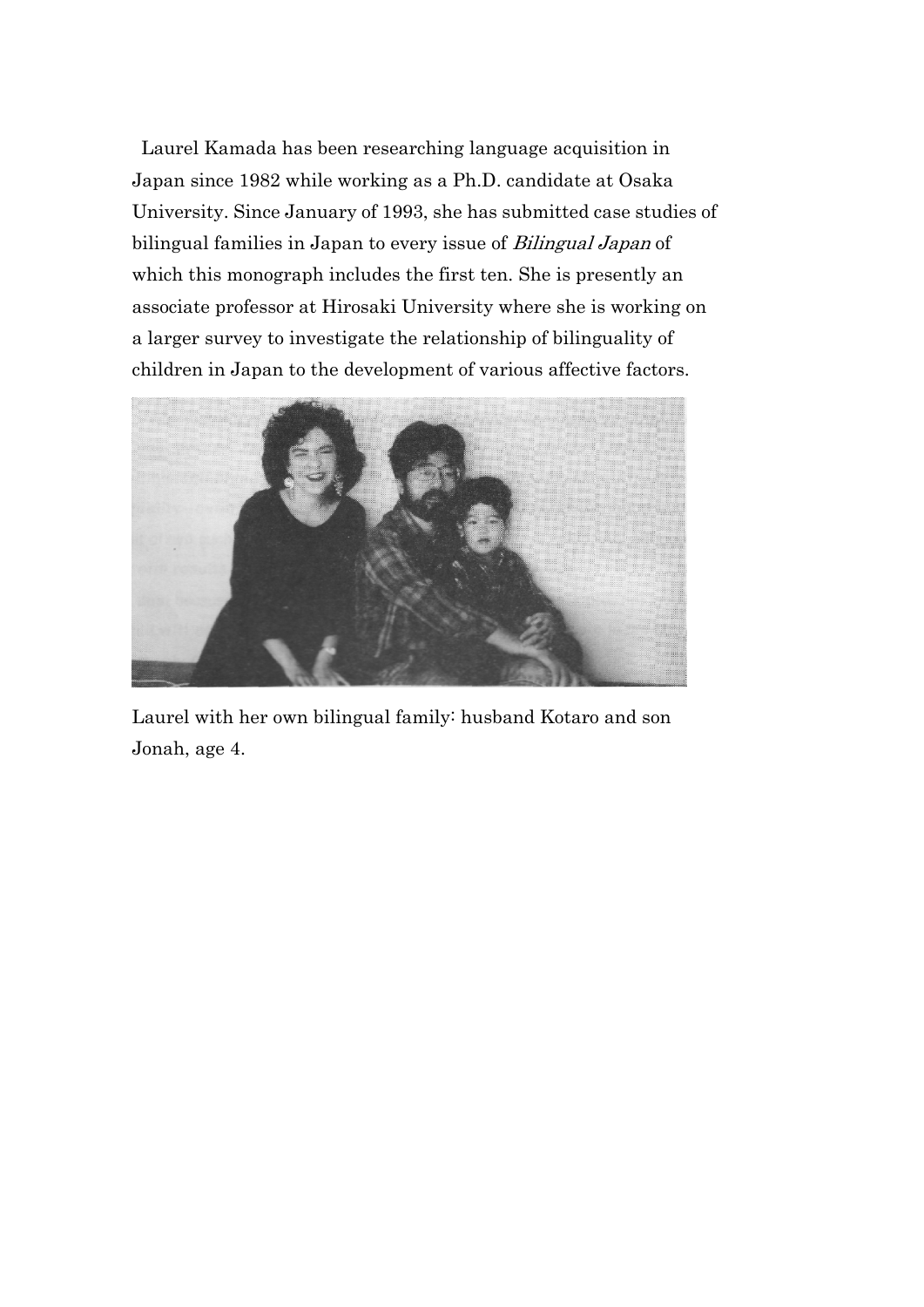Laurel Kamada has been researching language acquisition in Japan since 1982 while working as a Ph.D. candidate at Osaka University. Since January of 1993, she has submitted case studies of bilingual families in Japan to every issue of Bilingual Japan of which this monograph includes the first ten. She is presently an associate professor at Hirosaki University where she is working on a larger survey to investigate the relationship of bilinguality of children in Japan to the development of various affective factors.



Laurel with her own bilingual family: husband Kotaro and son Jonah, age 4.